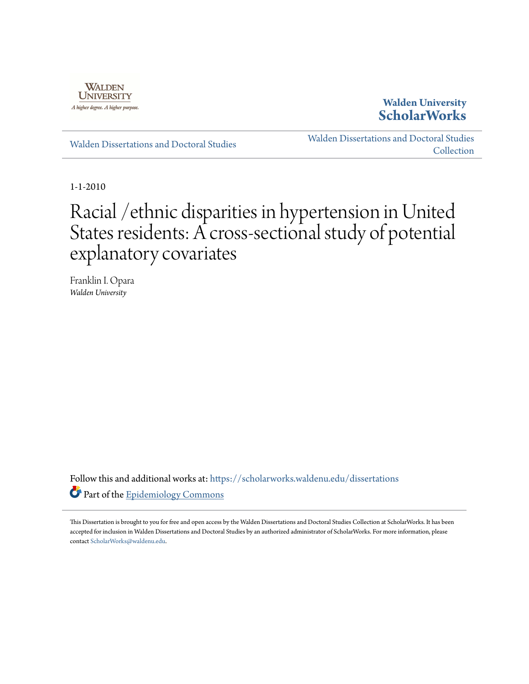

## **Walden University [ScholarWorks](https://scholarworks.waldenu.edu?utm_source=scholarworks.waldenu.edu%2Fdissertations%2F728&utm_medium=PDF&utm_campaign=PDFCoverPages)**

[Walden Dissertations and Doctoral Studies](https://scholarworks.waldenu.edu/dissertations?utm_source=scholarworks.waldenu.edu%2Fdissertations%2F728&utm_medium=PDF&utm_campaign=PDFCoverPages)

[Walden Dissertations and Doctoral Studies](https://scholarworks.waldenu.edu/dissanddoc?utm_source=scholarworks.waldenu.edu%2Fdissertations%2F728&utm_medium=PDF&utm_campaign=PDFCoverPages) **[Collection](https://scholarworks.waldenu.edu/dissanddoc?utm_source=scholarworks.waldenu.edu%2Fdissertations%2F728&utm_medium=PDF&utm_campaign=PDFCoverPages)** 

1-1-2010

# Racial /ethnic disparities in hypertension in United States residents: A cross-sectional study of potential explanatory covariates

Franklin I. Opara *Walden University*

Follow this and additional works at: [https://scholarworks.waldenu.edu/dissertations](https://scholarworks.waldenu.edu/dissertations?utm_source=scholarworks.waldenu.edu%2Fdissertations%2F728&utm_medium=PDF&utm_campaign=PDFCoverPages) Part of the [Epidemiology Commons](http://network.bepress.com/hgg/discipline/740?utm_source=scholarworks.waldenu.edu%2Fdissertations%2F728&utm_medium=PDF&utm_campaign=PDFCoverPages)

This Dissertation is brought to you for free and open access by the Walden Dissertations and Doctoral Studies Collection at ScholarWorks. It has been accepted for inclusion in Walden Dissertations and Doctoral Studies by an authorized administrator of ScholarWorks. For more information, please contact [ScholarWorks@waldenu.edu](mailto:ScholarWorks@waldenu.edu).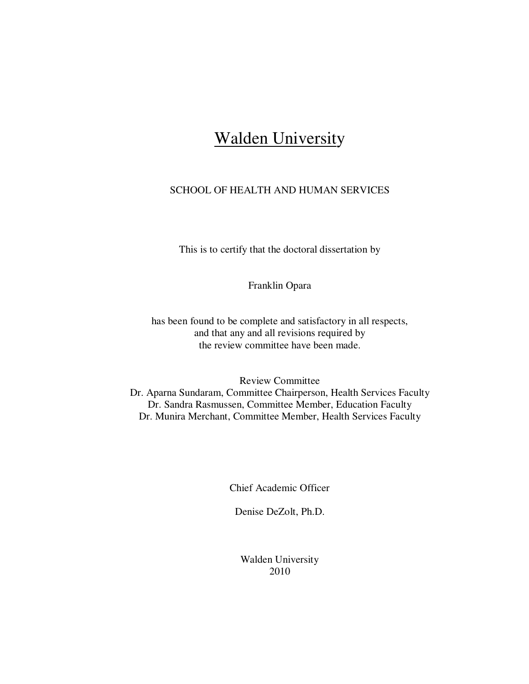## **Walden University**

## SCHOOL OF HEALTH AND HUMAN SERVICES

This is to certify that the doctoral dissertation by

Franklin Opara

has been found to be complete and satisfactory in all respects, and that any and all revisions required by the review committee have been made.

Review Committee

Dr. Aparna Sundaram, Committee Chairperson, Health Services Faculty Dr. Sandra Rasmussen, Committee Member, Education Faculty Dr. Munira Merchant, Committee Member, Health Services Faculty

Chief Academic Officer

Denise DeZolt, Ph.D.

Walden University 2010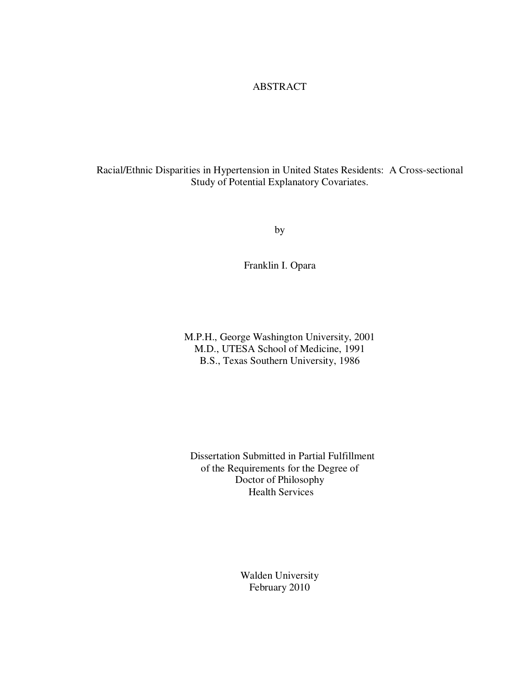## ABSTRACT

Racial/Ethnic Disparities in Hypertension in United States Residents: A Cross-sectional Study of Potential Explanatory Covariates.

by

Franklin I. Opara

M.P.H., George Washington University, 2001 M.D., UTESA School of Medicine, 1991 B.S., Texas Southern University, 1986

 Dissertation Submitted in Partial Fulfillment of the Requirements for the Degree of Doctor of Philosophy Health Services

> Walden University February 2010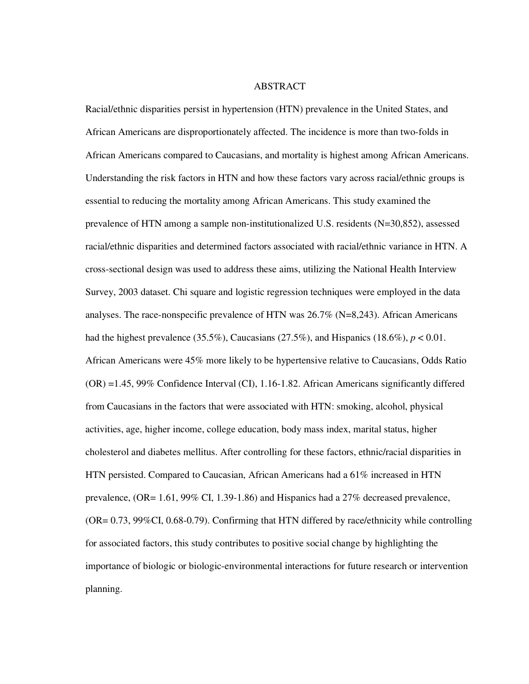#### ABSTRACT

Racial/ethnic disparities persist in hypertension (HTN) prevalence in the United States, and African Americans are disproportionately affected. The incidence is more than two-folds in African Americans compared to Caucasians, and mortality is highest among African Americans. Understanding the risk factors in HTN and how these factors vary across racial/ethnic groups is essential to reducing the mortality among African Americans. This study examined the prevalence of HTN among a sample non-institutionalized U.S. residents (N=30,852), assessed racial/ethnic disparities and determined factors associated with racial/ethnic variance in HTN. A cross-sectional design was used to address these aims, utilizing the National Health Interview Survey, 2003 dataset. Chi square and logistic regression techniques were employed in the data analyses. The race-nonspecific prevalence of HTN was 26.7% (N=8,243). African Americans had the highest prevalence  $(35.5\%)$ , Caucasians  $(27.5\%)$ , and Hispanics  $(18.6\%)$ ,  $p < 0.01$ . African Americans were 45% more likely to be hypertensive relative to Caucasians, Odds Ratio (OR) =1.45, 99% Confidence Interval (CI), 1.16-1.82. African Americans significantly differed from Caucasians in the factors that were associated with HTN: smoking, alcohol, physical activities, age, higher income, college education, body mass index, marital status, higher cholesterol and diabetes mellitus. After controlling for these factors, ethnic/racial disparities in HTN persisted. Compared to Caucasian, African Americans had a 61% increased in HTN prevalence, (OR= 1.61, 99% CI, 1.39-1.86) and Hispanics had a 27% decreased prevalence, (OR= 0.73, 99%CI, 0.68-0.79). Confirming that HTN differed by race/ethnicity while controlling for associated factors, this study contributes to positive social change by highlighting the importance of biologic or biologic-environmental interactions for future research or intervention planning.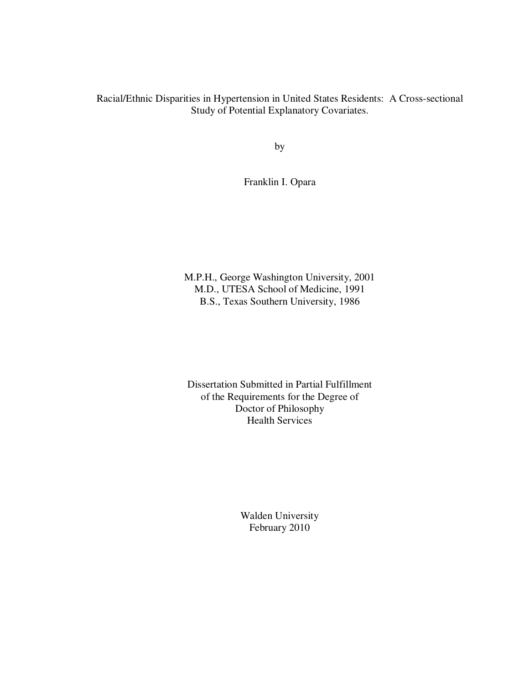Racial/Ethnic Disparities in Hypertension in United States Residents: A Cross-sectional Study of Potential Explanatory Covariates.

by

Franklin I. Opara

M.P.H., George Washington University, 2001 M.D., UTESA School of Medicine, 1991 B.S., Texas Southern University, 1986

Dissertation Submitted in Partial Fulfillment of the Requirements for the Degree of Doctor of Philosophy Health Services

> Walden University February 2010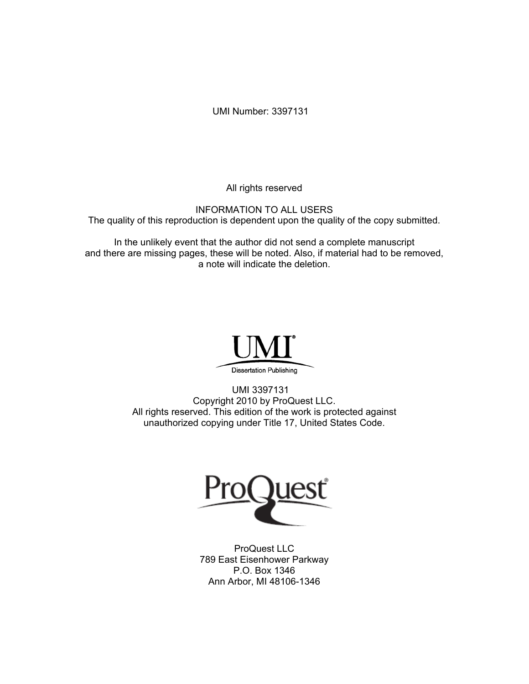UMI Number: 3397131

All rights reserved

INFORMATION TO ALL USERS The quality of this reproduction is dependent upon the quality of the copy submitted.

In the unlikely event that the author did not send a complete manuscript and there are missing pages, these will be noted. Also, if material had to be removed, a note will indicate the deletion.



UMI 3397131 Copyright 2010 by ProQuest LLC. All rights reserved. This edition of the work is protected against unauthorized copying under Title 17, United States Code.



ProQuest LLC 789 East Eisenhower Parkway P.O. Box 1346 Ann Arbor, MI 48106-1346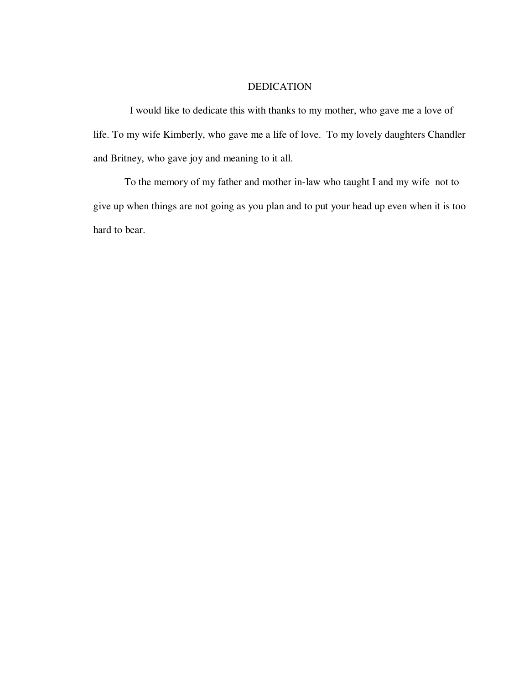### DEDICATION

 I would like to dedicate this with thanks to my mother, who gave me a love of life. To my wife Kimberly, who gave me a life of love. To my lovely daughters Chandler and Britney, who gave joy and meaning to it all.

 To the memory of my father and mother in-law who taught I and my wife not to give up when things are not going as you plan and to put your head up even when it is too hard to bear.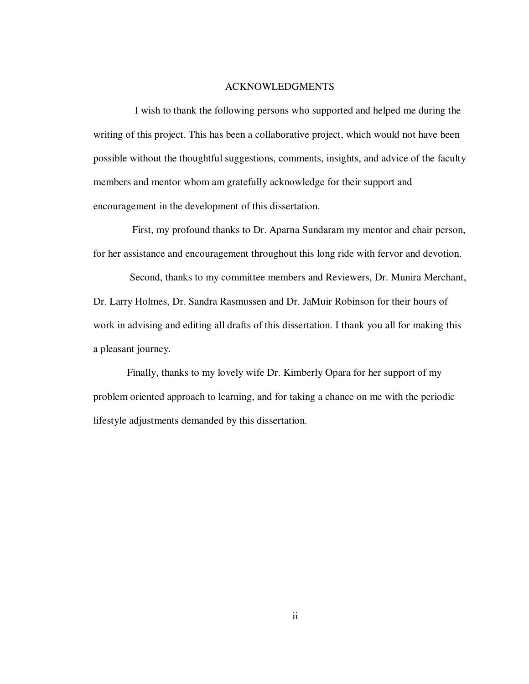#### ACKNOWLEDGMENTS

 I wish to thank the following persons who supported and helped me during the writing of this project. This has been a collaborative project, which would not have been possible without the thoughtful suggestions, comments, insights, and advice of the faculty members and mentor whom am gratefully acknowledge for their support and encouragement in the development of this dissertation.

 First, my profound thanks to Dr. Aparna Sundaram my mentor and chair person, for her assistance and encouragement throughout this long ride with fervor and devotion.

 Second, thanks to my committee members and Reviewers, Dr. Munira Merchant, Dr. Larry Holmes, Dr. Sandra Rasmussen and Dr. JaMuir Robinson for their hours of work in advising and editing all drafts of this dissertation. I thank you all for making this a pleasant journey.

 Finally, thanks to my lovely wife Dr. Kimberly Opara for her support of my problem oriented approach to learning, and for taking a chance on me with the periodic lifestyle adjustments demanded by this dissertation.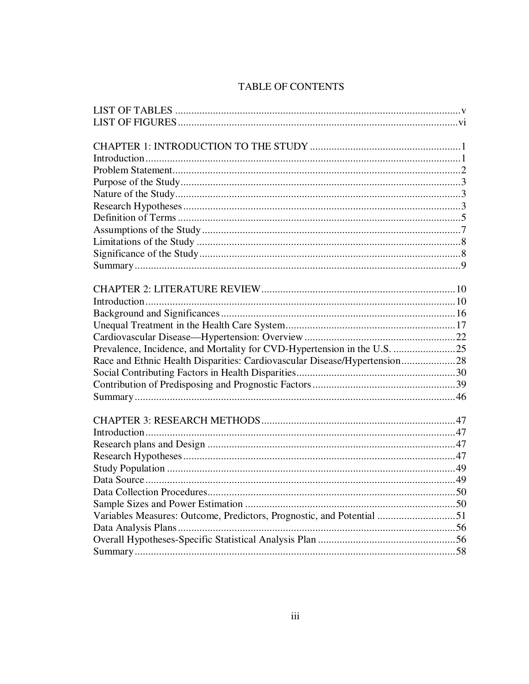## **TABLE OF CONTENTS**

| Prevalence, Incidence, and Mortality for CVD-Hypertension in the U.S. 25  |  |
|---------------------------------------------------------------------------|--|
| Race and Ethnic Health Disparities: Cardiovascular Disease/Hypertension28 |  |
|                                                                           |  |
|                                                                           |  |
|                                                                           |  |
|                                                                           |  |
|                                                                           |  |
|                                                                           |  |
|                                                                           |  |
|                                                                           |  |
|                                                                           |  |
|                                                                           |  |
|                                                                           |  |
|                                                                           |  |
| Variables Measures: Outcome, Predictors, Prognostic, and Potential 51     |  |
|                                                                           |  |
|                                                                           |  |
|                                                                           |  |
|                                                                           |  |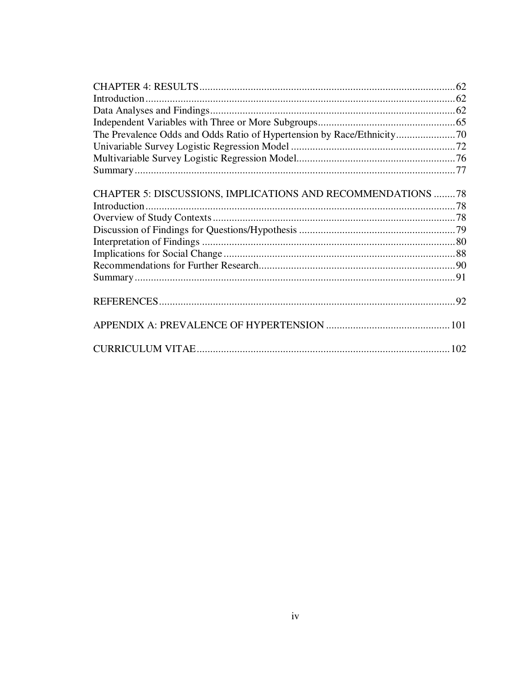| CHAPTER 5: DISCUSSIONS, IMPLICATIONS AND RECOMMENDATIONS 78 |  |
|-------------------------------------------------------------|--|
|                                                             |  |
|                                                             |  |
|                                                             |  |
|                                                             |  |
|                                                             |  |
|                                                             |  |
|                                                             |  |
|                                                             |  |
|                                                             |  |
|                                                             |  |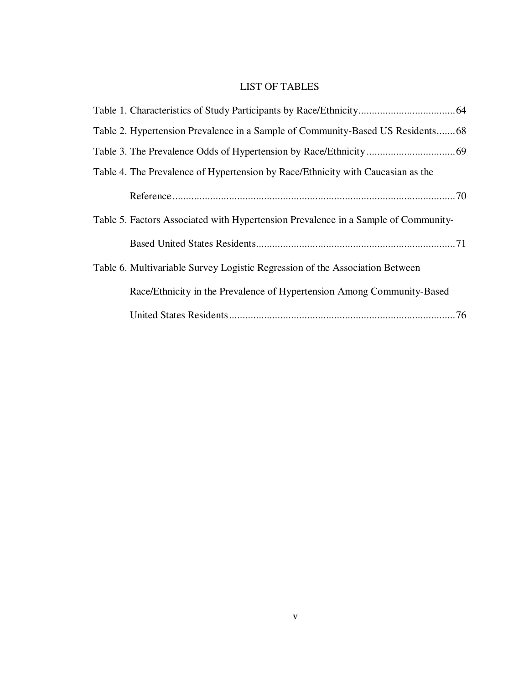## LIST OF TABLES

| Table 2. Hypertension Prevalence in a Sample of Community-Based US Residents68     |
|------------------------------------------------------------------------------------|
|                                                                                    |
| Table 4. The Prevalence of Hypertension by Race/Ethnicity with Caucasian as the    |
|                                                                                    |
| Table 5. Factors Associated with Hypertension Prevalence in a Sample of Community- |
|                                                                                    |
| Table 6. Multivariable Survey Logistic Regression of the Association Between       |
| Race/Ethnicity in the Prevalence of Hypertension Among Community-Based             |
|                                                                                    |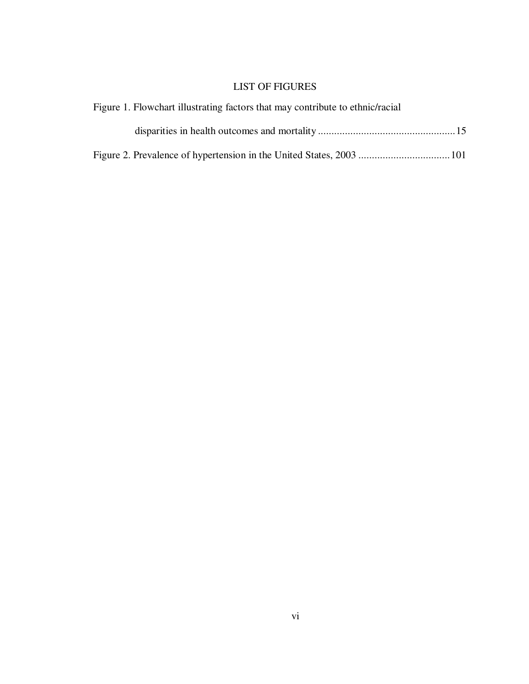## LIST OF FIGURES

| Figure 1. Flowchart illustrating factors that may contribute to ethnic/racial |  |
|-------------------------------------------------------------------------------|--|
|                                                                               |  |
|                                                                               |  |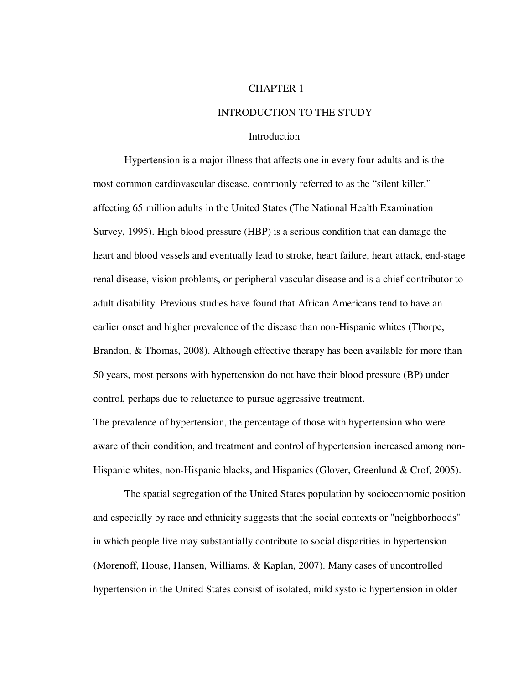#### CHAPTER 1

#### INTRODUCTION TO THE STUDY

#### Introduction

Hypertension is a major illness that affects one in every four adults and is the most common cardiovascular disease, commonly referred to as the "silent killer," affecting 65 million adults in the United States (The National Health Examination Survey, 1995). High blood pressure (HBP) is a serious condition that can damage the heart and blood vessels and eventually lead to stroke, heart failure, heart attack, end-stage renal disease, vision problems, or peripheral vascular disease and is a chief contributor to adult disability. Previous studies have found that African Americans tend to have an earlier onset and higher prevalence of the disease than non-Hispanic whites (Thorpe, Brandon, & Thomas, 2008). Although effective therapy has been available for more than 50 years, most persons with hypertension do not have their blood pressure (BP) under control, perhaps due to reluctance to pursue aggressive treatment.

The prevalence of hypertension, the percentage of those with hypertension who were aware of their condition, and treatment and control of hypertension increased among non-Hispanic whites, non-Hispanic blacks, and Hispanics (Glover, Greenlund & Crof, 2005).

 The spatial segregation of the United States population by socioeconomic position and especially by race and ethnicity suggests that the social contexts or "neighborhoods" in which people live may substantially contribute to social disparities in hypertension (Morenoff, House, Hansen, Williams, & Kaplan, 2007). Many cases of uncontrolled hypertension in the United States consist of isolated, mild systolic hypertension in older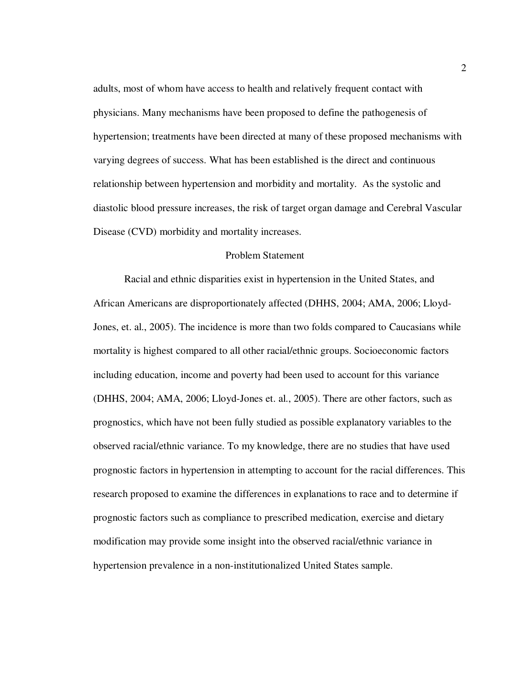adults, most of whom have access to health and relatively frequent contact with physicians. Many mechanisms have been proposed to define the pathogenesis of hypertension; treatments have been directed at many of these proposed mechanisms with varying degrees of success. What has been established is the direct and continuous relationship between hypertension and morbidity and mortality. As the systolic and diastolic blood pressure increases, the risk of target organ damage and Cerebral Vascular Disease (CVD) morbidity and mortality increases.

#### Problem Statement

Racial and ethnic disparities exist in hypertension in the United States, and African Americans are disproportionately affected (DHHS, 2004; AMA, 2006; Lloyd-Jones, et. al., 2005). The incidence is more than two folds compared to Caucasians while mortality is highest compared to all other racial/ethnic groups. Socioeconomic factors including education, income and poverty had been used to account for this variance (DHHS, 2004; AMA, 2006; Lloyd-Jones et. al., 2005). There are other factors, such as prognostics, which have not been fully studied as possible explanatory variables to the observed racial/ethnic variance. To my knowledge, there are no studies that have used prognostic factors in hypertension in attempting to account for the racial differences. This research proposed to examine the differences in explanations to race and to determine if prognostic factors such as compliance to prescribed medication, exercise and dietary modification may provide some insight into the observed racial/ethnic variance in hypertension prevalence in a non-institutionalized United States sample.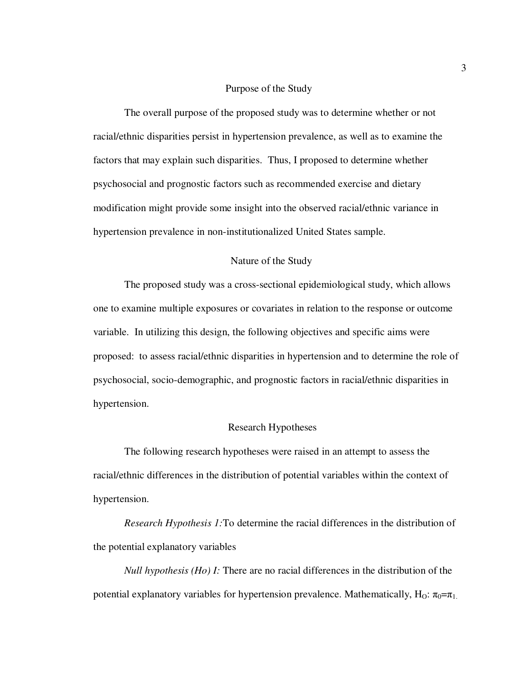#### Purpose of the Study

The overall purpose of the proposed study was to determine whether or not racial/ethnic disparities persist in hypertension prevalence, as well as to examine the factors that may explain such disparities. Thus, I proposed to determine whether psychosocial and prognostic factors such as recommended exercise and dietary modification might provide some insight into the observed racial/ethnic variance in hypertension prevalence in non-institutionalized United States sample.

#### Nature of the Study

The proposed study was a cross-sectional epidemiological study, which allows one to examine multiple exposures or covariates in relation to the response or outcome variable. In utilizing this design, the following objectives and specific aims were proposed: to assess racial/ethnic disparities in hypertension and to determine the role of psychosocial, socio-demographic, and prognostic factors in racial/ethnic disparities in hypertension.

#### Research Hypotheses

The following research hypotheses were raised in an attempt to assess the racial/ethnic differences in the distribution of potential variables within the context of hypertension.

 *Research Hypothesis 1:*To determine the racial differences in the distribution of the potential explanatory variables

*Null hypothesis (Ho) I:* There are no racial differences in the distribution of the potential explanatory variables for hypertension prevalence. Mathematically, H<sub>O</sub>:  $\pi_0 = \pi_1$ .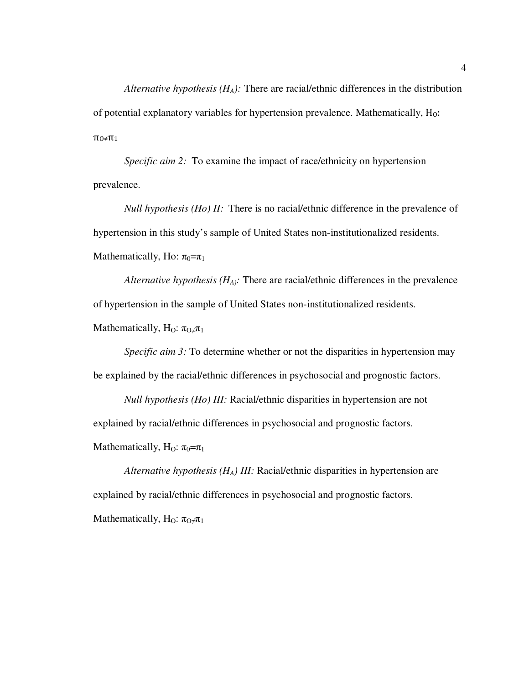*Alternative hypothesis (HA):* There are racial/ethnic differences in the distribution of potential explanatory variables for hypertension prevalence. Mathematically,  $H_0$ :  $\pi$ <sub>0</sub>≠ $\pi$ <sub>1</sub>

 *Specific aim 2:* To examine the impact of race/ethnicity on hypertension prevalence.

*Null hypothesis (Ho) II:* There is no racial/ethnic difference in the prevalence of hypertension in this study's sample of United States non-institutionalized residents. Mathematically, Ho:  $\pi_0 = \pi_1$ 

 *Alternative hypothesis (HA):* There are racial/ethnic differences in the prevalence of hypertension in the sample of United States non-institutionalized residents.

Mathematically,  $H_0$ :  $\pi_0 \neq \pi_1$ 

*Specific aim 3:* To determine whether or not the disparities in hypertension may be explained by the racial/ethnic differences in psychosocial and prognostic factors.

 *Null hypothesis (Ho) III:* Racial/ethnic disparities in hypertension are not explained by racial/ethnic differences in psychosocial and prognostic factors. Mathematically, H<sub>O</sub>:  $\pi_0 = \pi_1$ 

*Alternative hypothesis (HA) III:* Racial/ethnic disparities in hypertension are explained by racial/ethnic differences in psychosocial and prognostic factors. Mathematically, H<sub>O</sub>:  $\pi_{O} \neq \pi_1$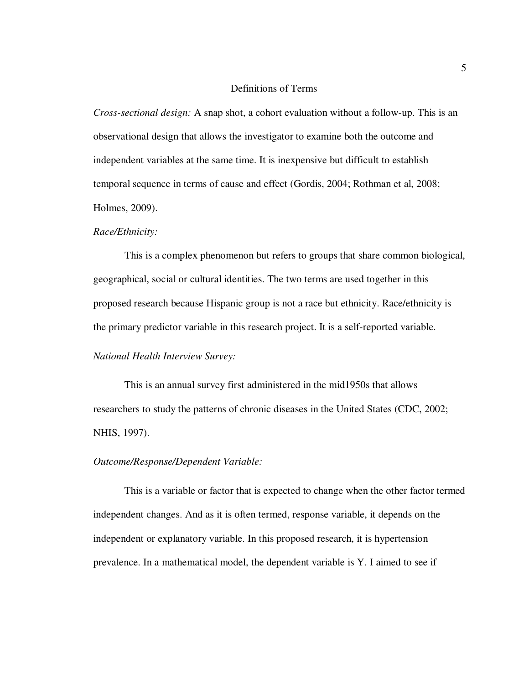#### Definitions of Terms

*Cross-sectional design:* A snap shot, a cohort evaluation without a follow-up. This is an observational design that allows the investigator to examine both the outcome and independent variables at the same time. It is inexpensive but difficult to establish temporal sequence in terms of cause and effect (Gordis, 2004; Rothman et al, 2008; Holmes, 2009).

#### *Race/Ethnicity:*

 This is a complex phenomenon but refers to groups that share common biological, geographical, social or cultural identities. The two terms are used together in this proposed research because Hispanic group is not a race but ethnicity. Race/ethnicity is the primary predictor variable in this research project. It is a self-reported variable.

#### *National Health Interview Survey:*

This is an annual survey first administered in the mid1950s that allows researchers to study the patterns of chronic diseases in the United States (CDC, 2002; NHIS, 1997).

#### *Outcome/Response/Dependent Variable:*

This is a variable or factor that is expected to change when the other factor termed independent changes. And as it is often termed, response variable, it depends on the independent or explanatory variable. In this proposed research, it is hypertension prevalence. In a mathematical model, the dependent variable is Y. I aimed to see if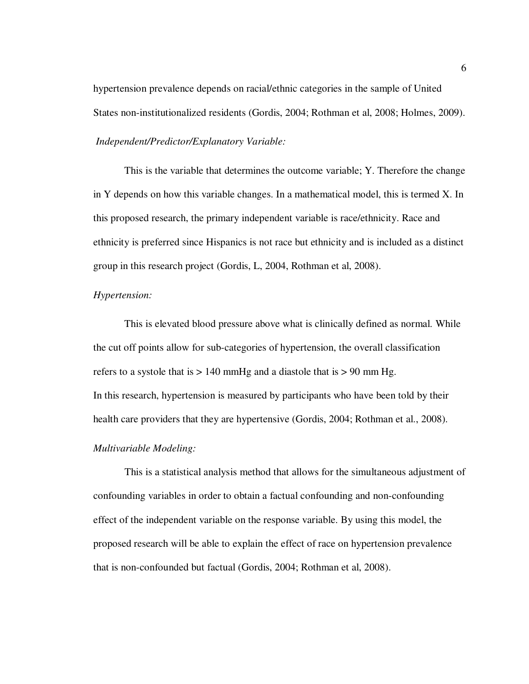hypertension prevalence depends on racial/ethnic categories in the sample of United States non-institutionalized residents (Gordis, 2004; Rothman et al, 2008; Holmes, 2009).

*Independent/Predictor/Explanatory Variable:*

This is the variable that determines the outcome variable; Y. Therefore the change in Y depends on how this variable changes. In a mathematical model, this is termed X. In this proposed research, the primary independent variable is race/ethnicity. Race and ethnicity is preferred since Hispanics is not race but ethnicity and is included as a distinct group in this research project (Gordis, L, 2004, Rothman et al, 2008).

#### *Hypertension:*

This is elevated blood pressure above what is clinically defined as normal. While the cut off points allow for sub-categories of hypertension, the overall classification refers to a systole that is  $> 140$  mmHg and a diastole that is  $> 90$  mm Hg. In this research, hypertension is measured by participants who have been told by their health care providers that they are hypertensive (Gordis, 2004; Rothman et al., 2008).

#### *Multivariable Modeling:*

This is a statistical analysis method that allows for the simultaneous adjustment of confounding variables in order to obtain a factual confounding and non-confounding effect of the independent variable on the response variable. By using this model, the proposed research will be able to explain the effect of race on hypertension prevalence that is non-confounded but factual (Gordis, 2004; Rothman et al, 2008).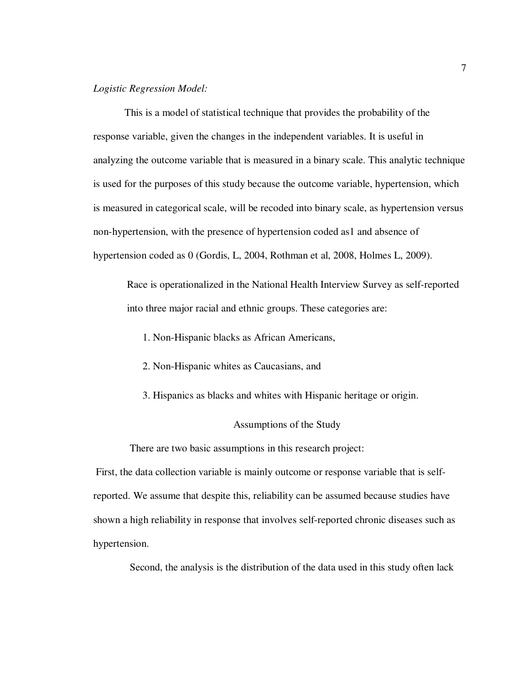#### *Logistic Regression Model:*

This is a model of statistical technique that provides the probability of the response variable, given the changes in the independent variables. It is useful in analyzing the outcome variable that is measured in a binary scale. This analytic technique is used for the purposes of this study because the outcome variable, hypertension, which is measured in categorical scale, will be recoded into binary scale, as hypertension versus non-hypertension, with the presence of hypertension coded as1 and absence of hypertension coded as 0 (Gordis, L, 2004, Rothman et al, 2008, Holmes L, 2009).

 Race is operationalized in the National Health Interview Survey as self-reported into three major racial and ethnic groups. These categories are:

- 1. Non-Hispanic blacks as African Americans,
- 2. Non-Hispanic whites as Caucasians, and
- 3. Hispanics as blacks and whites with Hispanic heritage or origin.

#### Assumptions of the Study

There are two basic assumptions in this research project:

 First, the data collection variable is mainly outcome or response variable that is selfreported. We assume that despite this, reliability can be assumed because studies have shown a high reliability in response that involves self-reported chronic diseases such as hypertension.

Second, the analysis is the distribution of the data used in this study often lack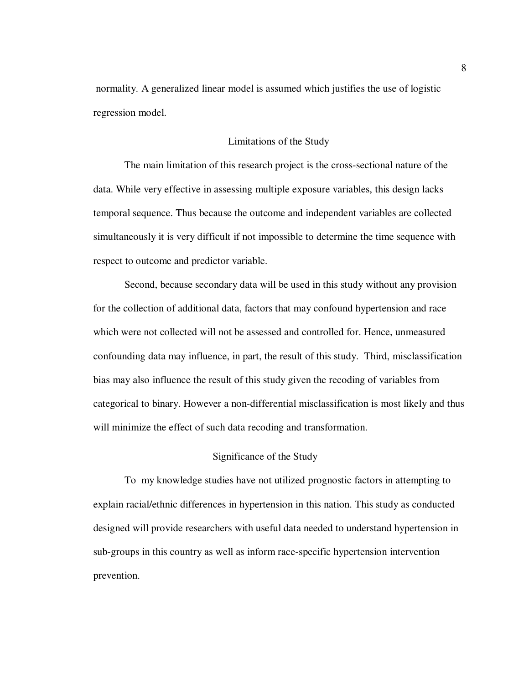normality. A generalized linear model is assumed which justifies the use of logistic regression model.

#### Limitations of the Study

The main limitation of this research project is the cross-sectional nature of the data. While very effective in assessing multiple exposure variables, this design lacks temporal sequence. Thus because the outcome and independent variables are collected simultaneously it is very difficult if not impossible to determine the time sequence with respect to outcome and predictor variable.

 Second, because secondary data will be used in this study without any provision for the collection of additional data, factors that may confound hypertension and race which were not collected will not be assessed and controlled for. Hence, unmeasured confounding data may influence, in part, the result of this study. Third, misclassification bias may also influence the result of this study given the recoding of variables from categorical to binary. However a non-differential misclassification is most likely and thus will minimize the effect of such data recoding and transformation.

#### Significance of the Study

 To my knowledge studies have not utilized prognostic factors in attempting to explain racial/ethnic differences in hypertension in this nation. This study as conducted designed will provide researchers with useful data needed to understand hypertension in sub-groups in this country as well as inform race-specific hypertension intervention prevention.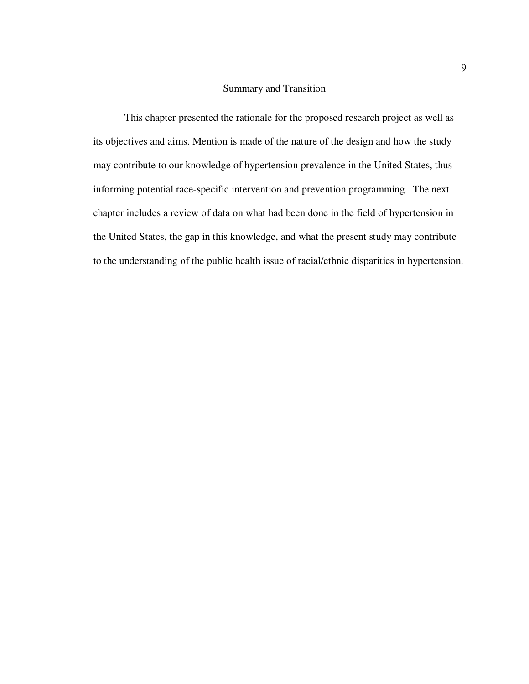#### Summary and Transition

This chapter presented the rationale for the proposed research project as well as its objectives and aims. Mention is made of the nature of the design and how the study may contribute to our knowledge of hypertension prevalence in the United States, thus informing potential race-specific intervention and prevention programming. The next chapter includes a review of data on what had been done in the field of hypertension in the United States, the gap in this knowledge, and what the present study may contribute to the understanding of the public health issue of racial/ethnic disparities in hypertension.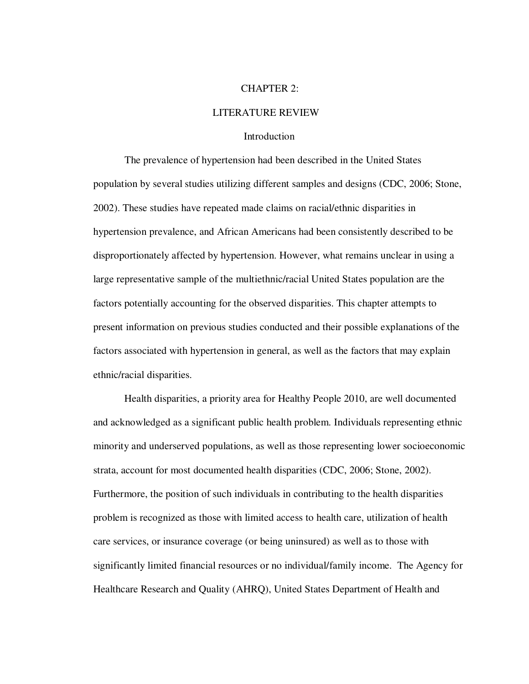#### CHAPTER 2:

#### LITERATURE REVIEW

#### Introduction

 The prevalence of hypertension had been described in the United States population by several studies utilizing different samples and designs (CDC, 2006; Stone, 2002). These studies have repeated made claims on racial/ethnic disparities in hypertension prevalence, and African Americans had been consistently described to be disproportionately affected by hypertension. However, what remains unclear in using a large representative sample of the multiethnic/racial United States population are the factors potentially accounting for the observed disparities. This chapter attempts to present information on previous studies conducted and their possible explanations of the factors associated with hypertension in general, as well as the factors that may explain ethnic/racial disparities.

Health disparities, a priority area for Healthy People 2010, are well documented and acknowledged as a significant public health problem. Individuals representing ethnic minority and underserved populations, as well as those representing lower socioeconomic strata, account for most documented health disparities (CDC, 2006; Stone, 2002). Furthermore, the position of such individuals in contributing to the health disparities problem is recognized as those with limited access to health care, utilization of health care services, or insurance coverage (or being uninsured) as well as to those with significantly limited financial resources or no individual/family income. The Agency for Healthcare Research and Quality (AHRQ), United States Department of Health and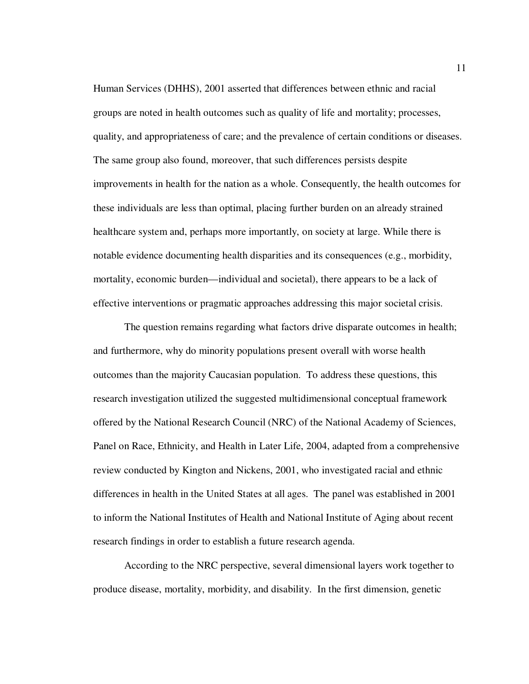Human Services (DHHS), 2001 asserted that differences between ethnic and racial groups are noted in health outcomes such as quality of life and mortality; processes, quality, and appropriateness of care; and the prevalence of certain conditions or diseases. The same group also found, moreover, that such differences persists despite improvements in health for the nation as a whole. Consequently, the health outcomes for these individuals are less than optimal, placing further burden on an already strained healthcare system and, perhaps more importantly, on society at large. While there is notable evidence documenting health disparities and its consequences (e.g., morbidity, mortality, economic burden—individual and societal), there appears to be a lack of effective interventions or pragmatic approaches addressing this major societal crisis.

The question remains regarding what factors drive disparate outcomes in health; and furthermore, why do minority populations present overall with worse health outcomes than the majority Caucasian population. To address these questions, this research investigation utilized the suggested multidimensional conceptual framework offered by the National Research Council (NRC) of the National Academy of Sciences, Panel on Race, Ethnicity, and Health in Later Life, 2004, adapted from a comprehensive review conducted by Kington and Nickens, 2001, who investigated racial and ethnic differences in health in the United States at all ages. The panel was established in 2001 to inform the National Institutes of Health and National Institute of Aging about recent research findings in order to establish a future research agenda.

According to the NRC perspective, several dimensional layers work together to produce disease, mortality, morbidity, and disability. In the first dimension, genetic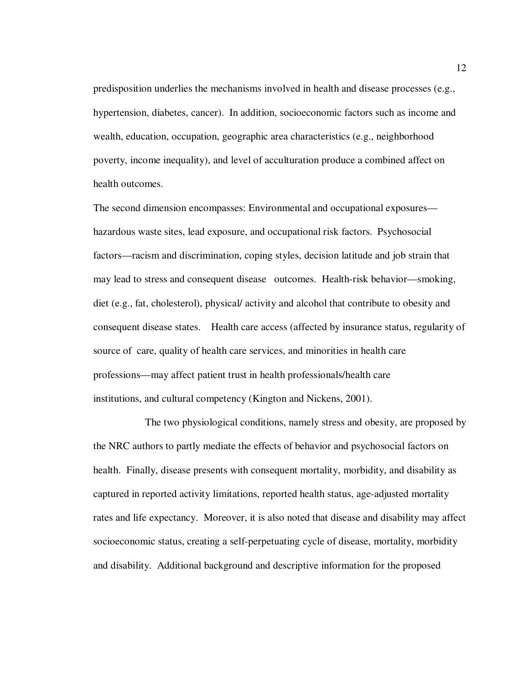predisposition underlies the mechanisms involved in health and disease processes (e.g., hypertension, diabetes, cancer). In addition, socioeconomic factors such as income and wealth, education, occupation, geographic area characteristics (e.g., neighborhood poverty, income inequality), and level of acculturation produce a combined affect on health outcomes.

The second dimension encompasses: Environmental and occupational exposures hazardous waste sites, lead exposure, and occupational risk factors. Psychosocial factors—racism and discrimination, coping styles, decision latitude and job strain that may lead to stress and consequent disease outcomes. Health-risk behavior—smoking, diet (e.g., fat, cholesterol), physical/ activity and alcohol that contribute to obesity and consequent disease states. Health care access (affected by insurance status, regularity of source of care, quality of health care services, and minorities in health care professions—may affect patient trust in health professionals/health care institutions, and cultural competency (Kington and Nickens, 2001).

 The two physiological conditions, namely stress and obesity, are proposed by the NRC authors to partly mediate the effects of behavior and psychosocial factors on health. Finally, disease presents with consequent mortality, morbidity, and disability as captured in reported activity limitations, reported health status, age-adjusted mortality rates and life expectancy. Moreover, it is also noted that disease and disability may affect socioeconomic status, creating a self-perpetuating cycle of disease, mortality, morbidity and disability. Additional background and descriptive information for the proposed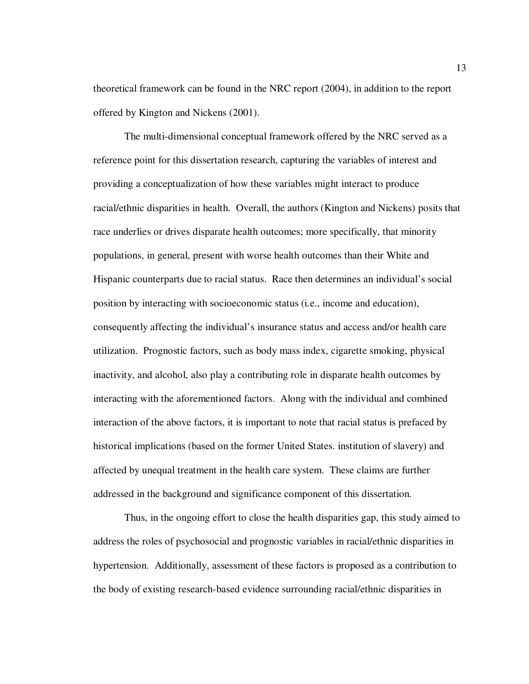theoretical framework can be found in the NRC report (2004), in addition to the report offered by Kington and Nickens (2001).

The multi-dimensional conceptual framework offered by the NRC served as a reference point for this dissertation research, capturing the variables of interest and providing a conceptualization of how these variables might interact to produce racial/ethnic disparities in health. Overall, the authors (Kington and Nickens) posits that race underlies or drives disparate health outcomes; more specifically, that minority populations, in general, present with worse health outcomes than their White and Hispanic counterparts due to racial status. Race then determines an individual's social position by interacting with socioeconomic status (i.e., income and education), consequently affecting the individual's insurance status and access and/or health care utilization. Prognostic factors, such as body mass index, cigarette smoking, physical inactivity, and alcohol, also play a contributing role in disparate health outcomes by interacting with the aforementioned factors. Along with the individual and combined interaction of the above factors, it is important to note that racial status is prefaced by historical implications (based on the former United States. institution of slavery) and affected by unequal treatment in the health care system. These claims are further addressed in the background and significance component of this dissertation.

Thus, in the ongoing effort to close the health disparities gap, this study aimed to address the roles of psychosocial and prognostic variables in racial/ethnic disparities in hypertension. Additionally, assessment of these factors is proposed as a contribution to the body of existing research-based evidence surrounding racial/ethnic disparities in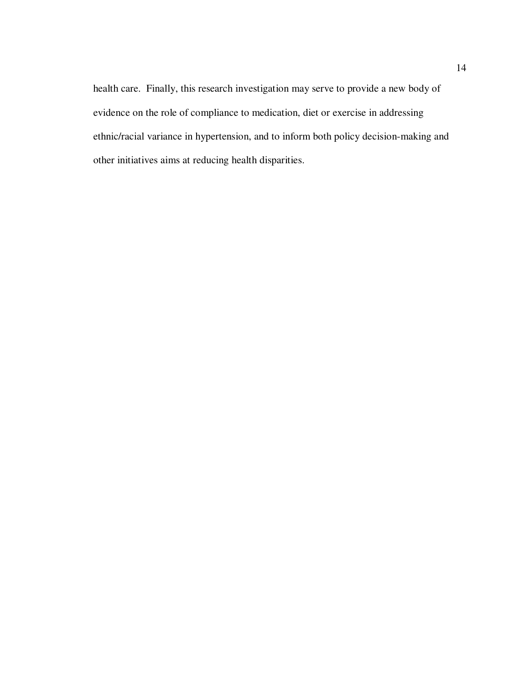health care. Finally, this research investigation may serve to provide a new body of evidence on the role of compliance to medication, diet or exercise in addressing ethnic/racial variance in hypertension, and to inform both policy decision-making and other initiatives aims at reducing health disparities.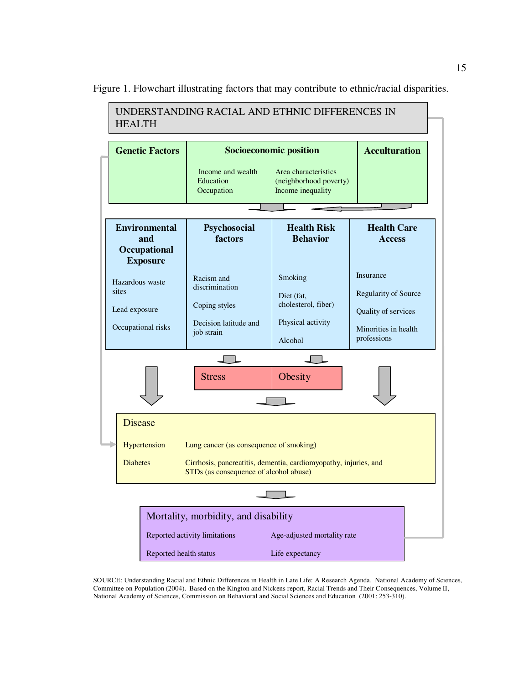UNDERSTANDING RACIAL AND ETHNIC DIFFERENCES IN HEALTH **Genetic Factors Socioeconomic position Acculturation**  Income and wealth Area characteristics<br>Education (neighborhood pover) (neighborhood poverty) Occupation Income inequality **Environmental Psychosocial Health Risk Health Care and factors Behavior Access Occupational Exposure**  Insurance Smoking Racism and Hazardous waste discrimination sites Regularity of Source Diet (fat, cholesterol, fiber) Coping styles Lead exposure Quality of services Physical activity Decision latitude and Occupational risks Minorities in health job strain professions Alcohol  $\Box$  $\Box$ Stress | Obesity **Disease** Hypertension Lung cancer (as consequence of smoking) Diabetes Cirrhosis, pancreatitis, dementia, cardiomyopathy, injuries, and STDs (as consequence of alcohol abuse) Mortality, morbidity, and disability Reported activity limitations Age-adjusted mortality rate Reported health status Life expectancy

Figure 1. Flowchart illustrating factors that may contribute to ethnic/racial disparities.

SOURCE: Understanding Racial and Ethnic Differences in Health in Late Life: A Research Agenda. National Academy of Sciences, Committee on Population (2004). Based on the Kington and Nickens report, Racial Trends and Their Consequences, Volume II, National Academy of Sciences, Commission on Behavioral and Social Sciences and Education (2001: 253-310).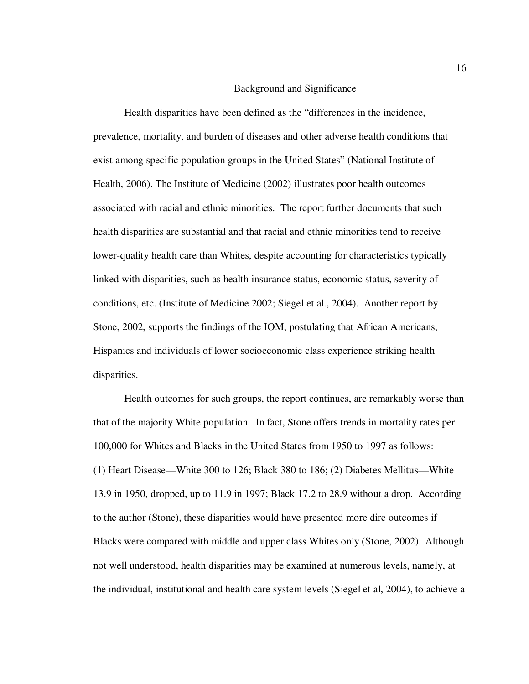#### Background and Significance

Health disparities have been defined as the "differences in the incidence, prevalence, mortality, and burden of diseases and other adverse health conditions that exist among specific population groups in the United States" (National Institute of Health, 2006). The Institute of Medicine (2002) illustrates poor health outcomes associated with racial and ethnic minorities. The report further documents that such health disparities are substantial and that racial and ethnic minorities tend to receive lower-quality health care than Whites, despite accounting for characteristics typically linked with disparities, such as health insurance status, economic status, severity of conditions, etc. (Institute of Medicine 2002; Siegel et al., 2004). Another report by Stone, 2002, supports the findings of the IOM, postulating that African Americans, Hispanics and individuals of lower socioeconomic class experience striking health disparities.

Health outcomes for such groups, the report continues, are remarkably worse than that of the majority White population. In fact, Stone offers trends in mortality rates per 100,000 for Whites and Blacks in the United States from 1950 to 1997 as follows: (1) Heart Disease—White 300 to 126; Black 380 to 186; (2) Diabetes Mellitus—White 13.9 in 1950, dropped, up to 11.9 in 1997; Black 17.2 to 28.9 without a drop. According to the author (Stone), these disparities would have presented more dire outcomes if Blacks were compared with middle and upper class Whites only (Stone, 2002). Although not well understood, health disparities may be examined at numerous levels, namely, at the individual, institutional and health care system levels (Siegel et al, 2004), to achieve a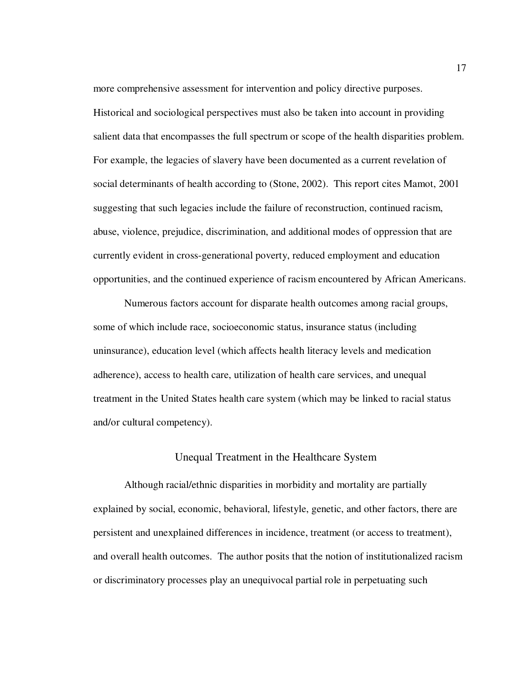more comprehensive assessment for intervention and policy directive purposes. Historical and sociological perspectives must also be taken into account in providing salient data that encompasses the full spectrum or scope of the health disparities problem. For example, the legacies of slavery have been documented as a current revelation of social determinants of health according to (Stone, 2002). This report cites Mamot, 2001 suggesting that such legacies include the failure of reconstruction, continued racism, abuse, violence, prejudice, discrimination, and additional modes of oppression that are currently evident in cross-generational poverty, reduced employment and education opportunities, and the continued experience of racism encountered by African Americans.

Numerous factors account for disparate health outcomes among racial groups, some of which include race, socioeconomic status, insurance status (including uninsurance), education level (which affects health literacy levels and medication adherence), access to health care, utilization of health care services, and unequal treatment in the United States health care system (which may be linked to racial status and/or cultural competency).

#### Unequal Treatment in the Healthcare System

Although racial/ethnic disparities in morbidity and mortality are partially explained by social, economic, behavioral, lifestyle, genetic, and other factors, there are persistent and unexplained differences in incidence, treatment (or access to treatment), and overall health outcomes. The author posits that the notion of institutionalized racism or discriminatory processes play an unequivocal partial role in perpetuating such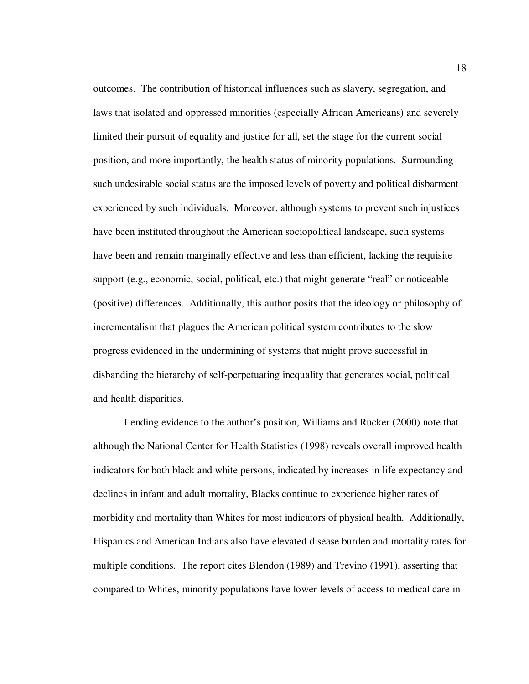outcomes. The contribution of historical influences such as slavery, segregation, and laws that isolated and oppressed minorities (especially African Americans) and severely limited their pursuit of equality and justice for all, set the stage for the current social position, and more importantly, the health status of minority populations. Surrounding such undesirable social status are the imposed levels of poverty and political disbarment experienced by such individuals. Moreover, although systems to prevent such injustices have been instituted throughout the American sociopolitical landscape, such systems have been and remain marginally effective and less than efficient, lacking the requisite support (e.g., economic, social, political, etc.) that might generate "real" or noticeable (positive) differences. Additionally, this author posits that the ideology or philosophy of incrementalism that plagues the American political system contributes to the slow progress evidenced in the undermining of systems that might prove successful in disbanding the hierarchy of self-perpetuating inequality that generates social, political and health disparities.

Lending evidence to the author's position, Williams and Rucker (2000) note that although the National Center for Health Statistics (1998) reveals overall improved health indicators for both black and white persons, indicated by increases in life expectancy and declines in infant and adult mortality, Blacks continue to experience higher rates of morbidity and mortality than Whites for most indicators of physical health. Additionally, Hispanics and American Indians also have elevated disease burden and mortality rates for multiple conditions. The report cites Blendon (1989) and Trevino (1991), asserting that compared to Whites, minority populations have lower levels of access to medical care in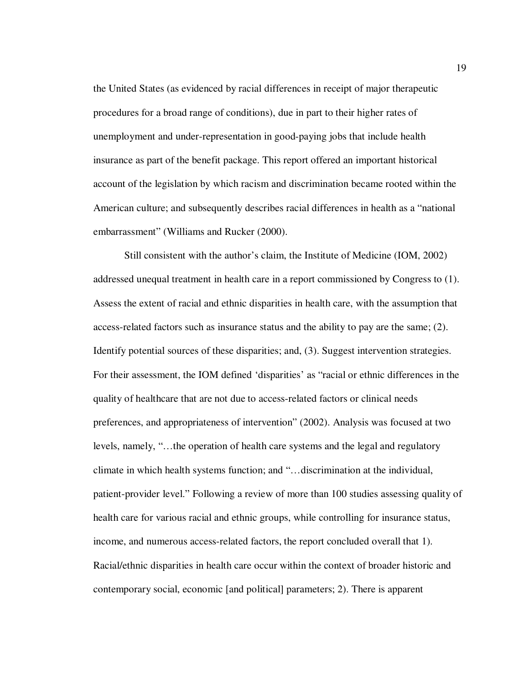the United States (as evidenced by racial differences in receipt of major therapeutic procedures for a broad range of conditions), due in part to their higher rates of unemployment and under-representation in good-paying jobs that include health insurance as part of the benefit package. This report offered an important historical account of the legislation by which racism and discrimination became rooted within the American culture; and subsequently describes racial differences in health as a "national embarrassment" (Williams and Rucker (2000).

Still consistent with the author's claim, the Institute of Medicine (IOM, 2002) addressed unequal treatment in health care in a report commissioned by Congress to (1). Assess the extent of racial and ethnic disparities in health care, with the assumption that access-related factors such as insurance status and the ability to pay are the same; (2). Identify potential sources of these disparities; and, (3). Suggest intervention strategies. For their assessment, the IOM defined 'disparities' as "racial or ethnic differences in the quality of healthcare that are not due to access-related factors or clinical needs preferences, and appropriateness of intervention" (2002). Analysis was focused at two levels, namely, "…the operation of health care systems and the legal and regulatory climate in which health systems function; and "…discrimination at the individual, patient-provider level." Following a review of more than 100 studies assessing quality of health care for various racial and ethnic groups, while controlling for insurance status, income, and numerous access-related factors, the report concluded overall that 1). Racial/ethnic disparities in health care occur within the context of broader historic and contemporary social, economic [and political] parameters; 2). There is apparent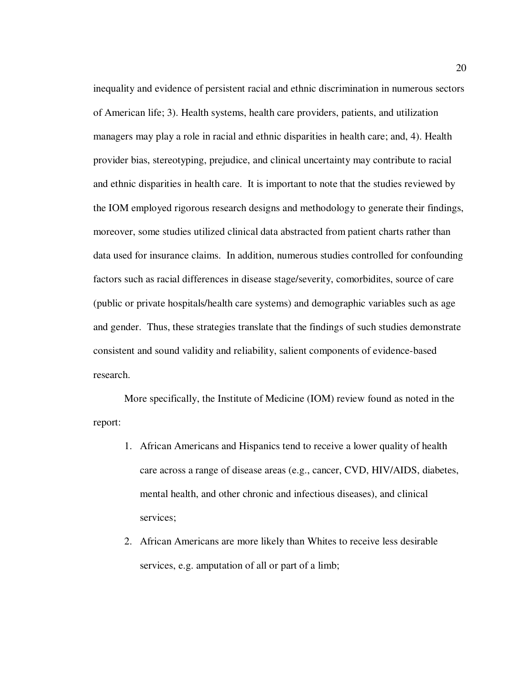inequality and evidence of persistent racial and ethnic discrimination in numerous sectors of American life; 3). Health systems, health care providers, patients, and utilization managers may play a role in racial and ethnic disparities in health care; and, 4). Health provider bias, stereotyping, prejudice, and clinical uncertainty may contribute to racial and ethnic disparities in health care. It is important to note that the studies reviewed by the IOM employed rigorous research designs and methodology to generate their findings, moreover, some studies utilized clinical data abstracted from patient charts rather than data used for insurance claims. In addition, numerous studies controlled for confounding factors such as racial differences in disease stage/severity, comorbidites, source of care (public or private hospitals/health care systems) and demographic variables such as age and gender. Thus, these strategies translate that the findings of such studies demonstrate consistent and sound validity and reliability, salient components of evidence-based research.

More specifically, the Institute of Medicine (IOM) review found as noted in the report:

- 1. African Americans and Hispanics tend to receive a lower quality of health care across a range of disease areas (e.g., cancer, CVD, HIV/AIDS, diabetes, mental health, and other chronic and infectious diseases), and clinical services;
- 2. African Americans are more likely than Whites to receive less desirable services, e.g. amputation of all or part of a limb;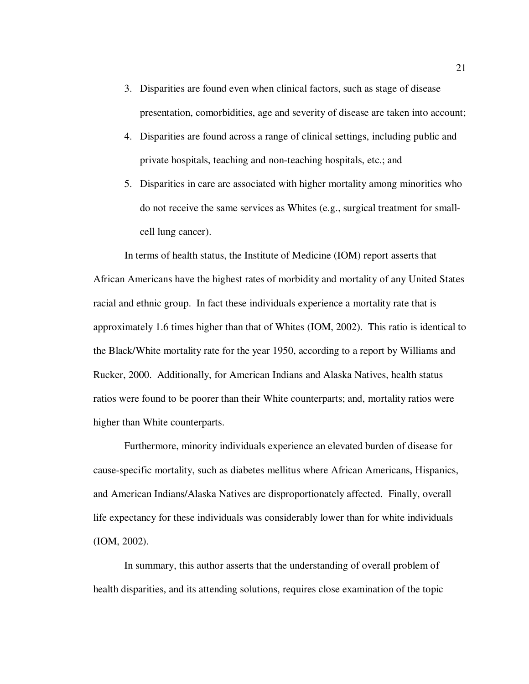- 3. Disparities are found even when clinical factors, such as stage of disease presentation, comorbidities, age and severity of disease are taken into account;
- 4. Disparities are found across a range of clinical settings, including public and private hospitals, teaching and non-teaching hospitals, etc.; and
- 5. Disparities in care are associated with higher mortality among minorities who do not receive the same services as Whites (e.g., surgical treatment for smallcell lung cancer).

 In terms of health status, the Institute of Medicine (IOM) report asserts that African Americans have the highest rates of morbidity and mortality of any United States racial and ethnic group. In fact these individuals experience a mortality rate that is approximately 1.6 times higher than that of Whites (IOM, 2002). This ratio is identical to the Black/White mortality rate for the year 1950, according to a report by Williams and Rucker, 2000. Additionally, for American Indians and Alaska Natives, health status ratios were found to be poorer than their White counterparts; and, mortality ratios were higher than White counterparts.

Furthermore, minority individuals experience an elevated burden of disease for cause-specific mortality, such as diabetes mellitus where African Americans, Hispanics, and American Indians/Alaska Natives are disproportionately affected. Finally, overall life expectancy for these individuals was considerably lower than for white individuals (IOM, 2002).

In summary, this author asserts that the understanding of overall problem of health disparities, and its attending solutions, requires close examination of the topic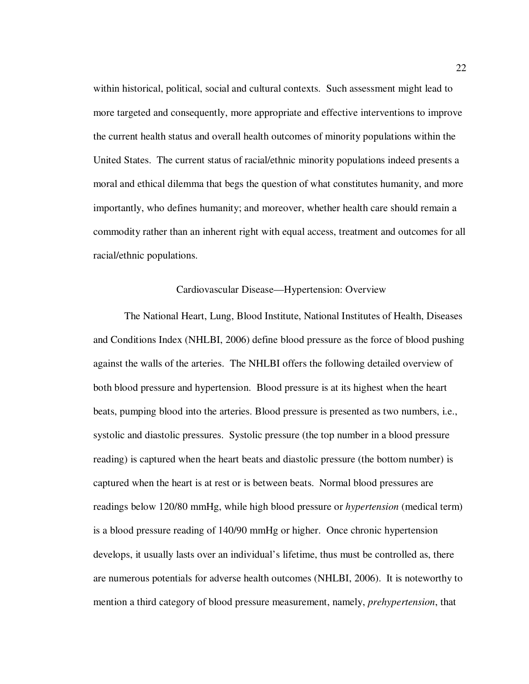within historical, political, social and cultural contexts. Such assessment might lead to more targeted and consequently, more appropriate and effective interventions to improve the current health status and overall health outcomes of minority populations within the United States. The current status of racial/ethnic minority populations indeed presents a moral and ethical dilemma that begs the question of what constitutes humanity, and more importantly, who defines humanity; and moreover, whether health care should remain a commodity rather than an inherent right with equal access, treatment and outcomes for all racial/ethnic populations.

#### Cardiovascular Disease—Hypertension: Overview

The National Heart, Lung, Blood Institute, National Institutes of Health, Diseases and Conditions Index (NHLBI, 2006) define blood pressure as the force of blood pushing against the walls of the arteries. The NHLBI offers the following detailed overview of both blood pressure and hypertension. Blood pressure is at its highest when the heart beats, pumping blood into the arteries. Blood pressure is presented as two numbers, i.e., systolic and diastolic pressures. Systolic pressure (the top number in a blood pressure reading) is captured when the heart beats and diastolic pressure (the bottom number) is captured when the heart is at rest or is between beats. Normal blood pressures are readings below 120/80 mmHg, while high blood pressure or *hypertension* (medical term) is a blood pressure reading of 140/90 mmHg or higher. Once chronic hypertension develops, it usually lasts over an individual's lifetime, thus must be controlled as, there are numerous potentials for adverse health outcomes (NHLBI, 2006). It is noteworthy to mention a third category of blood pressure measurement, namely, *prehypertension*, that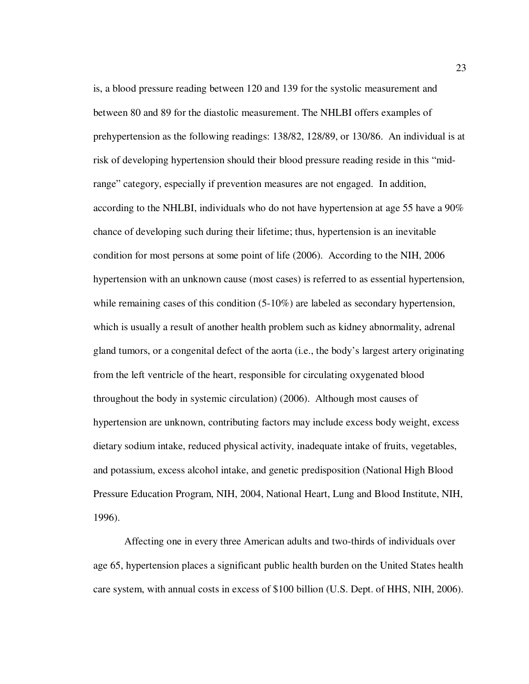is, a blood pressure reading between 120 and 139 for the systolic measurement and between 80 and 89 for the diastolic measurement. The NHLBI offers examples of prehypertension as the following readings: 138/82, 128/89, or 130/86. An individual is at risk of developing hypertension should their blood pressure reading reside in this "midrange" category, especially if prevention measures are not engaged. In addition, according to the NHLBI, individuals who do not have hypertension at age 55 have a 90% chance of developing such during their lifetime; thus, hypertension is an inevitable condition for most persons at some point of life (2006). According to the NIH, 2006 hypertension with an unknown cause (most cases) is referred to as essential hypertension, while remaining cases of this condition  $(5-10\%)$  are labeled as secondary hypertension, which is usually a result of another health problem such as kidney abnormality, adrenal gland tumors, or a congenital defect of the aorta (i.e., the body's largest artery originating from the left ventricle of the heart, responsible for circulating oxygenated blood throughout the body in systemic circulation) (2006). Although most causes of hypertension are unknown, contributing factors may include excess body weight, excess dietary sodium intake, reduced physical activity, inadequate intake of fruits, vegetables, and potassium, excess alcohol intake, and genetic predisposition (National High Blood Pressure Education Program, NIH, 2004, National Heart, Lung and Blood Institute, NIH, 1996).

Affecting one in every three American adults and two-thirds of individuals over age 65, hypertension places a significant public health burden on the United States health care system, with annual costs in excess of \$100 billion (U.S. Dept. of HHS, NIH, 2006).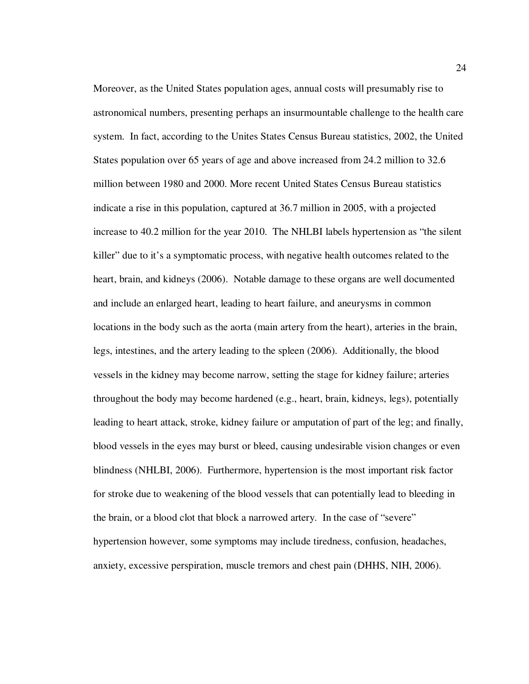Moreover, as the United States population ages, annual costs will presumably rise to astronomical numbers, presenting perhaps an insurmountable challenge to the health care system. In fact, according to the Unites States Census Bureau statistics, 2002, the United States population over 65 years of age and above increased from 24.2 million to 32.6 million between 1980 and 2000. More recent United States Census Bureau statistics indicate a rise in this population, captured at 36.7 million in 2005, with a projected increase to 40.2 million for the year 2010. The NHLBI labels hypertension as "the silent killer" due to it's a symptomatic process, with negative health outcomes related to the heart, brain, and kidneys (2006). Notable damage to these organs are well documented and include an enlarged heart, leading to heart failure, and aneurysms in common locations in the body such as the aorta (main artery from the heart), arteries in the brain, legs, intestines, and the artery leading to the spleen (2006). Additionally, the blood vessels in the kidney may become narrow, setting the stage for kidney failure; arteries throughout the body may become hardened (e.g., heart, brain, kidneys, legs), potentially leading to heart attack, stroke, kidney failure or amputation of part of the leg; and finally, blood vessels in the eyes may burst or bleed, causing undesirable vision changes or even blindness (NHLBI, 2006). Furthermore, hypertension is the most important risk factor for stroke due to weakening of the blood vessels that can potentially lead to bleeding in the brain, or a blood clot that block a narrowed artery. In the case of "severe" hypertension however, some symptoms may include tiredness, confusion, headaches, anxiety, excessive perspiration, muscle tremors and chest pain (DHHS, NIH, 2006).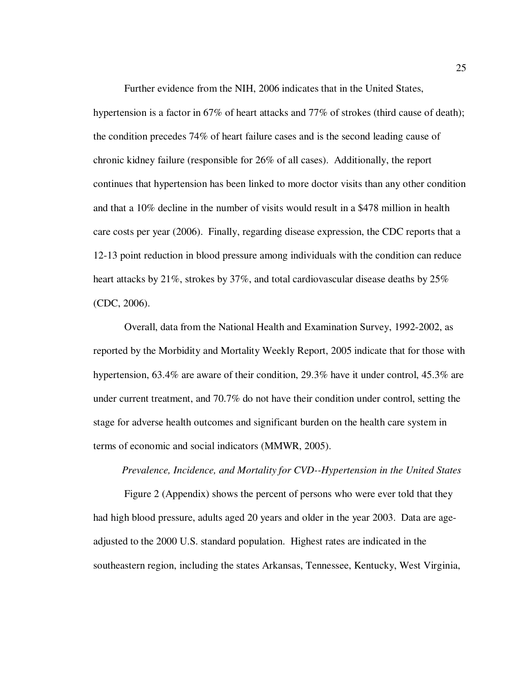Further evidence from the NIH, 2006 indicates that in the United States,

hypertension is a factor in 67% of heart attacks and 77% of strokes (third cause of death); the condition precedes 74% of heart failure cases and is the second leading cause of chronic kidney failure (responsible for 26% of all cases). Additionally, the report continues that hypertension has been linked to more doctor visits than any other condition and that a 10% decline in the number of visits would result in a \$478 million in health care costs per year (2006). Finally, regarding disease expression, the CDC reports that a 12-13 point reduction in blood pressure among individuals with the condition can reduce heart attacks by 21%, strokes by 37%, and total cardiovascular disease deaths by 25% (CDC, 2006).

Overall, data from the National Health and Examination Survey, 1992-2002, as reported by the Morbidity and Mortality Weekly Report, 2005 indicate that for those with hypertension, 63.4% are aware of their condition, 29.3% have it under control, 45.3% are under current treatment, and 70.7% do not have their condition under control, setting the stage for adverse health outcomes and significant burden on the health care system in terms of economic and social indicators (MMWR, 2005).

## *Prevalence, Incidence, and Mortality for CVD--Hypertension in the United States*

Figure 2 (Appendix) shows the percent of persons who were ever told that they had high blood pressure, adults aged 20 years and older in the year 2003. Data are ageadjusted to the 2000 U.S. standard population. Highest rates are indicated in the southeastern region, including the states Arkansas, Tennessee, Kentucky, West Virginia,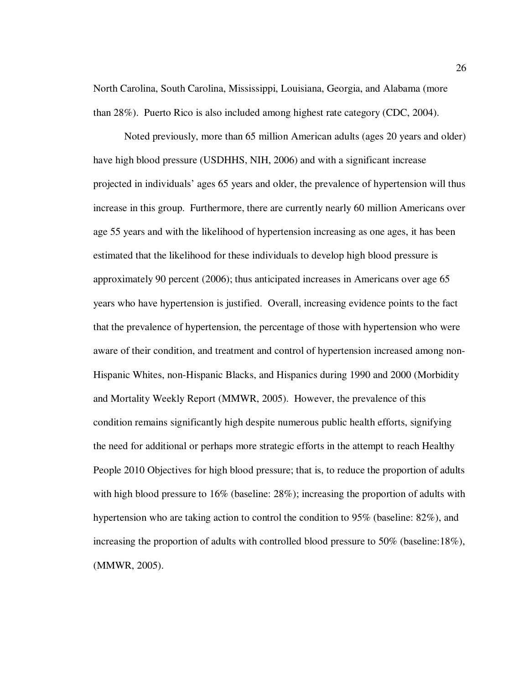North Carolina, South Carolina, Mississippi, Louisiana, Georgia, and Alabama (more than 28%). Puerto Rico is also included among highest rate category (CDC, 2004).

Noted previously, more than 65 million American adults (ages 20 years and older) have high blood pressure (USDHHS, NIH, 2006) and with a significant increase projected in individuals' ages 65 years and older, the prevalence of hypertension will thus increase in this group. Furthermore, there are currently nearly 60 million Americans over age 55 years and with the likelihood of hypertension increasing as one ages, it has been estimated that the likelihood for these individuals to develop high blood pressure is approximately 90 percent (2006); thus anticipated increases in Americans over age 65 years who have hypertension is justified. Overall, increasing evidence points to the fact that the prevalence of hypertension, the percentage of those with hypertension who were aware of their condition, and treatment and control of hypertension increased among non-Hispanic Whites, non-Hispanic Blacks, and Hispanics during 1990 and 2000 (Morbidity and Mortality Weekly Report (MMWR, 2005). However, the prevalence of this condition remains significantly high despite numerous public health efforts, signifying the need for additional or perhaps more strategic efforts in the attempt to reach Healthy People 2010 Objectives for high blood pressure; that is, to reduce the proportion of adults with high blood pressure to 16% (baseline: 28%); increasing the proportion of adults with hypertension who are taking action to control the condition to 95% (baseline: 82%), and increasing the proportion of adults with controlled blood pressure to 50% (baseline:18%), (MMWR, 2005).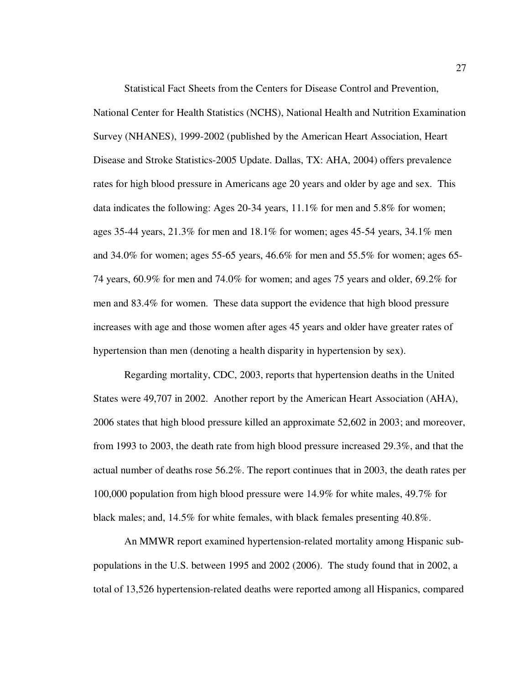Statistical Fact Sheets from the Centers for Disease Control and Prevention,

National Center for Health Statistics (NCHS), National Health and Nutrition Examination Survey (NHANES), 1999-2002 (published by the American Heart Association, Heart Disease and Stroke Statistics-2005 Update. Dallas, TX: AHA, 2004) offers prevalence rates for high blood pressure in Americans age 20 years and older by age and sex. This data indicates the following: Ages 20-34 years, 11.1% for men and 5.8% for women; ages 35-44 years, 21.3% for men and 18.1% for women; ages 45-54 years, 34.1% men and 34.0% for women; ages 55-65 years, 46.6% for men and 55.5% for women; ages 65- 74 years, 60.9% for men and 74.0% for women; and ages 75 years and older, 69.2% for men and 83.4% for women. These data support the evidence that high blood pressure increases with age and those women after ages 45 years and older have greater rates of hypertension than men (denoting a health disparity in hypertension by sex).

 Regarding mortality, CDC, 2003, reports that hypertension deaths in the United States were 49,707 in 2002. Another report by the American Heart Association (AHA), 2006 states that high blood pressure killed an approximate 52,602 in 2003; and moreover, from 1993 to 2003, the death rate from high blood pressure increased 29.3%, and that the actual number of deaths rose 56.2%. The report continues that in 2003, the death rates per 100,000 population from high blood pressure were 14.9% for white males, 49.7% for black males; and, 14.5% for white females, with black females presenting 40.8%.

 An MMWR report examined hypertension-related mortality among Hispanic subpopulations in the U.S. between 1995 and 2002 (2006). The study found that in 2002, a total of 13,526 hypertension-related deaths were reported among all Hispanics, compared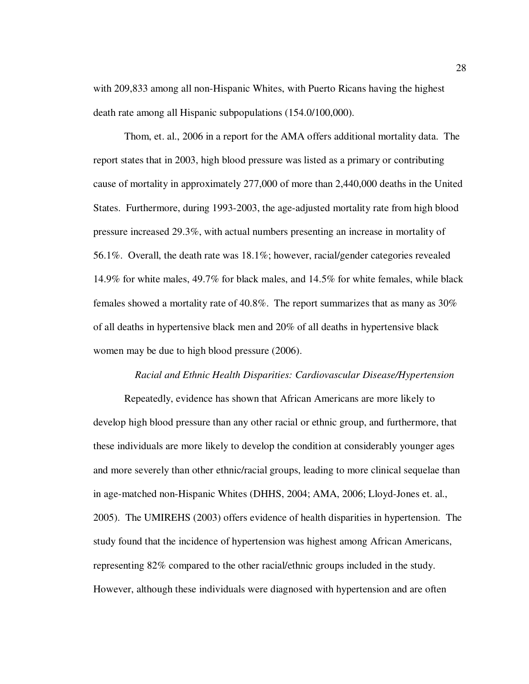with 209,833 among all non-Hispanic Whites, with Puerto Ricans having the highest death rate among all Hispanic subpopulations (154.0/100,000).

 Thom, et. al., 2006 in a report for the AMA offers additional mortality data. The report states that in 2003, high blood pressure was listed as a primary or contributing cause of mortality in approximately 277,000 of more than 2,440,000 deaths in the United States. Furthermore, during 1993-2003, the age-adjusted mortality rate from high blood pressure increased 29.3%, with actual numbers presenting an increase in mortality of 56.1%. Overall, the death rate was 18.1%; however, racial/gender categories revealed 14.9% for white males, 49.7% for black males, and 14.5% for white females, while black females showed a mortality rate of 40.8%. The report summarizes that as many as 30% of all deaths in hypertensive black men and 20% of all deaths in hypertensive black women may be due to high blood pressure (2006).

## *Racial and Ethnic Health Disparities: Cardiovascular Disease/Hypertension*

Repeatedly, evidence has shown that African Americans are more likely to develop high blood pressure than any other racial or ethnic group, and furthermore, that these individuals are more likely to develop the condition at considerably younger ages and more severely than other ethnic/racial groups, leading to more clinical sequelae than in age-matched non-Hispanic Whites (DHHS, 2004; AMA, 2006; Lloyd-Jones et. al., 2005). The UMIREHS (2003) offers evidence of health disparities in hypertension. The study found that the incidence of hypertension was highest among African Americans, representing 82% compared to the other racial/ethnic groups included in the study. However, although these individuals were diagnosed with hypertension and are often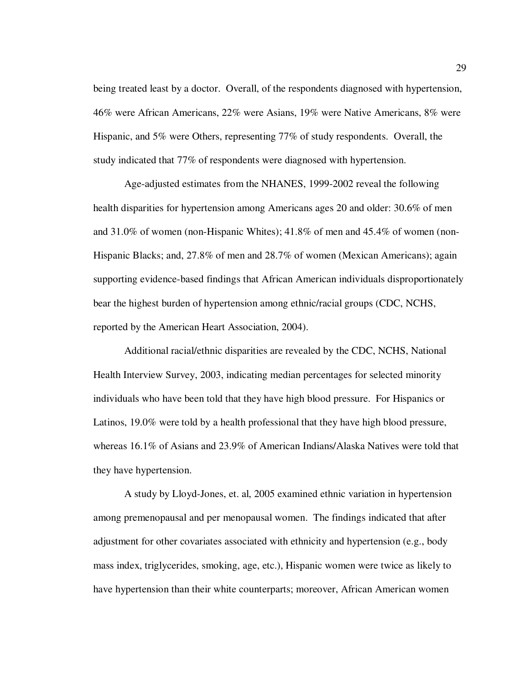being treated least by a doctor. Overall, of the respondents diagnosed with hypertension, 46% were African Americans, 22% were Asians, 19% were Native Americans, 8% were Hispanic, and 5% were Others, representing 77% of study respondents. Overall, the study indicated that 77% of respondents were diagnosed with hypertension.

Age-adjusted estimates from the NHANES, 1999-2002 reveal the following health disparities for hypertension among Americans ages 20 and older: 30.6% of men and 31.0% of women (non-Hispanic Whites); 41.8% of men and 45.4% of women (non-Hispanic Blacks; and, 27.8% of men and 28.7% of women (Mexican Americans); again supporting evidence-based findings that African American individuals disproportionately bear the highest burden of hypertension among ethnic/racial groups (CDC, NCHS, reported by the American Heart Association, 2004).

Additional racial/ethnic disparities are revealed by the CDC, NCHS, National Health Interview Survey, 2003, indicating median percentages for selected minority individuals who have been told that they have high blood pressure. For Hispanics or Latinos, 19.0% were told by a health professional that they have high blood pressure, whereas 16.1% of Asians and 23.9% of American Indians/Alaska Natives were told that they have hypertension.

A study by Lloyd-Jones, et. al, 2005 examined ethnic variation in hypertension among premenopausal and per menopausal women. The findings indicated that after adjustment for other covariates associated with ethnicity and hypertension (e.g., body mass index, triglycerides, smoking, age, etc.), Hispanic women were twice as likely to have hypertension than their white counterparts; moreover, African American women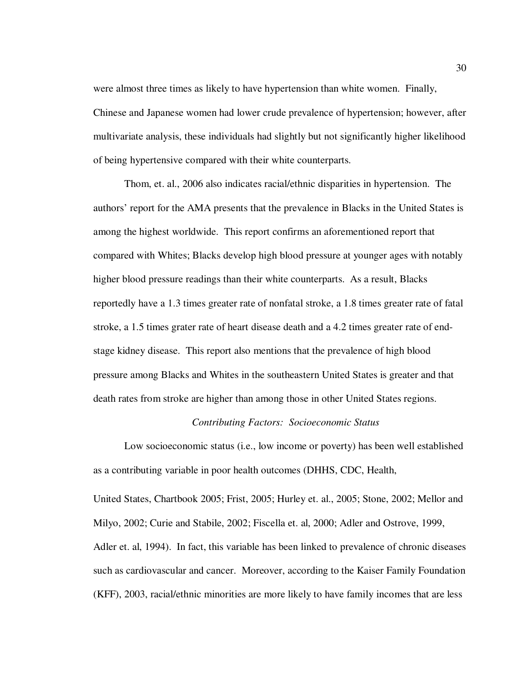were almost three times as likely to have hypertension than white women. Finally, Chinese and Japanese women had lower crude prevalence of hypertension; however, after multivariate analysis, these individuals had slightly but not significantly higher likelihood of being hypertensive compared with their white counterparts.

Thom, et. al., 2006 also indicates racial/ethnic disparities in hypertension. The authors' report for the AMA presents that the prevalence in Blacks in the United States is among the highest worldwide. This report confirms an aforementioned report that compared with Whites; Blacks develop high blood pressure at younger ages with notably higher blood pressure readings than their white counterparts. As a result, Blacks reportedly have a 1.3 times greater rate of nonfatal stroke, a 1.8 times greater rate of fatal stroke, a 1.5 times grater rate of heart disease death and a 4.2 times greater rate of endstage kidney disease. This report also mentions that the prevalence of high blood pressure among Blacks and Whites in the southeastern United States is greater and that death rates from stroke are higher than among those in other United States regions.

# *Contributing Factors: Socioeconomic Status*

Low socioeconomic status (i.e., low income or poverty) has been well established as a contributing variable in poor health outcomes (DHHS, CDC, Health,

United States, Chartbook 2005; Frist, 2005; Hurley et. al., 2005; Stone, 2002; Mellor and Milyo, 2002; Curie and Stabile, 2002; Fiscella et. al, 2000; Adler and Ostrove, 1999, Adler et. al, 1994). In fact, this variable has been linked to prevalence of chronic diseases such as cardiovascular and cancer. Moreover, according to the Kaiser Family Foundation (KFF), 2003, racial/ethnic minorities are more likely to have family incomes that are less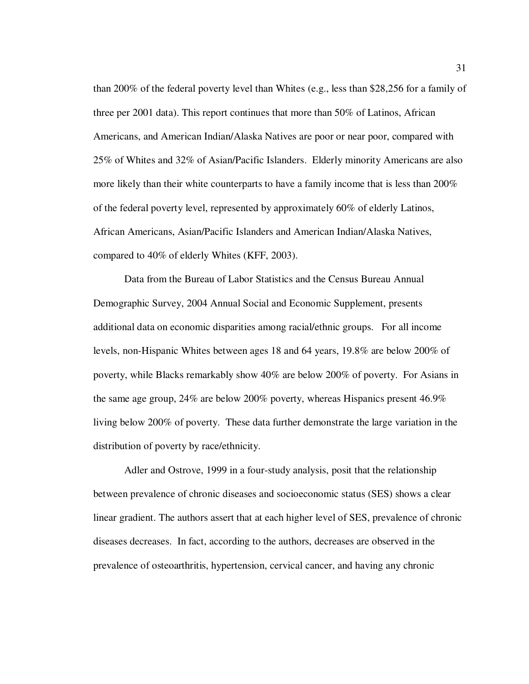than 200% of the federal poverty level than Whites (e.g., less than \$28,256 for a family of three per 2001 data). This report continues that more than 50% of Latinos, African Americans, and American Indian/Alaska Natives are poor or near poor, compared with 25% of Whites and 32% of Asian/Pacific Islanders. Elderly minority Americans are also more likely than their white counterparts to have a family income that is less than 200% of the federal poverty level, represented by approximately 60% of elderly Latinos, African Americans, Asian/Pacific Islanders and American Indian/Alaska Natives, compared to 40% of elderly Whites (KFF, 2003).

Data from the Bureau of Labor Statistics and the Census Bureau Annual Demographic Survey, 2004 Annual Social and Economic Supplement, presents additional data on economic disparities among racial/ethnic groups. For all income levels, non-Hispanic Whites between ages 18 and 64 years, 19.8% are below 200% of poverty, while Blacks remarkably show 40% are below 200% of poverty. For Asians in the same age group, 24% are below 200% poverty, whereas Hispanics present 46.9% living below 200% of poverty. These data further demonstrate the large variation in the distribution of poverty by race/ethnicity.

Adler and Ostrove, 1999 in a four-study analysis, posit that the relationship between prevalence of chronic diseases and socioeconomic status (SES) shows a clear linear gradient. The authors assert that at each higher level of SES, prevalence of chronic diseases decreases. In fact, according to the authors, decreases are observed in the prevalence of osteoarthritis, hypertension, cervical cancer, and having any chronic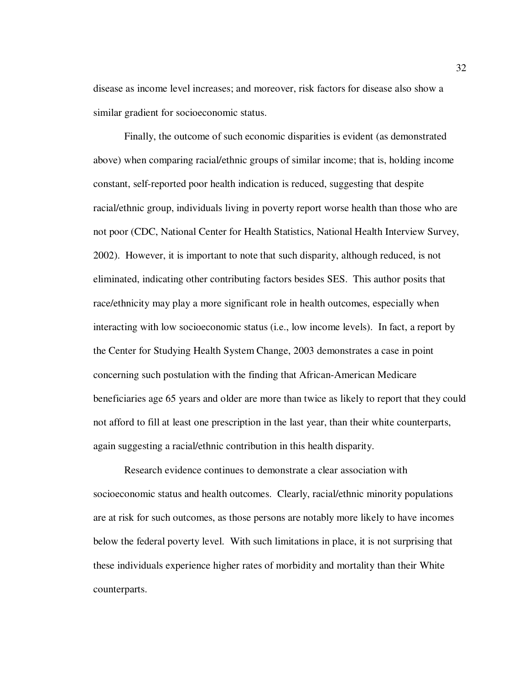disease as income level increases; and moreover, risk factors for disease also show a similar gradient for socioeconomic status.

Finally, the outcome of such economic disparities is evident (as demonstrated above) when comparing racial/ethnic groups of similar income; that is, holding income constant, self-reported poor health indication is reduced, suggesting that despite racial/ethnic group, individuals living in poverty report worse health than those who are not poor (CDC, National Center for Health Statistics, National Health Interview Survey, 2002). However, it is important to note that such disparity, although reduced, is not eliminated, indicating other contributing factors besides SES. This author posits that race/ethnicity may play a more significant role in health outcomes, especially when interacting with low socioeconomic status (i.e., low income levels). In fact, a report by the Center for Studying Health System Change, 2003 demonstrates a case in point concerning such postulation with the finding that African-American Medicare beneficiaries age 65 years and older are more than twice as likely to report that they could not afford to fill at least one prescription in the last year, than their white counterparts, again suggesting a racial/ethnic contribution in this health disparity.

Research evidence continues to demonstrate a clear association with socioeconomic status and health outcomes. Clearly, racial/ethnic minority populations are at risk for such outcomes, as those persons are notably more likely to have incomes below the federal poverty level. With such limitations in place, it is not surprising that these individuals experience higher rates of morbidity and mortality than their White counterparts.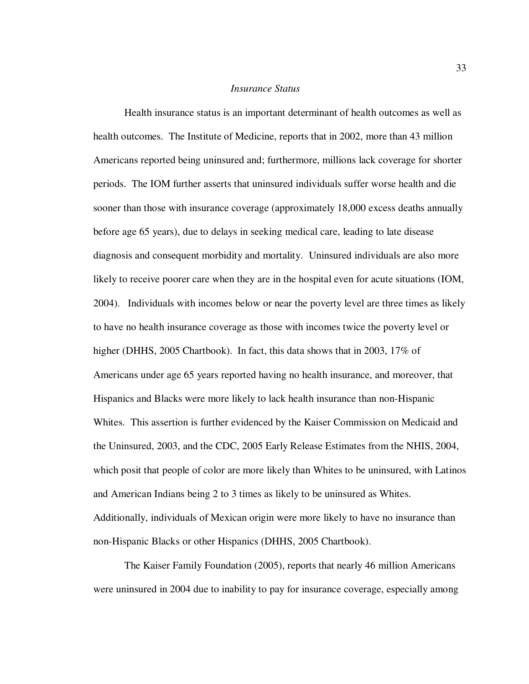#### *Insurance Status*

Health insurance status is an important determinant of health outcomes as well as health outcomes. The Institute of Medicine, reports that in 2002, more than 43 million Americans reported being uninsured and; furthermore, millions lack coverage for shorter periods. The IOM further asserts that uninsured individuals suffer worse health and die sooner than those with insurance coverage (approximately 18,000 excess deaths annually before age 65 years), due to delays in seeking medical care, leading to late disease diagnosis and consequent morbidity and mortality. Uninsured individuals are also more likely to receive poorer care when they are in the hospital even for acute situations (IOM, 2004). Individuals with incomes below or near the poverty level are three times as likely to have no health insurance coverage as those with incomes twice the poverty level or higher (DHHS, 2005 Chartbook). In fact, this data shows that in 2003, 17% of Americans under age 65 years reported having no health insurance, and moreover, that Hispanics and Blacks were more likely to lack health insurance than non-Hispanic Whites. This assertion is further evidenced by the Kaiser Commission on Medicaid and the Uninsured, 2003, and the CDC, 2005 Early Release Estimates from the NHIS, 2004, which posit that people of color are more likely than Whites to be uninsured, with Latinos and American Indians being 2 to 3 times as likely to be uninsured as Whites. Additionally, individuals of Mexican origin were more likely to have no insurance than non-Hispanic Blacks or other Hispanics (DHHS, 2005 Chartbook).

The Kaiser Family Foundation (2005), reports that nearly 46 million Americans were uninsured in 2004 due to inability to pay for insurance coverage, especially among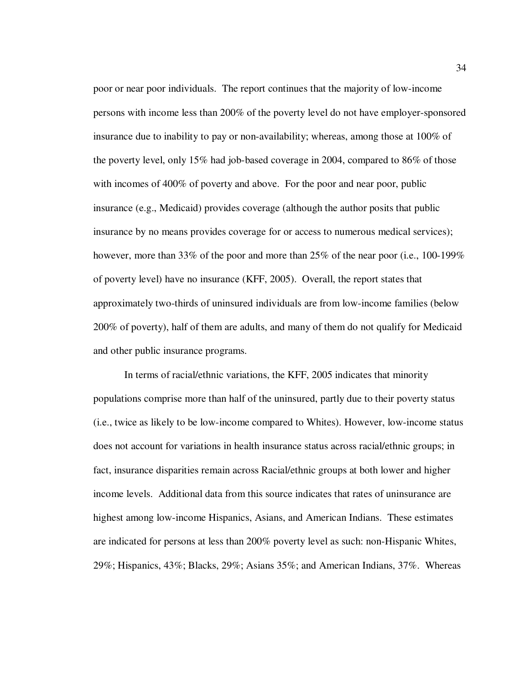poor or near poor individuals. The report continues that the majority of low-income persons with income less than 200% of the poverty level do not have employer-sponsored insurance due to inability to pay or non-availability; whereas, among those at 100% of the poverty level, only 15% had job-based coverage in 2004, compared to 86% of those with incomes of 400% of poverty and above. For the poor and near poor, public insurance (e.g., Medicaid) provides coverage (although the author posits that public insurance by no means provides coverage for or access to numerous medical services); however, more than 33% of the poor and more than 25% of the near poor (i.e., 100-199% of poverty level) have no insurance (KFF, 2005). Overall, the report states that approximately two-thirds of uninsured individuals are from low-income families (below 200% of poverty), half of them are adults, and many of them do not qualify for Medicaid and other public insurance programs.

In terms of racial/ethnic variations, the KFF, 2005 indicates that minority populations comprise more than half of the uninsured, partly due to their poverty status (i.e., twice as likely to be low-income compared to Whites). However, low-income status does not account for variations in health insurance status across racial/ethnic groups; in fact, insurance disparities remain across Racial/ethnic groups at both lower and higher income levels. Additional data from this source indicates that rates of uninsurance are highest among low-income Hispanics, Asians, and American Indians. These estimates are indicated for persons at less than 200% poverty level as such: non-Hispanic Whites, 29%; Hispanics, 43%; Blacks, 29%; Asians 35%; and American Indians, 37%. Whereas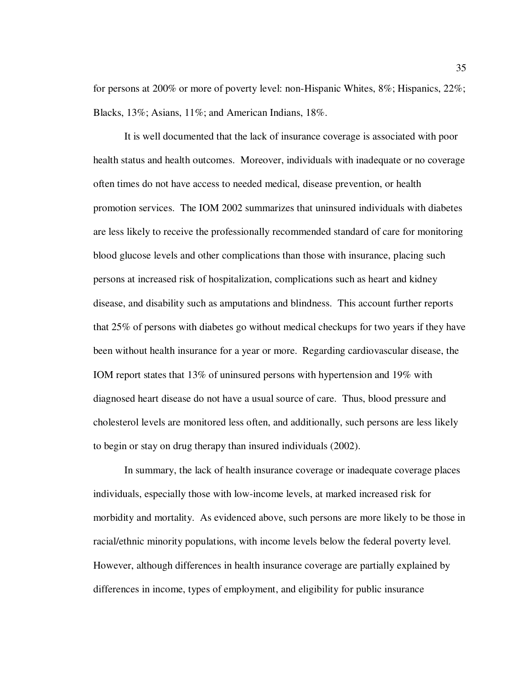for persons at 200% or more of poverty level: non-Hispanic Whites, 8%; Hispanics, 22%; Blacks, 13%; Asians, 11%; and American Indians, 18%.

It is well documented that the lack of insurance coverage is associated with poor health status and health outcomes. Moreover, individuals with inadequate or no coverage often times do not have access to needed medical, disease prevention, or health promotion services. The IOM 2002 summarizes that uninsured individuals with diabetes are less likely to receive the professionally recommended standard of care for monitoring blood glucose levels and other complications than those with insurance, placing such persons at increased risk of hospitalization, complications such as heart and kidney disease, and disability such as amputations and blindness. This account further reports that 25% of persons with diabetes go without medical checkups for two years if they have been without health insurance for a year or more. Regarding cardiovascular disease, the IOM report states that 13% of uninsured persons with hypertension and 19% with diagnosed heart disease do not have a usual source of care. Thus, blood pressure and cholesterol levels are monitored less often, and additionally, such persons are less likely to begin or stay on drug therapy than insured individuals (2002).

In summary, the lack of health insurance coverage or inadequate coverage places individuals, especially those with low-income levels, at marked increased risk for morbidity and mortality. As evidenced above, such persons are more likely to be those in racial/ethnic minority populations, with income levels below the federal poverty level. However, although differences in health insurance coverage are partially explained by differences in income, types of employment, and eligibility for public insurance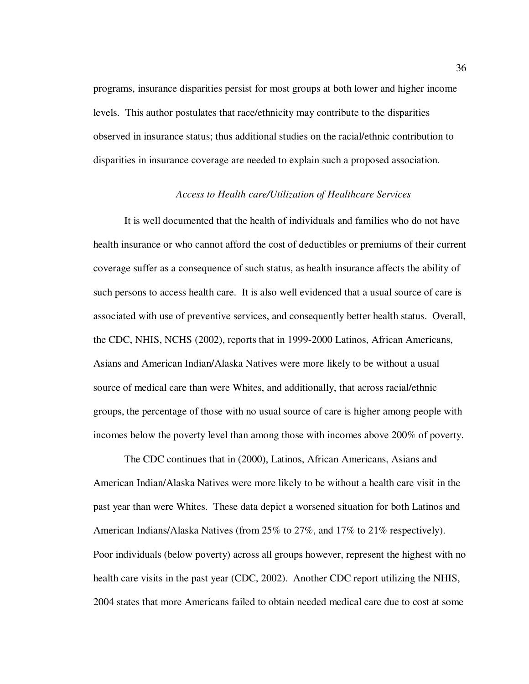programs, insurance disparities persist for most groups at both lower and higher income levels. This author postulates that race/ethnicity may contribute to the disparities observed in insurance status; thus additional studies on the racial/ethnic contribution to disparities in insurance coverage are needed to explain such a proposed association.

## *Access to Health care/Utilization of Healthcare Services*

It is well documented that the health of individuals and families who do not have health insurance or who cannot afford the cost of deductibles or premiums of their current coverage suffer as a consequence of such status, as health insurance affects the ability of such persons to access health care. It is also well evidenced that a usual source of care is associated with use of preventive services, and consequently better health status. Overall, the CDC, NHIS, NCHS (2002), reports that in 1999-2000 Latinos, African Americans, Asians and American Indian/Alaska Natives were more likely to be without a usual source of medical care than were Whites, and additionally, that across racial/ethnic groups, the percentage of those with no usual source of care is higher among people with incomes below the poverty level than among those with incomes above 200% of poverty.

 The CDC continues that in (2000), Latinos, African Americans, Asians and American Indian/Alaska Natives were more likely to be without a health care visit in the past year than were Whites. These data depict a worsened situation for both Latinos and American Indians/Alaska Natives (from 25% to 27%, and 17% to 21% respectively). Poor individuals (below poverty) across all groups however, represent the highest with no health care visits in the past year (CDC, 2002). Another CDC report utilizing the NHIS, 2004 states that more Americans failed to obtain needed medical care due to cost at some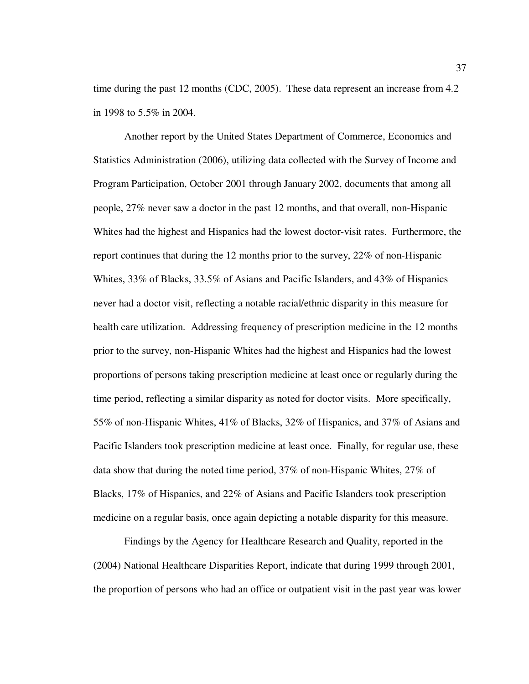time during the past 12 months (CDC, 2005). These data represent an increase from 4.2 in 1998 to 5.5% in 2004.

 Another report by the United States Department of Commerce, Economics and Statistics Administration (2006), utilizing data collected with the Survey of Income and Program Participation, October 2001 through January 2002, documents that among all people, 27% never saw a doctor in the past 12 months, and that overall, non-Hispanic Whites had the highest and Hispanics had the lowest doctor-visit rates. Furthermore, the report continues that during the 12 months prior to the survey, 22% of non-Hispanic Whites, 33% of Blacks, 33.5% of Asians and Pacific Islanders, and 43% of Hispanics never had a doctor visit, reflecting a notable racial/ethnic disparity in this measure for health care utilization. Addressing frequency of prescription medicine in the 12 months prior to the survey, non-Hispanic Whites had the highest and Hispanics had the lowest proportions of persons taking prescription medicine at least once or regularly during the time period, reflecting a similar disparity as noted for doctor visits. More specifically, 55% of non-Hispanic Whites, 41% of Blacks, 32% of Hispanics, and 37% of Asians and Pacific Islanders took prescription medicine at least once. Finally, for regular use, these data show that during the noted time period, 37% of non-Hispanic Whites, 27% of Blacks, 17% of Hispanics, and 22% of Asians and Pacific Islanders took prescription medicine on a regular basis, once again depicting a notable disparity for this measure.

 Findings by the Agency for Healthcare Research and Quality, reported in the (2004) National Healthcare Disparities Report, indicate that during 1999 through 2001, the proportion of persons who had an office or outpatient visit in the past year was lower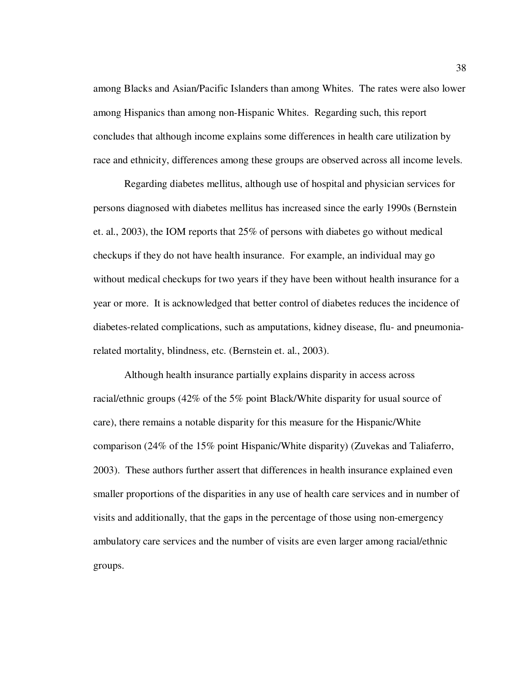among Blacks and Asian/Pacific Islanders than among Whites. The rates were also lower among Hispanics than among non-Hispanic Whites. Regarding such, this report concludes that although income explains some differences in health care utilization by race and ethnicity, differences among these groups are observed across all income levels.

Regarding diabetes mellitus, although use of hospital and physician services for persons diagnosed with diabetes mellitus has increased since the early 1990s (Bernstein et. al., 2003), the IOM reports that 25% of persons with diabetes go without medical checkups if they do not have health insurance. For example, an individual may go without medical checkups for two years if they have been without health insurance for a year or more. It is acknowledged that better control of diabetes reduces the incidence of diabetes-related complications, such as amputations, kidney disease, flu- and pneumoniarelated mortality, blindness, etc. (Bernstein et. al., 2003).

Although health insurance partially explains disparity in access across racial/ethnic groups (42% of the 5% point Black/White disparity for usual source of care), there remains a notable disparity for this measure for the Hispanic/White comparison (24% of the 15% point Hispanic/White disparity) (Zuvekas and Taliaferro, 2003). These authors further assert that differences in health insurance explained even smaller proportions of the disparities in any use of health care services and in number of visits and additionally, that the gaps in the percentage of those using non-emergency ambulatory care services and the number of visits are even larger among racial/ethnic groups.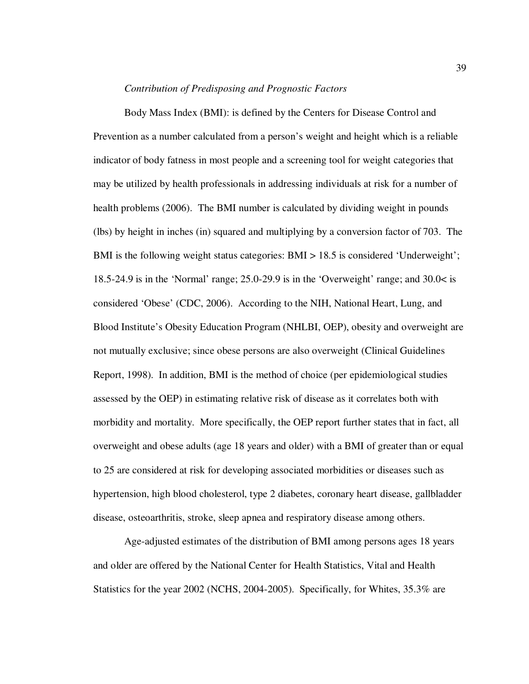#### *Contribution of Predisposing and Prognostic Factors*

Body Mass Index (BMI): is defined by the Centers for Disease Control and Prevention as a number calculated from a person's weight and height which is a reliable indicator of body fatness in most people and a screening tool for weight categories that may be utilized by health professionals in addressing individuals at risk for a number of health problems (2006). The BMI number is calculated by dividing weight in pounds (lbs) by height in inches (in) squared and multiplying by a conversion factor of 703. The BMI is the following weight status categories: BMI > 18.5 is considered 'Underweight'; 18.5-24.9 is in the 'Normal' range; 25.0-29.9 is in the 'Overweight' range; and 30.0< is considered 'Obese' (CDC, 2006). According to the NIH, National Heart, Lung, and Blood Institute's Obesity Education Program (NHLBI, OEP), obesity and overweight are not mutually exclusive; since obese persons are also overweight (Clinical Guidelines Report, 1998). In addition, BMI is the method of choice (per epidemiological studies assessed by the OEP) in estimating relative risk of disease as it correlates both with morbidity and mortality. More specifically, the OEP report further states that in fact, all overweight and obese adults (age 18 years and older) with a BMI of greater than or equal to 25 are considered at risk for developing associated morbidities or diseases such as hypertension, high blood cholesterol, type 2 diabetes, coronary heart disease, gallbladder disease, osteoarthritis, stroke, sleep apnea and respiratory disease among others.

Age-adjusted estimates of the distribution of BMI among persons ages 18 years and older are offered by the National Center for Health Statistics, Vital and Health Statistics for the year 2002 (NCHS, 2004-2005). Specifically, for Whites, 35.3% are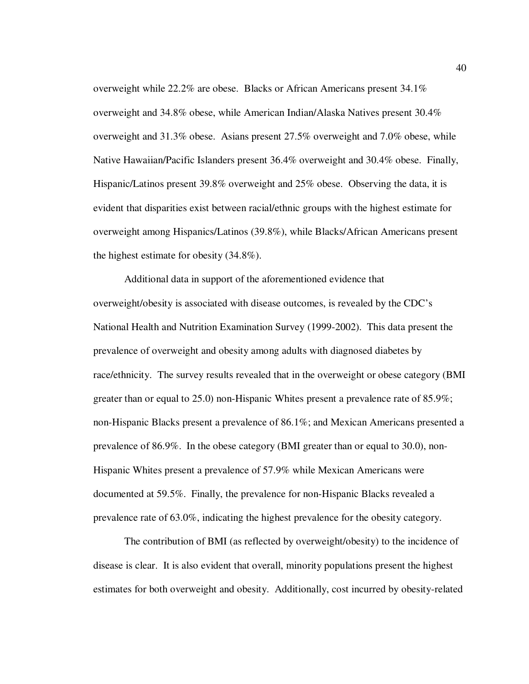overweight while 22.2% are obese. Blacks or African Americans present 34.1% overweight and 34.8% obese, while American Indian/Alaska Natives present 30.4% overweight and 31.3% obese. Asians present 27.5% overweight and 7.0% obese, while Native Hawaiian/Pacific Islanders present 36.4% overweight and 30.4% obese. Finally, Hispanic/Latinos present 39.8% overweight and 25% obese. Observing the data, it is evident that disparities exist between racial/ethnic groups with the highest estimate for overweight among Hispanics/Latinos (39.8%), while Blacks/African Americans present the highest estimate for obesity (34.8%).

Additional data in support of the aforementioned evidence that overweight/obesity is associated with disease outcomes, is revealed by the CDC's National Health and Nutrition Examination Survey (1999-2002). This data present the prevalence of overweight and obesity among adults with diagnosed diabetes by race/ethnicity. The survey results revealed that in the overweight or obese category (BMI greater than or equal to 25.0) non-Hispanic Whites present a prevalence rate of 85.9%; non-Hispanic Blacks present a prevalence of 86.1%; and Mexican Americans presented a prevalence of 86.9%. In the obese category (BMI greater than or equal to 30.0), non-Hispanic Whites present a prevalence of 57.9% while Mexican Americans were documented at 59.5%. Finally, the prevalence for non-Hispanic Blacks revealed a prevalence rate of 63.0%, indicating the highest prevalence for the obesity category.

 The contribution of BMI (as reflected by overweight/obesity) to the incidence of disease is clear. It is also evident that overall, minority populations present the highest estimates for both overweight and obesity. Additionally, cost incurred by obesity-related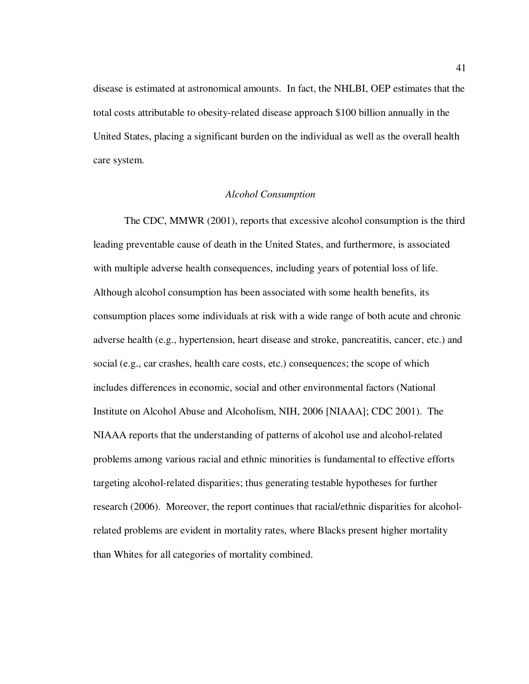disease is estimated at astronomical amounts. In fact, the NHLBI, OEP estimates that the total costs attributable to obesity-related disease approach \$100 billion annually in the United States, placing a significant burden on the individual as well as the overall health care system.

# *Alcohol Consumption*

The CDC, MMWR (2001), reports that excessive alcohol consumption is the third leading preventable cause of death in the United States, and furthermore, is associated with multiple adverse health consequences, including years of potential loss of life. Although alcohol consumption has been associated with some health benefits, its consumption places some individuals at risk with a wide range of both acute and chronic adverse health (e.g., hypertension, heart disease and stroke, pancreatitis, cancer, etc.) and social (e.g., car crashes, health care costs, etc.) consequences; the scope of which includes differences in economic, social and other environmental factors (National Institute on Alcohol Abuse and Alcoholism, NIH, 2006 [NIAAA]; CDC 2001). The NIAAA reports that the understanding of patterns of alcohol use and alcohol-related problems among various racial and ethnic minorities is fundamental to effective efforts targeting alcohol-related disparities; thus generating testable hypotheses for further research (2006). Moreover, the report continues that racial/ethnic disparities for alcoholrelated problems are evident in mortality rates, where Blacks present higher mortality than Whites for all categories of mortality combined.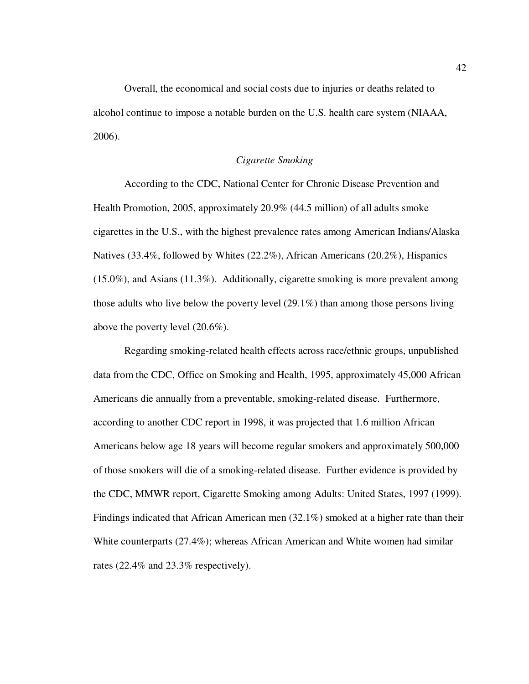Overall, the economical and social costs due to injuries or deaths related to alcohol continue to impose a notable burden on the U.S. health care system (NIAAA, 2006).

## *Cigarette Smoking*

 According to the CDC, National Center for Chronic Disease Prevention and Health Promotion, 2005, approximately 20.9% (44.5 million) of all adults smoke cigarettes in the U.S., with the highest prevalence rates among American Indians/Alaska Natives (33.4%, followed by Whites (22.2%), African Americans (20.2%), Hispanics (15.0%), and Asians (11.3%). Additionally, cigarette smoking is more prevalent among those adults who live below the poverty level (29.1%) than among those persons living above the poverty level (20.6%).

 Regarding smoking-related health effects across race/ethnic groups, unpublished data from the CDC, Office on Smoking and Health, 1995, approximately 45,000 African Americans die annually from a preventable, smoking-related disease. Furthermore, according to another CDC report in 1998, it was projected that 1.6 million African Americans below age 18 years will become regular smokers and approximately 500,000 of those smokers will die of a smoking-related disease. Further evidence is provided by the CDC, MMWR report, Cigarette Smoking among Adults: United States, 1997 (1999). Findings indicated that African American men (32.1%) smoked at a higher rate than their White counterparts (27.4%); whereas African American and White women had similar rates (22.4% and 23.3% respectively).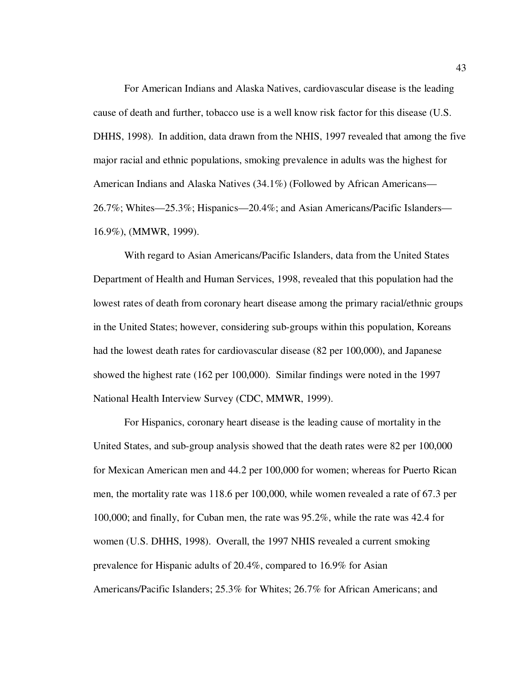For American Indians and Alaska Natives, cardiovascular disease is the leading cause of death and further, tobacco use is a well know risk factor for this disease (U.S. DHHS, 1998). In addition, data drawn from the NHIS, 1997 revealed that among the five major racial and ethnic populations, smoking prevalence in adults was the highest for American Indians and Alaska Natives (34.1%) (Followed by African Americans— 26.7%; Whites—25.3%; Hispanics—20.4%; and Asian Americans/Pacific Islanders— 16.9%), (MMWR, 1999).

 With regard to Asian Americans/Pacific Islanders, data from the United States Department of Health and Human Services, 1998, revealed that this population had the lowest rates of death from coronary heart disease among the primary racial/ethnic groups in the United States; however, considering sub-groups within this population, Koreans had the lowest death rates for cardiovascular disease (82 per 100,000), and Japanese showed the highest rate (162 per 100,000). Similar findings were noted in the 1997 National Health Interview Survey (CDC, MMWR, 1999).

 For Hispanics, coronary heart disease is the leading cause of mortality in the United States, and sub-group analysis showed that the death rates were 82 per 100,000 for Mexican American men and 44.2 per 100,000 for women; whereas for Puerto Rican men, the mortality rate was 118.6 per 100,000, while women revealed a rate of 67.3 per 100,000; and finally, for Cuban men, the rate was 95.2%, while the rate was 42.4 for women (U.S. DHHS, 1998). Overall, the 1997 NHIS revealed a current smoking prevalence for Hispanic adults of 20.4%, compared to 16.9% for Asian Americans/Pacific Islanders; 25.3% for Whites; 26.7% for African Americans; and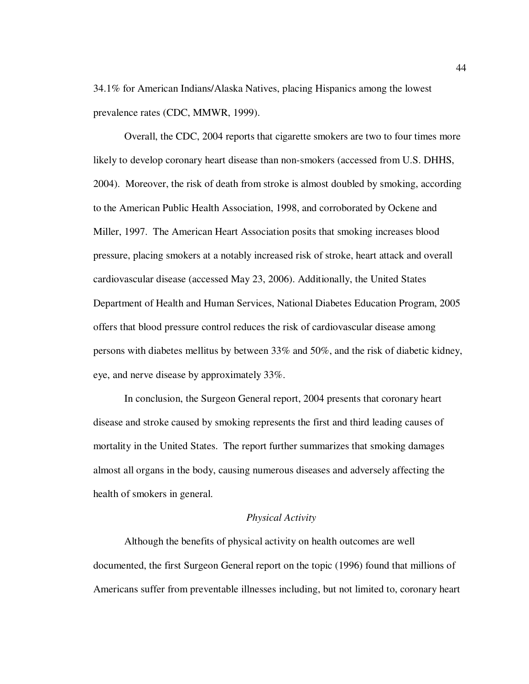34.1% for American Indians/Alaska Natives, placing Hispanics among the lowest prevalence rates (CDC, MMWR, 1999).

 Overall, the CDC, 2004 reports that cigarette smokers are two to four times more likely to develop coronary heart disease than non-smokers (accessed from U.S. DHHS, 2004). Moreover, the risk of death from stroke is almost doubled by smoking, according to the American Public Health Association, 1998, and corroborated by Ockene and Miller, 1997. The American Heart Association posits that smoking increases blood pressure, placing smokers at a notably increased risk of stroke, heart attack and overall cardiovascular disease (accessed May 23, 2006). Additionally, the United States Department of Health and Human Services, National Diabetes Education Program, 2005 offers that blood pressure control reduces the risk of cardiovascular disease among persons with diabetes mellitus by between 33% and 50%, and the risk of diabetic kidney, eye, and nerve disease by approximately 33%.

 In conclusion, the Surgeon General report, 2004 presents that coronary heart disease and stroke caused by smoking represents the first and third leading causes of mortality in the United States. The report further summarizes that smoking damages almost all organs in the body, causing numerous diseases and adversely affecting the health of smokers in general.

## *Physical Activity*

Although the benefits of physical activity on health outcomes are well documented, the first Surgeon General report on the topic (1996) found that millions of Americans suffer from preventable illnesses including, but not limited to, coronary heart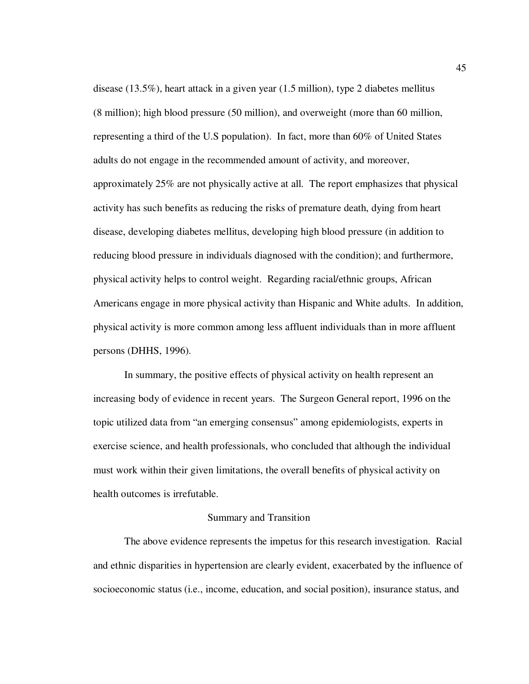disease (13.5%), heart attack in a given year (1.5 million), type 2 diabetes mellitus (8 million); high blood pressure (50 million), and overweight (more than 60 million, representing a third of the U.S population). In fact, more than 60% of United States adults do not engage in the recommended amount of activity, and moreover, approximately 25% are not physically active at all. The report emphasizes that physical activity has such benefits as reducing the risks of premature death, dying from heart disease, developing diabetes mellitus, developing high blood pressure (in addition to reducing blood pressure in individuals diagnosed with the condition); and furthermore, physical activity helps to control weight. Regarding racial/ethnic groups, African Americans engage in more physical activity than Hispanic and White adults. In addition, physical activity is more common among less affluent individuals than in more affluent persons (DHHS, 1996).

 In summary, the positive effects of physical activity on health represent an increasing body of evidence in recent years. The Surgeon General report, 1996 on the topic utilized data from "an emerging consensus" among epidemiologists, experts in exercise science, and health professionals, who concluded that although the individual must work within their given limitations, the overall benefits of physical activity on health outcomes is irrefutable.

## Summary and Transition

The above evidence represents the impetus for this research investigation. Racial and ethnic disparities in hypertension are clearly evident, exacerbated by the influence of socioeconomic status (i.e., income, education, and social position), insurance status, and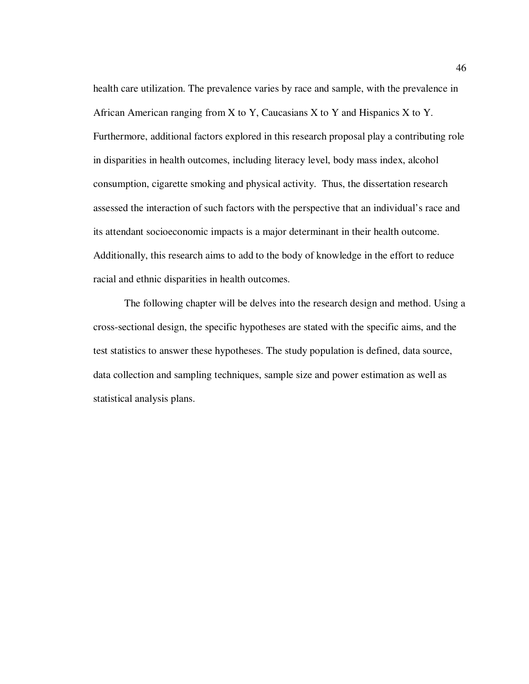health care utilization. The prevalence varies by race and sample, with the prevalence in African American ranging from  $X$  to  $Y$ , Caucasians  $X$  to  $Y$  and Hispanics  $X$  to  $Y$ . Furthermore, additional factors explored in this research proposal play a contributing role in disparities in health outcomes, including literacy level, body mass index, alcohol consumption, cigarette smoking and physical activity. Thus, the dissertation research assessed the interaction of such factors with the perspective that an individual's race and its attendant socioeconomic impacts is a major determinant in their health outcome. Additionally, this research aims to add to the body of knowledge in the effort to reduce racial and ethnic disparities in health outcomes.

 The following chapter will be delves into the research design and method. Using a cross-sectional design, the specific hypotheses are stated with the specific aims, and the test statistics to answer these hypotheses. The study population is defined, data source, data collection and sampling techniques, sample size and power estimation as well as statistical analysis plans.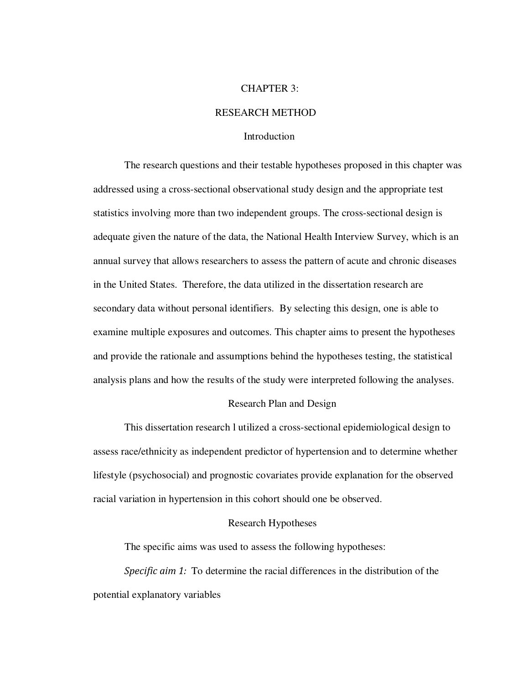#### CHAPTER 3:

# RESEARCH METHOD

## Introduction

 The research questions and their testable hypotheses proposed in this chapter was addressed using a cross-sectional observational study design and the appropriate test statistics involving more than two independent groups. The cross-sectional design is adequate given the nature of the data, the National Health Interview Survey, which is an annual survey that allows researchers to assess the pattern of acute and chronic diseases in the United States. Therefore, the data utilized in the dissertation research are secondary data without personal identifiers. By selecting this design, one is able to examine multiple exposures and outcomes. This chapter aims to present the hypotheses and provide the rationale and assumptions behind the hypotheses testing, the statistical analysis plans and how the results of the study were interpreted following the analyses.

# **Research Plan and Design**

This dissertation research l utilized a cross-sectional epidemiological design to assess race/ethnicity as independent predictor of hypertension and to determine whether lifestyle (psychosocial) and prognostic covariates provide explanation for the observed racial variation in hypertension in this cohort should one be observed.

## Research Hypotheses

The specific aims was used to assess the following hypotheses:

*Specific aim 1:* To determine the racial differences in the distribution of the potential explanatory variables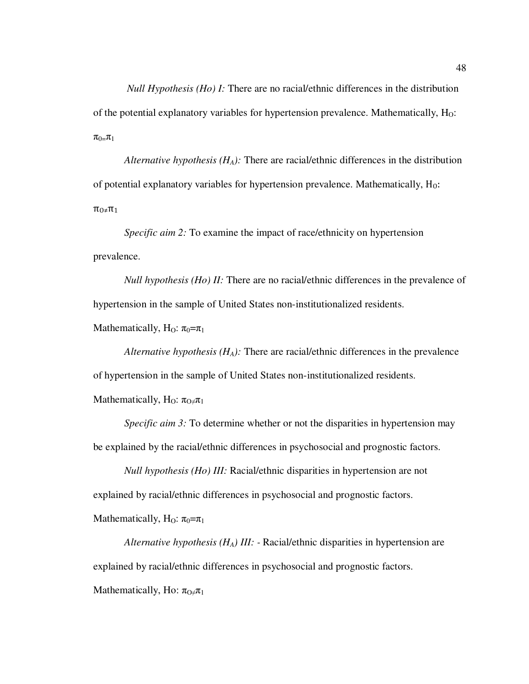*Null Hypothesis (Ho) I:* There are no racial/ethnic differences in the distribution of the potential explanatory variables for hypertension prevalence. Mathematically,  $H_0$ :  $\pi_{0}=\pi_1$ 

 *Alternative hypothesis (HA):* There are racial/ethnic differences in the distribution of potential explanatory variables for hypertension prevalence. Mathematically, H<sub>0</sub>:  $\pi_{0}$ ≠ $\pi_1$ 

 *Specific aim 2:* To examine the impact of race/ethnicity on hypertension prevalence.

*Null hypothesis (Ho) II:* There are no racial/ethnic differences in the prevalence of hypertension in the sample of United States non-institutionalized residents.

Mathematically, H<sub>O</sub>:  $\pi_0 = \pi_1$ 

 *Alternative hypothesis (HA):* There are racial/ethnic differences in the prevalence of hypertension in the sample of United States non-institutionalized residents.

Mathematically, H<sub>O</sub>:  $\pi_{\Omega} \neq \pi_1$ 

*Specific aim 3:* To determine whether or not the disparities in hypertension may be explained by the racial/ethnic differences in psychosocial and prognostic factors.

 *Null hypothesis (Ho) III:* Racial/ethnic disparities in hypertension are not explained by racial/ethnic differences in psychosocial and prognostic factors. Mathematically, H<sub>O</sub>:  $\pi_0 = \pi_1$ 

 *Alternative hypothesis (HA) III: -* Racial/ethnic disparities in hypertension are explained by racial/ethnic differences in psychosocial and prognostic factors. Mathematically, Ho:  $\pi_{\Omega} \neq \pi_1$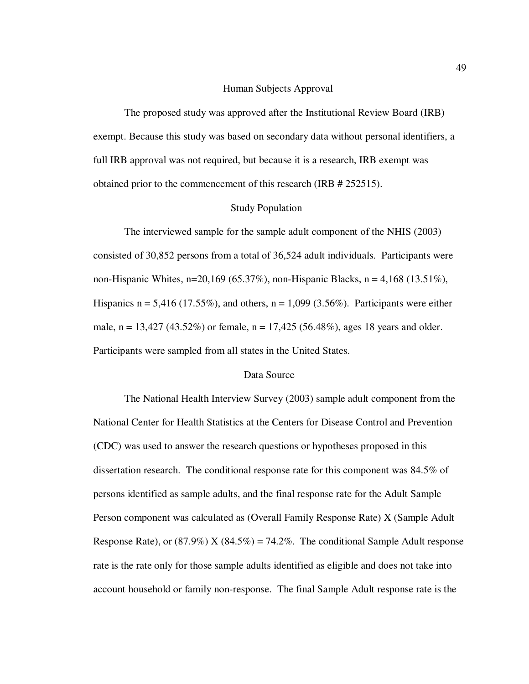#### Human Subjects Approval

 The proposed study was approved after the Institutional Review Board (IRB) exempt. Because this study was based on secondary data without personal identifiers, a full IRB approval was not required, but because it is a research, IRB exempt was obtained prior to the commencement of this research (IRB # 252515).

#### **Study Population**

 The interviewed sample for the sample adult component of the NHIS (2003) consisted of 30,852 persons from a total of 36,524 adult individuals. Participants were non-Hispanic Whites, n=20,169 (65.37%), non-Hispanic Blacks, n = 4,168 (13.51%), Hispanics  $n = 5,416$  (17.55%), and others,  $n = 1,099$  (3.56%). Participants were either male,  $n = 13,427$  (43.52%) or female,  $n = 17,425$  (56.48%), ages 18 years and older. Participants were sampled from all states in the United States.

# Data Source

The National Health Interview Survey (2003) sample adult component from the National Center for Health Statistics at the Centers for Disease Control and Prevention (CDC) was used to answer the research questions or hypotheses proposed in this dissertation research. The conditional response rate for this component was 84.5% of persons identified as sample adults, and the final response rate for the Adult Sample Person component was calculated as (Overall Family Response Rate) X (Sample Adult Response Rate), or (87.9%) X (84.5%) = 74.2%. The conditional Sample Adult response rate is the rate only for those sample adults identified as eligible and does not take into account household or family non-response. The final Sample Adult response rate is the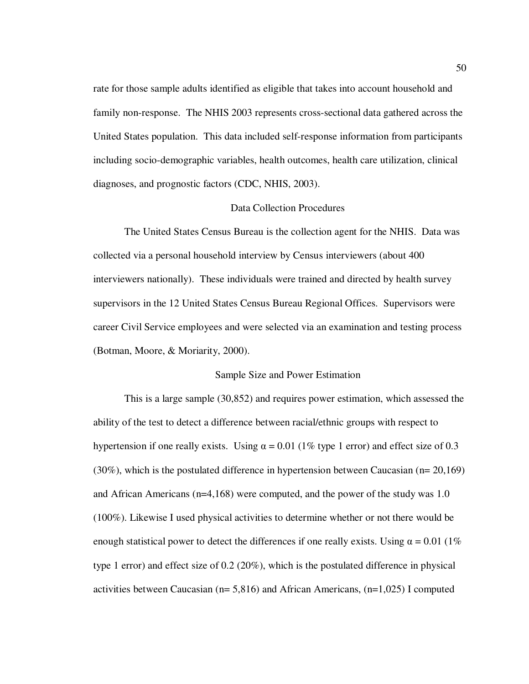rate for those sample adults identified as eligible that takes into account household and family non-response. The NHIS 2003 represents cross-sectional data gathered across the United States population. This data included self-response information from participants including socio-demographic variables, health outcomes, health care utilization, clinical diagnoses, and prognostic factors (CDC, NHIS, 2003).

## Data Collection Procedures

The United States Census Bureau is the collection agent for the NHIS. Data was collected via a personal household interview by Census interviewers (about 400 interviewers nationally). These individuals were trained and directed by health survey supervisors in the 12 United States Census Bureau Regional Offices. Supervisors were career Civil Service employees and were selected via an examination and testing process (Botman, Moore, & Moriarity, 2000).

## Sample Size and Power Estimation

This is a large sample (30,852) and requires power estimation, which assessed the ability of the test to detect a difference between racial/ethnic groups with respect to hypertension if one really exists. Using  $\alpha = 0.01$  (1% type 1 error) and effect size of 0.3 (30%), which is the postulated difference in hypertension between Caucasian (n= 20,169) and African Americans (n=4,168) were computed, and the power of the study was 1.0 (100%). Likewise I used physical activities to determine whether or not there would be enough statistical power to detect the differences if one really exists. Using  $\alpha = 0.01$  (1%) type 1 error) and effect size of 0.2 (20%), which is the postulated difference in physical activities between Caucasian (n= 5,816) and African Americans, (n=1,025) I computed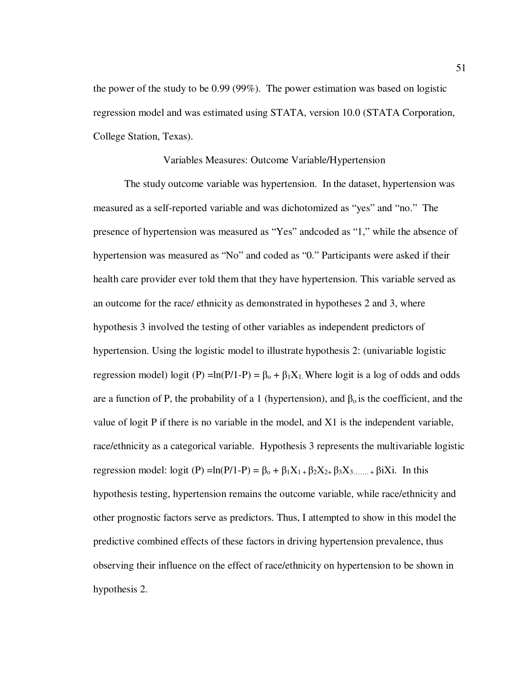the power of the study to be 0.99 (99%). The power estimation was based on logistic regression model and was estimated using STATA, version 10.0 (STATA Corporation, College Station, Texas).

#### Variables Measures: Outcome Variable/Hypertension

 The study outcome variable was hypertension. In the dataset, hypertension was measured as a self-reported variable and was dichotomized as "yes" and "no." The presence of hypertension was measured as "Yes" andcoded as "1," while the absence of hypertension was measured as "No" and coded as "0." Participants were asked if their health care provider ever told them that they have hypertension. This variable served as an outcome for the race/ ethnicity as demonstrated in hypotheses 2 and 3, where hypothesis 3 involved the testing of other variables as independent predictors of hypertension. Using the logistic model to illustrate hypothesis 2: (univariable logistic regression model) logit (P) =ln(P/1-P) =  $\beta_0 + \beta_1 X_1$ . Where logit is a log of odds and odds are a function of P, the probability of a 1 (hypertension), and  $\beta_0$  is the coefficient, and the value of logit P if there is no variable in the model, and X1 is the independent variable, race/ethnicity as a categorical variable. Hypothesis 3 represents the multivariable logistic regression model: logit (P) =ln(P/1-P) =  $\beta_0 + \beta_1 X_{1+} \beta_2 X_{2+} \beta_3 X_{3+}$   $\beta_1 X_i$ . In this hypothesis testing, hypertension remains the outcome variable, while race/ethnicity and other prognostic factors serve as predictors. Thus, I attempted to show in this model the predictive combined effects of these factors in driving hypertension prevalence, thus observing their influence on the effect of race/ethnicity on hypertension to be shown in hypothesis 2.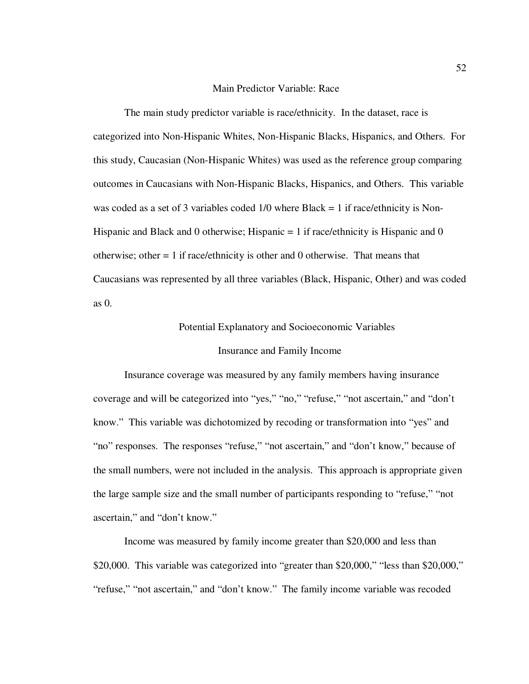#### Main Predictor Variable: Race

The main study predictor variable is race/ethnicity. In the dataset, race is categorized into Non-Hispanic Whites, Non-Hispanic Blacks, Hispanics, and Others. For this study, Caucasian (Non-Hispanic Whites) was used as the reference group comparing outcomes in Caucasians with Non-Hispanic Blacks, Hispanics, and Others. This variable was coded as a set of 3 variables coded  $1/0$  where Black = 1 if race/ethnicity is Non-Hispanic and Black and 0 otherwise; Hispanic  $= 1$  if race/ethnicity is Hispanic and 0 otherwise; other  $= 1$  if race/ethnicity is other and 0 otherwise. That means that Caucasians was represented by all three variables (Black, Hispanic, Other) and was coded as 0.

# Potential Explanatory and Socioeconomic Variables

# Insurance and Family Income

Insurance coverage was measured by any family members having insurance coverage and will be categorized into "yes," "no," "refuse," "not ascertain," and "don't know." This variable was dichotomized by recoding or transformation into "yes" and "no" responses. The responses "refuse," "not ascertain," and "don't know," because of the small numbers, were not included in the analysis. This approach is appropriate given the large sample size and the small number of participants responding to "refuse," "not ascertain," and "don't know."

Income was measured by family income greater than \$20,000 and less than \$20,000. This variable was categorized into "greater than \$20,000," "less than \$20,000," "refuse," "not ascertain," and "don't know." The family income variable was recoded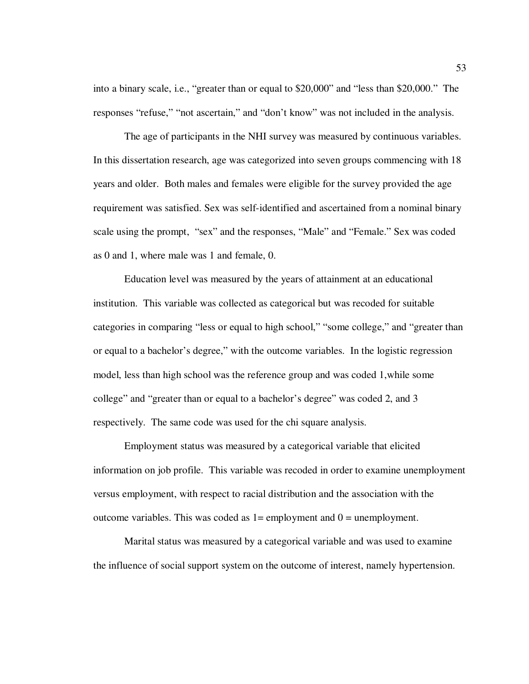into a binary scale, i.e., "greater than or equal to \$20,000" and "less than \$20,000." The responses "refuse," "not ascertain," and "don't know" was not included in the analysis.

The age of participants in the NHI survey was measured by continuous variables. In this dissertation research, age was categorized into seven groups commencing with 18 years and older. Both males and females were eligible for the survey provided the age requirement was satisfied. Sex was self-identified and ascertained from a nominal binary scale using the prompt, "sex" and the responses, "Male" and "Female." Sex was coded as 0 and 1, where male was 1 and female, 0.

Education level was measured by the years of attainment at an educational institution. This variable was collected as categorical but was recoded for suitable categories in comparing "less or equal to high school," "some college," and "greater than or equal to a bachelor's degree," with the outcome variables. In the logistic regression model, less than high school was the reference group and was coded 1,while some college" and "greater than or equal to a bachelor's degree" was coded 2, and 3 respectively. The same code was used for the chi square analysis.

Employment status was measured by a categorical variable that elicited information on job profile. This variable was recoded in order to examine unemployment versus employment, with respect to racial distribution and the association with the outcome variables. This was coded as  $1 =$  employment and  $0 =$  unemployment.

Marital status was measured by a categorical variable and was used to examine the influence of social support system on the outcome of interest, namely hypertension.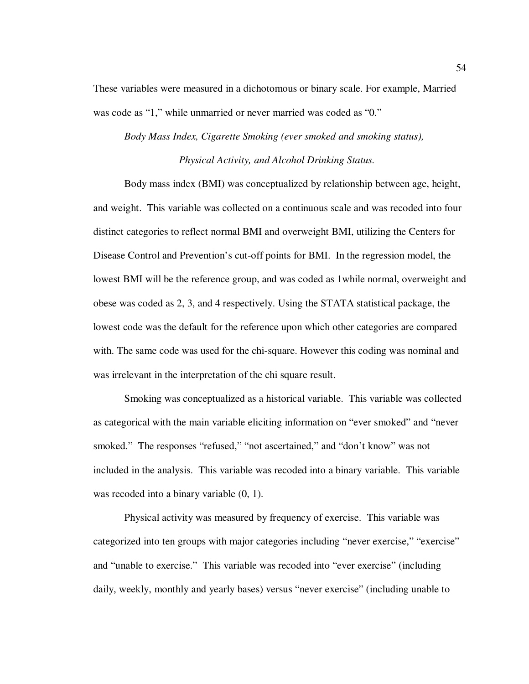These variables were measured in a dichotomous or binary scale. For example, Married was code as "1," while unmarried or never married was coded as "0."

# *Body Mass Index, Cigarette Smoking (ever smoked and smoking status), Physical Activity, and Alcohol Drinking Status.*

Body mass index (BMI) was conceptualized by relationship between age, height, and weight. This variable was collected on a continuous scale and was recoded into four distinct categories to reflect normal BMI and overweight BMI, utilizing the Centers for Disease Control and Prevention's cut-off points for BMI. In the regression model, the lowest BMI will be the reference group, and was coded as 1while normal, overweight and obese was coded as 2, 3, and 4 respectively. Using the STATA statistical package, the lowest code was the default for the reference upon which other categories are compared with. The same code was used for the chi-square. However this coding was nominal and was irrelevant in the interpretation of the chi square result.

Smoking was conceptualized as a historical variable. This variable was collected as categorical with the main variable eliciting information on "ever smoked" and "never smoked." The responses "refused," "not ascertained," and "don't know" was not included in the analysis. This variable was recoded into a binary variable. This variable was recoded into a binary variable  $(0, 1)$ .

Physical activity was measured by frequency of exercise. This variable was categorized into ten groups with major categories including "never exercise," "exercise" and "unable to exercise." This variable was recoded into "ever exercise" (including daily, weekly, monthly and yearly bases) versus "never exercise" (including unable to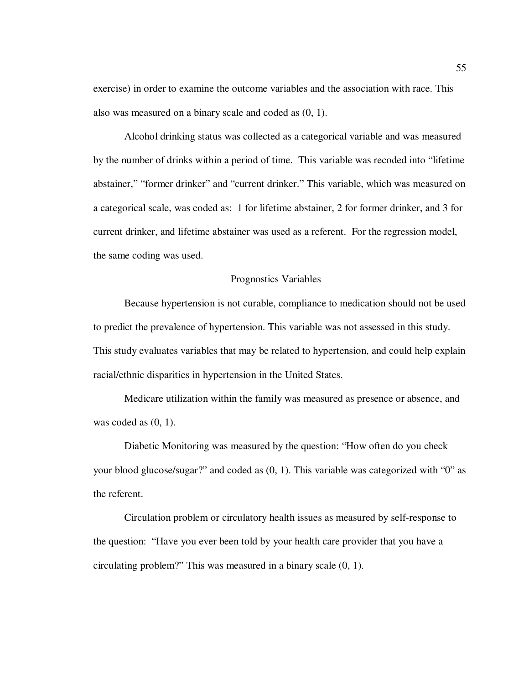exercise) in order to examine the outcome variables and the association with race. This also was measured on a binary scale and coded as (0, 1).

Alcohol drinking status was collected as a categorical variable and was measured by the number of drinks within a period of time. This variable was recoded into "lifetime abstainer," "former drinker" and "current drinker." This variable, which was measured on a categorical scale, was coded as: 1 for lifetime abstainer, 2 for former drinker, and 3 for current drinker, and lifetime abstainer was used as a referent. For the regression model, the same coding was used.

#### Prognostics Variables

Because hypertension is not curable, compliance to medication should not be used to predict the prevalence of hypertension. This variable was not assessed in this study. This study evaluates variables that may be related to hypertension, and could help explain racial/ethnic disparities in hypertension in the United States.

Medicare utilization within the family was measured as presence or absence, and was coded as  $(0, 1)$ .

Diabetic Monitoring was measured by the question: "How often do you check your blood glucose/sugar?" and coded as (0, 1). This variable was categorized with "0" as the referent.

Circulation problem or circulatory health issues as measured by self-response to the question: "Have you ever been told by your health care provider that you have a circulating problem?" This was measured in a binary scale (0, 1).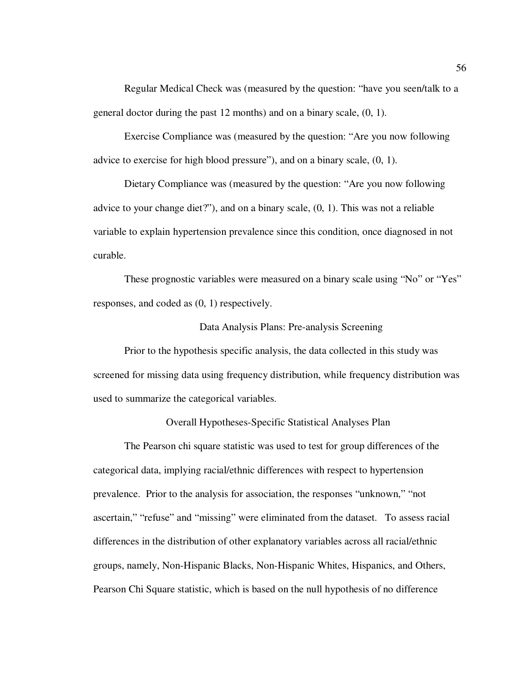Regular Medical Check was (measured by the question: "have you seen/talk to a general doctor during the past 12 months) and on a binary scale, (0, 1).

Exercise Compliance was (measured by the question: "Are you now following advice to exercise for high blood pressure"), and on a binary scale, (0, 1).

Dietary Compliance was (measured by the question: "Are you now following advice to your change diet?"), and on a binary scale,  $(0, 1)$ . This was not a reliable variable to explain hypertension prevalence since this condition, once diagnosed in not curable.

These prognostic variables were measured on a binary scale using "No" or "Yes" responses, and coded as (0, 1) respectively.

# Data Analysis Plans: Pre-analysis Screening

 Prior to the hypothesis specific analysis, the data collected in this study was screened for missing data using frequency distribution, while frequency distribution was used to summarize the categorical variables.

**Overall Hypotheses-Specific Statistical Analyses Plan** 

The Pearson chi square statistic was used to test for group differences of the categorical data, implying racial/ethnic differences with respect to hypertension prevalence.Prior to the analysis for association, the responses "unknown," "not ascertain," "refuse" and "missing" were eliminated from the dataset. To assess racial differences in the distribution of other explanatory variables across all racial/ethnic groups, namely, Non-Hispanic Blacks, Non-Hispanic Whites, Hispanics, and Others, Pearson Chi Square statistic, which is based on the null hypothesis of no difference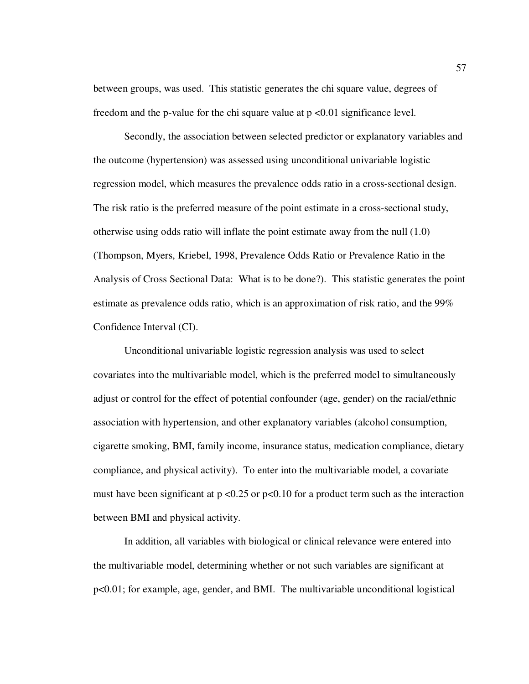between groups, was used. This statistic generates the chi square value, degrees of freedom and the p-value for the chi square value at p <0.01 significance level.

Secondly, the association between selected predictor or explanatory variables and the outcome (hypertension) was assessed using unconditional univariable logistic regression model, which measures the prevalence odds ratio in a cross-sectional design. The risk ratio is the preferred measure of the point estimate in a cross-sectional study, otherwise using odds ratio will inflate the point estimate away from the null (1.0) (Thompson, Myers, Kriebel, 1998, Prevalence Odds Ratio or Prevalence Ratio in the Analysis of Cross Sectional Data: What is to be done?). This statistic generates the point estimate as prevalence odds ratio, which is an approximation of risk ratio, and the 99% Confidence Interval (CI).

Unconditional univariable logistic regression analysis was used to select covariates into the multivariable model, which is the preferred model to simultaneously adjust or control for the effect of potential confounder (age, gender) on the racial/ethnic association with hypertension, and other explanatory variables (alcohol consumption, cigarette smoking, BMI, family income, insurance status, medication compliance, dietary compliance, and physical activity). To enter into the multivariable model, a covariate must have been significant at  $p < 0.25$  or  $p < 0.10$  for a product term such as the interaction between BMI and physical activity.

In addition, all variables with biological or clinical relevance were entered into the multivariable model, determining whether or not such variables are significant at p<0.01; for example, age, gender, and BMI. The multivariable unconditional logistical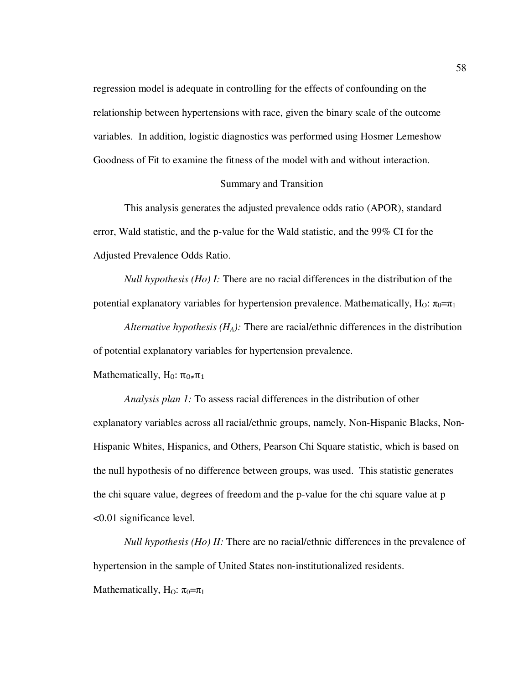regression model is adequate in controlling for the effects of confounding on the relationship between hypertensions with race, given the binary scale of the outcome variables. In addition, logistic diagnostics was performed using Hosmer Lemeshow Goodness of Fit to examine the fitness of the model with and without interaction.

#### Summary and Transition

This analysis generates the adjusted prevalence odds ratio (APOR), standard error, Wald statistic, and the p-value for the Wald statistic, and the 99% CI for the Adjusted Prevalence Odds Ratio.

*Null hypothesis (Ho) I:* There are no racial differences in the distribution of the potential explanatory variables for hypertension prevalence. Mathematically, H<sub>O</sub>:  $\pi_0 = \pi_1$ 

 *Alternative hypothesis (HA):* There are racial/ethnic differences in the distribution of potential explanatory variables for hypertension prevalence.

Mathematically,  $H_0$ :  $\pi_{0 \neq} \pi_1$ 

 *Analysis plan 1:* To assess racial differences in the distribution of other explanatory variables across all racial/ethnic groups, namely, Non-Hispanic Blacks, Non-Hispanic Whites, Hispanics, and Others, Pearson Chi Square statistic, which is based on the null hypothesis of no difference between groups, was used. This statistic generates the chi square value, degrees of freedom and the p-value for the chi square value at p <0.01 significance level.

*Null hypothesis (Ho) II:* There are no racial/ethnic differences in the prevalence of hypertension in the sample of United States non-institutionalized residents. Mathematically, H<sub>O</sub>:  $\pi_0 = \pi_1$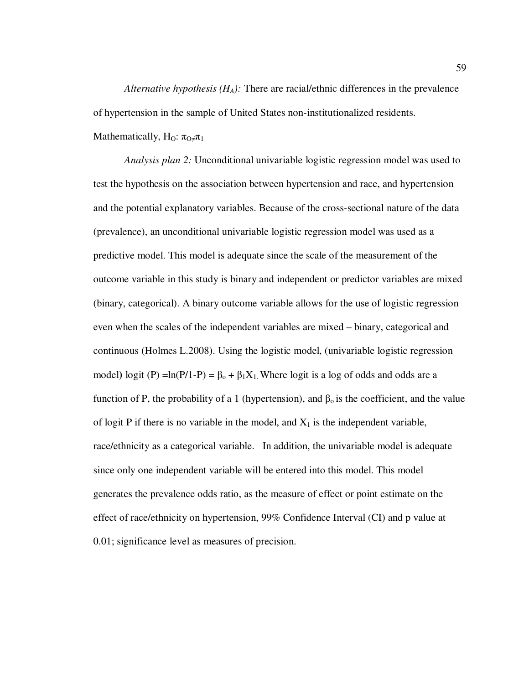*Alternative hypothesis (HA):* There are racial/ethnic differences in the prevalence of hypertension in the sample of United States non-institutionalized residents.

Mathematically, H<sub>O</sub>:  $\pi_{O} \neq \pi_1$ 

 *Analysis plan 2:* Unconditional univariable logistic regression model was used to test the hypothesis on the association between hypertension and race, and hypertension and the potential explanatory variables. Because of the cross-sectional nature of the data (prevalence), an unconditional univariable logistic regression model was used as a predictive model. This model is adequate since the scale of the measurement of the outcome variable in this study is binary and independent or predictor variables are mixed (binary, categorical). A binary outcome variable allows for the use of logistic regression even when the scales of the independent variables are mixed – binary, categorical and continuous (Holmes L.2008). Using the logistic model, (univariable logistic regression model)  $logit (P) = ln(P/1-P) = \beta_0 + \beta_1 X_1$ . Where logit is a log of odds and odds are a function of P, the probability of a 1 (hypertension), and  $β<sub>o</sub>$  is the coefficient, and the value of logit P if there is no variable in the model, and  $X_1$  is the independent variable, race/ethnicity as a categorical variable. In addition, the univariable model is adequate since only one independent variable will be entered into this model. This model generates the prevalence odds ratio, as the measure of effect or point estimate on the effect of race/ethnicity on hypertension, 99% Confidence Interval (CI) and p value at 0.01; significance level as measures of precision.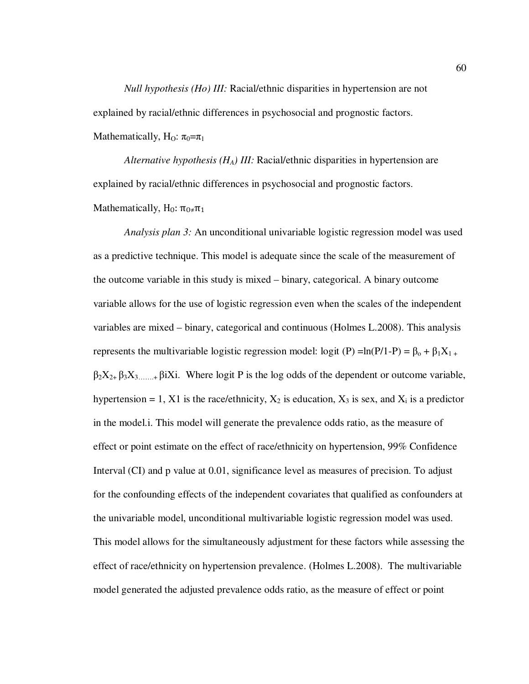*Null hypothesis (Ho) III:* Racial/ethnic disparities in hypertension are not explained by racial/ethnic differences in psychosocial and prognostic factors. Mathematically, H<sub>O</sub>:  $\pi_0 = \pi_1$ 

 *Alternative hypothesis (HA) III:* Racial/ethnic disparities in hypertension are explained by racial/ethnic differences in psychosocial and prognostic factors. Mathematically, H<sub>0</sub>:  $\pi_{0\neq}\pi_1$ 

 *Analysis plan 3:* An unconditional univariable logistic regression model was used as a predictive technique. This model is adequate since the scale of the measurement of the outcome variable in this study is mixed – binary, categorical. A binary outcome variable allows for the use of logistic regression even when the scales of the independent variables are mixed – binary, categorical and continuous (Holmes L.2008). This analysis represents the multivariable logistic regression model: logit (P) =ln(P/1-P) =  $\beta_0 + \beta_1 X_{1+}$  $\beta_2 X_{2+} \beta_3 X_{3+}$   $\beta_4 X_1$ . Where logit P is the log odds of the dependent or outcome variable, hypertension = 1, X1 is the race/ethnicity,  $X_2$  is education,  $X_3$  is sex, and  $X_i$  is a predictor in the model.i. This model will generate the prevalence odds ratio, as the measure of effect or point estimate on the effect of race/ethnicity on hypertension, 99% Confidence Interval (CI) and p value at 0.01, significance level as measures of precision. To adjust for the confounding effects of the independent covariates that qualified as confounders at the univariable model, unconditional multivariable logistic regression model was used. This model allows for the simultaneously adjustment for these factors while assessing the effect of race/ethnicity on hypertension prevalence. (Holmes L.2008). The multivariable model generated the adjusted prevalence odds ratio, as the measure of effect or point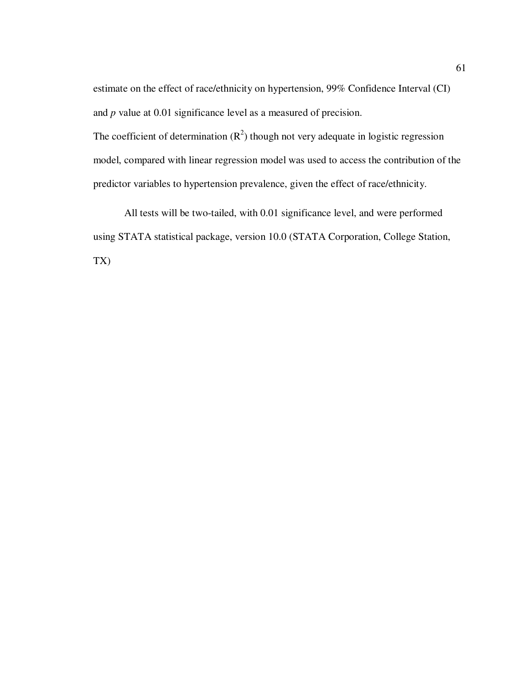estimate on the effect of race/ethnicity on hypertension, 99% Confidence Interval (CI) and *p* value at 0.01 significance level as a measured of precision. The coefficient of determination  $(R^2)$  though not very adequate in logistic regression model, compared with linear regression model was used to access the contribution of the predictor variables to hypertension prevalence, given the effect of race/ethnicity.

 All tests will be two-tailed, with 0.01 significance level, and were performed using STATA statistical package, version 10.0 (STATA Corporation, College Station, TX)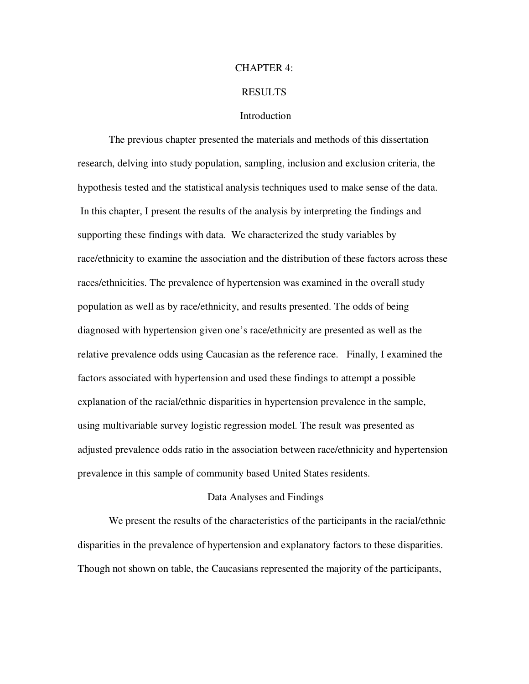#### CHAPTER 4:

# RESULTS

# **Introduction**

The previous chapter presented the materials and methods of this dissertation research, delving into study population, sampling, inclusion and exclusion criteria, the hypothesis tested and the statistical analysis techniques used to make sense of the data. In this chapter, I present the results of the analysis by interpreting the findings and supporting these findings with data. We characterized the study variables by race/ethnicity to examine the association and the distribution of these factors across these races/ethnicities. The prevalence of hypertension was examined in the overall study population as well as by race/ethnicity, and results presented. The odds of being diagnosed with hypertension given one's race/ethnicity are presented as well as the relative prevalence odds using Caucasian as the reference race. Finally, I examined the factors associated with hypertension and used these findings to attempt a possible explanation of the racial/ethnic disparities in hypertension prevalence in the sample, using multivariable survey logistic regression model. The result was presented as adjusted prevalence odds ratio in the association between race/ethnicity and hypertension prevalence in this sample of community based United States residents.

#### Data Analyses and Findings

We present the results of the characteristics of the participants in the racial/ethnic disparities in the prevalence of hypertension and explanatory factors to these disparities. Though not shown on table, the Caucasians represented the majority of the participants,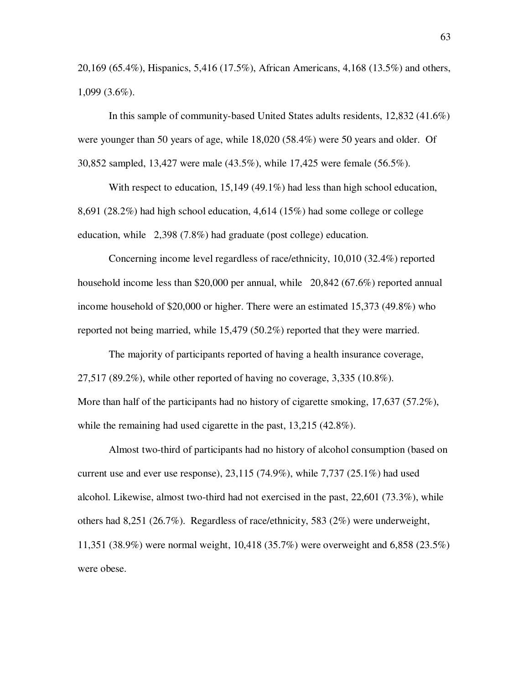20,169 (65.4%), Hispanics, 5,416 (17.5%), African Americans, 4,168 (13.5%) and others, 1,099 (3.6%).

In this sample of community-based United States adults residents, 12,832 (41.6%) were younger than 50 years of age, while 18,020 (58.4%) were 50 years and older. Of 30,852 sampled, 13,427 were male (43.5%), while 17,425 were female (56.5%).

With respect to education, 15,149 (49.1%) had less than high school education, 8,691 (28.2%) had high school education, 4,614 (15%) had some college or college education, while 2,398 (7.8%) had graduate (post college) education.

Concerning income level regardless of race/ethnicity, 10,010 (32.4%) reported household income less than \$20,000 per annual, while 20,842 (67.6%) reported annual income household of \$20,000 or higher. There were an estimated 15,373 (49.8%) who reported not being married, while 15,479 (50.2%) reported that they were married.

The majority of participants reported of having a health insurance coverage, 27,517 (89.2%), while other reported of having no coverage, 3,335 (10.8%). More than half of the participants had no history of cigarette smoking, 17,637 (57.2%), while the remaining had used cigarette in the past, 13,215 (42.8%).

Almost two-third of participants had no history of alcohol consumption (based on current use and ever use response),  $23,115$  (74.9%), while 7,737 (25.1%) had used alcohol. Likewise, almost two-third had not exercised in the past, 22,601 (73.3%), while others had 8,251 (26.7%). Regardless of race/ethnicity, 583 (2%) were underweight, 11,351 (38.9%) were normal weight, 10,418 (35.7%) were overweight and 6,858 (23.5%) were obese.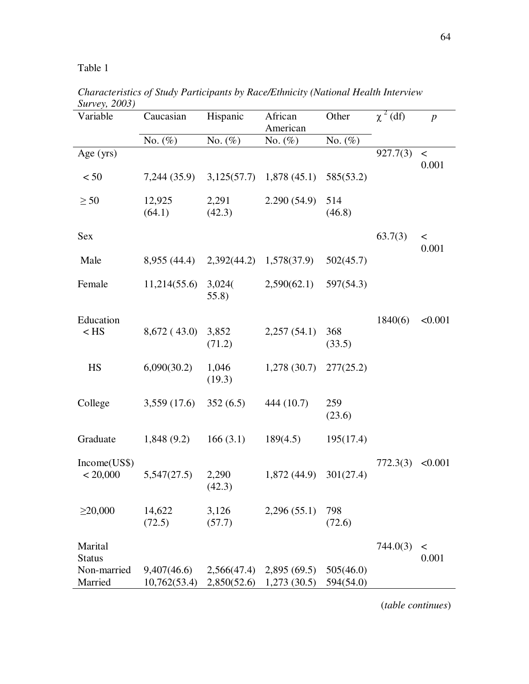| $_{\rm{D}\mu\mu\nu\epsilon}$ y, 2009)<br>Variable | Caucasian                   | Hispanic                   | African<br>American        | Other                  | $\chi^2$ (df) | $\boldsymbol{p}$ |
|---------------------------------------------------|-----------------------------|----------------------------|----------------------------|------------------------|---------------|------------------|
|                                                   | No. $(\%)$                  | No. $(\%)$                 | No. (%)                    | No. $(\%)$             |               |                  |
| Age $(yrs)$                                       |                             |                            |                            |                        | 927.7(3)      | $\,<\,$<br>0.001 |
| < 50                                              | 7,244 (35.9)                |                            | $3,125(57.7)$ 1,878 (45.1) | 585(53.2)              |               |                  |
| $\geq 50$                                         | 12,925<br>(64.1)            | 2,291<br>(42.3)            | 2.290(54.9)                | 514<br>(46.8)          |               |                  |
| Sex                                               |                             |                            |                            |                        | 63.7(3)       | $\,<\,$<br>0.001 |
| Male                                              | 8,955 (44.4)                |                            | 2,392(44.2) 1,578(37.9)    | 502(45.7)              |               |                  |
| Female                                            | 11,214(55.6)                | 3,024(<br>55.8)            | 2,590(62.1)                | 597(54.3)              |               |                  |
| Education<br>$<$ HS                               | 8,672(43.0)                 | 3,852<br>(71.2)            | 2,257(54.1)                | 368<br>(33.5)          | 1840(6)       | < 0.001          |
| <b>HS</b>                                         | 6,090(30.2)                 | 1,046<br>(19.3)            | 1,278(30.7)                | 277(25.2)              |               |                  |
| College                                           | 3,559(17.6)                 | 352(6.5)                   | 444 (10.7)                 | 259<br>(23.6)          |               |                  |
| Graduate                                          | 1,848(9.2)                  | 166(3.1)                   | 189(4.5)                   | 195(17.4)              |               |                  |
| Income(US\$)<br>< 20,000                          | 5,547(27.5)                 | 2,290<br>(42.3)            | 1,872(44.9)                | 301(27.4)              | 772.3(3)      | < 0.001          |
| $\geq$ 20,000                                     | 14,622<br>(72.5)            | 3,126<br>(57.7)            | 2,296(55.1)                | 798<br>(72.6)          |               |                  |
| Marital<br><b>Status</b>                          |                             |                            |                            |                        | 744.0(3)      | $\,<\,$<br>0.001 |
| Non-married<br>Married                            | 9,407(46.6)<br>10,762(53.4) | 2,566(47.4)<br>2,850(52.6) | 2,895(69.5)<br>1,273(30.5) | 505(46.0)<br>594(54.0) |               |                  |

*Characteristics of Study Participants by Race/Ethnicity (National Health Interview Survey, 2003)*

(*table continues*)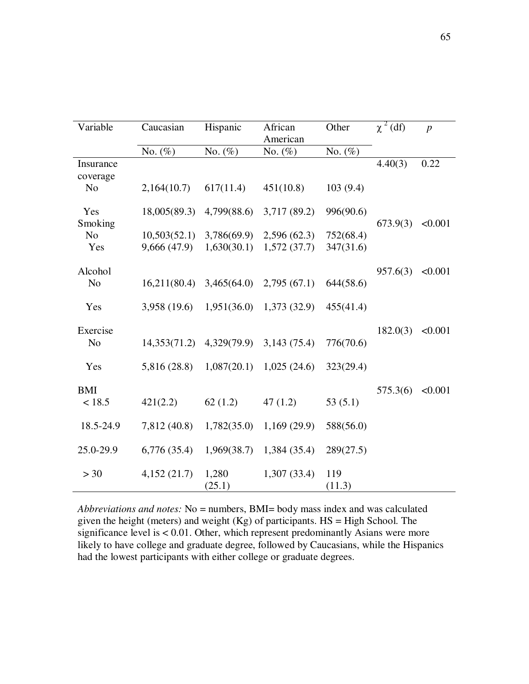| Variable              | Caucasian    | Hispanic        | African<br>American | Other         | $\chi^2$ (df) | $\boldsymbol{p}$ |
|-----------------------|--------------|-----------------|---------------------|---------------|---------------|------------------|
|                       | No. $(\%)$   | No. $(\%)$      | No. $(\%)$          | No. $(\%)$    |               |                  |
| Insurance<br>coverage |              |                 |                     |               | 4.40(3)       | 0.22             |
| N <sub>o</sub>        | 2,164(10.7)  | 617(11.4)       | 451(10.8)           | 103(9.4)      |               |                  |
| Yes<br>Smoking        | 18,005(89.3) | 4,799(88.6)     | 3,717 (89.2)        | 996(90.6)     | 673.9(3)      | < 0.001          |
| N <sub>o</sub>        | 10,503(52.1) | 3,786(69.9)     | 2,596(62.3)         | 752(68.4)     |               |                  |
| Yes                   | 9,666 (47.9) | 1,630(30.1)     | 1,572(37.7)         | 347(31.6)     |               |                  |
| Alcohol               |              |                 |                     |               | 957.6(3)      | < 0.001          |
| N <sub>0</sub>        | 16,211(80.4) | 3,465(64.0)     | 2,795(67.1)         | 644(58.6)     |               |                  |
| Yes                   | 3,958 (19.6) | 1,951(36.0)     | 1,373(32.9)         | 455(41.4)     |               |                  |
| Exercise              |              |                 |                     |               | 182.0(3)      | < 0.001          |
| N <sub>o</sub>        | 14,353(71.2) | 4,329(79.9)     | 3,143(75.4)         | 776(70.6)     |               |                  |
| Yes                   | 5,816 (28.8) | 1,087(20.1)     | 1,025(24.6)         | 323(29.4)     |               |                  |
| <b>BMI</b>            |              |                 |                     |               | 575.3(6)      | < 0.001          |
| < 18.5                | 421(2.2)     | 62(1.2)         | 47(1.2)             | 53 $(5.1)$    |               |                  |
| 18.5-24.9             | 7,812 (40.8) | 1,782(35.0)     | 1,169(29.9)         | 588(56.0)     |               |                  |
| 25.0-29.9             | 6,776(35.4)  | 1,969(38.7)     | 1,384(35.4)         | 289(27.5)     |               |                  |
| > 30                  | 4,152(21.7)  | 1,280<br>(25.1) | 1,307(33.4)         | 119<br>(11.3) |               |                  |

*Abbreviations and notes:* No = numbers, BMI= body mass index and was calculated given the height (meters) and weight  $(Kg)$  of participants. HS = High School. The significance level is < 0.01. Other, which represent predominantly Asians were more likely to have college and graduate degree, followed by Caucasians, while the Hispanics had the lowest participants with either college or graduate degrees.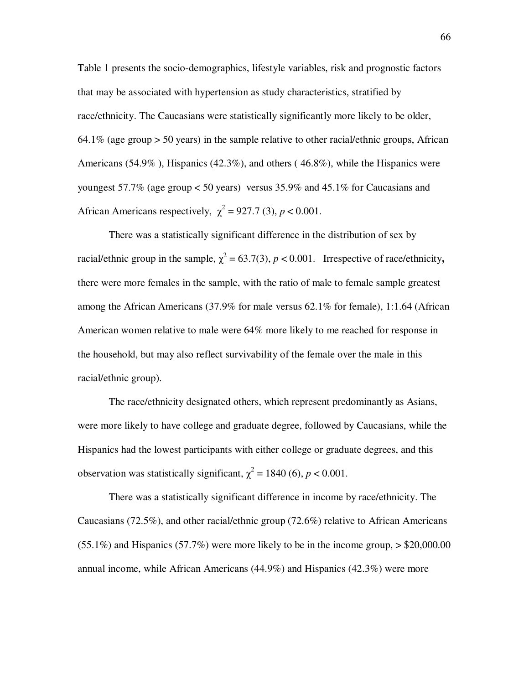Table 1 presents the socio-demographics, lifestyle variables, risk and prognostic factors that may be associated with hypertension as study characteristics, stratified by race/ethnicity. The Caucasians were statistically significantly more likely to be older,  $64.1\%$  (age group  $> 50$  years) in the sample relative to other racial/ethnic groups, African Americans (54.9% ), Hispanics (42.3%), and others ( 46.8%), while the Hispanics were youngest 57.7% (age group < 50 years) versus 35.9% and 45.1% for Caucasians and African Americans respectively,  $\chi^2 = 927.7$  (3),  $p < 0.001$ .

There was a statistically significant difference in the distribution of sex by racial/ethnic group in the sample,  $\chi^2 = 63.7(3)$ ,  $p < 0.001$ . Irrespective of race/ethnicity, there were more females in the sample, with the ratio of male to female sample greatest among the African Americans (37.9% for male versus 62.1% for female), 1:1.64 (African American women relative to male were 64% more likely to me reached for response in the household, but may also reflect survivability of the female over the male in this racial/ethnic group).

The race/ethnicity designated others, which represent predominantly as Asians, were more likely to have college and graduate degree, followed by Caucasians, while the Hispanics had the lowest participants with either college or graduate degrees, and this observation was statistically significant,  $\chi^2 = 1840$  (6),  $p < 0.001$ .

There was a statistically significant difference in income by race/ethnicity. The Caucasians (72.5%), and other racial/ethnic group (72.6%) relative to African Americans  $(55.1\%)$  and Hispanics  $(57.7\%)$  were more likely to be in the income group,  $> $20,000.00$ annual income, while African Americans (44.9%) and Hispanics (42.3%) were more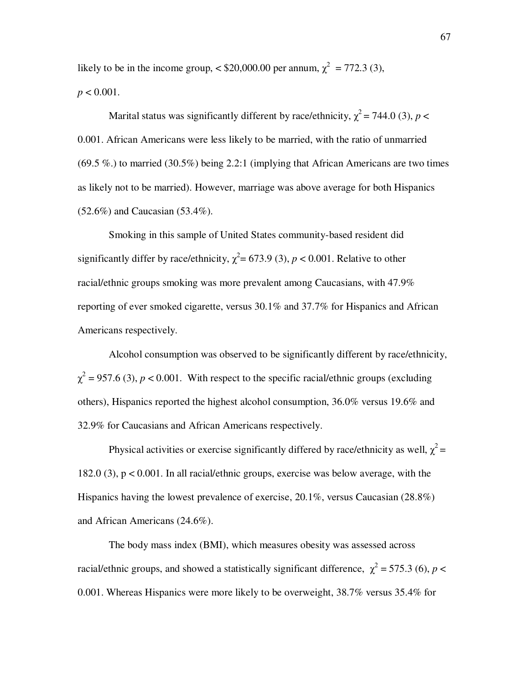likely to be in the income group,  $\langle $20,000.00 \text{ per annum, } \chi^2 = 772.3 \text{ (3)},$  $p < 0.001$ .

Marital status was significantly different by race/ethnicity,  $\chi^2$  = 744.0 (3), *p* < 0.001. African Americans were less likely to be married, with the ratio of unmarried  $(69.5\%)$  to married  $(30.5\%)$  being 2.2:1 (implying that African Americans are two times as likely not to be married). However, marriage was above average for both Hispanics (52.6%) and Caucasian (53.4%).

Smoking in this sample of United States community-based resident did significantly differ by race/ethnicity,  $\chi^2$  = 673.9 (3), *p* < 0.001. Relative to other racial/ethnic groups smoking was more prevalent among Caucasians, with 47.9% reporting of ever smoked cigarette, versus 30.1% and 37.7% for Hispanics and African Americans respectively.

Alcohol consumption was observed to be significantly different by race/ethnicity,  $\chi^2$  = 957.6 (3), *p* < 0.001. With respect to the specific racial/ethnic groups (excluding others), Hispanics reported the highest alcohol consumption, 36.0% versus 19.6% and 32.9% for Caucasians and African Americans respectively.

Physical activities or exercise significantly differed by race/ethnicity as well,  $\chi^2$  = 182.0 (3), p < 0.001. In all racial/ethnic groups, exercise was below average, with the Hispanics having the lowest prevalence of exercise, 20.1%, versus Caucasian (28.8%) and African Americans (24.6%).

The body mass index (BMI), which measures obesity was assessed across racial/ethnic groups, and showed a statistically significant difference,  $\chi^2$  = 575.3 (6), *p* < 0.001. Whereas Hispanics were more likely to be overweight, 38.7% versus 35.4% for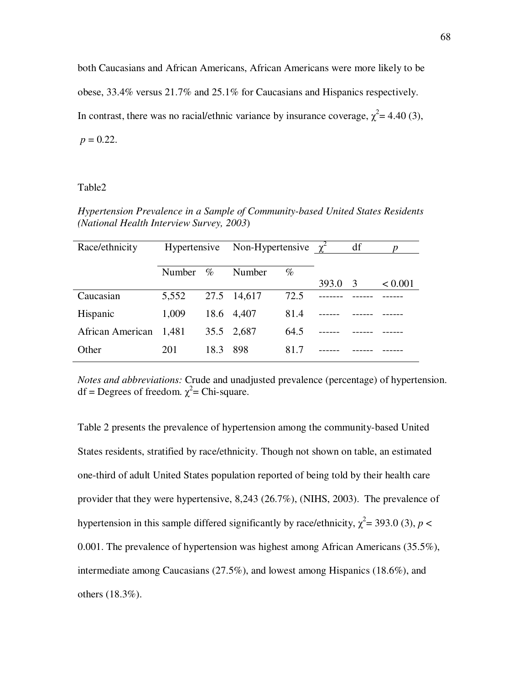both Caucasians and African Americans, African Americans were more likely to be obese, 33.4% versus 21.7% and 25.1% for Caucasians and Hispanics respectively. In contrast, there was no racial/ethnic variance by insurance coverage,  $\chi^2$  = 4.40 (3),  $p = 0.22$ .

# Table2

*Hypertension Prevalence in a Sample of Community-based United States Residents (National Health Interview Survey, 2003*)

| Race/ethnicity   | Hypertensive |      | Non-Hypertensive $\chi^2$ |      |       | df | n       |
|------------------|--------------|------|---------------------------|------|-------|----|---------|
|                  |              |      |                           |      |       |    |         |
|                  | Number       | $\%$ | Number                    | $\%$ |       |    |         |
|                  |              |      |                           |      | 393.0 | -3 | < 0.001 |
| Caucasian        | 5,552        |      | 27.5 14,617               | 72.5 |       |    |         |
| Hispanic         | 1,009        |      | 18.6 4,407                | 81.4 |       |    |         |
| African American | 1,481        |      | 35.5 2,687                | 64.5 |       |    |         |
| Other            | 201          | 18.3 | 898                       | 81.7 |       |    |         |

*Notes and abbreviations:* Crude and unadjusted prevalence (percentage) of hypertension. df = Degrees of freedom.  $\chi^2$ = Chi-square.

Table 2 presents the prevalence of hypertension among the community-based United States residents, stratified by race/ethnicity. Though not shown on table, an estimated one-third of adult United States population reported of being told by their health care provider that they were hypertensive, 8,243 (26.7%), (NIHS, 2003). The prevalence of hypertension in this sample differed significantly by race/ethnicity,  $\chi^2$  = 393.0 (3), *p* < 0.001. The prevalence of hypertension was highest among African Americans (35.5%), intermediate among Caucasians (27.5%), and lowest among Hispanics (18.6%), and others (18.3%).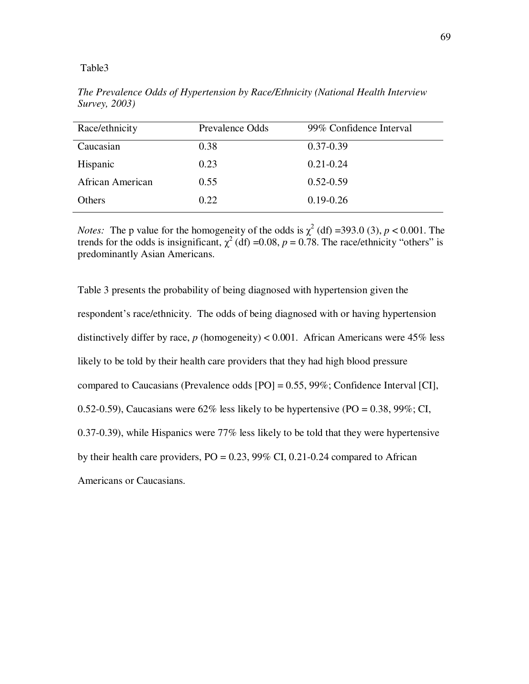| Race/ethnicity   | Prevalence Odds | 99% Confidence Interval |
|------------------|-----------------|-------------------------|
| Caucasian        | 0.38            | $0.37 - 0.39$           |
| Hispanic         | 0.23            | $0.21 - 0.24$           |
| African American | 0.55            | $0.52 - 0.59$           |
| Others           | 0.22            | $0.19 - 0.26$           |

*The Prevalence Odds of Hypertension by Race/Ethnicity (National Health Interview Survey, 2003)* 

*Notes:* The p value for the homogeneity of the odds is  $\chi^2$  (df) =393.0 (3),  $p < 0.001$ . The trends for the odds is insignificant,  $\chi^2$  (df) =0.08, *p* = 0.78. The race/ethnicity "others" is predominantly Asian Americans.

Table 3 presents the probability of being diagnosed with hypertension given the respondent's race/ethnicity. The odds of being diagnosed with or having hypertension distinctively differ by race,  $p$  (homogeneity) < 0.001. African Americans were  $45\%$  less likely to be told by their health care providers that they had high blood pressure compared to Caucasians (Prevalence odds [PO] = 0.55, 99%; Confidence Interval [CI], 0.52-0.59), Caucasians were  $62\%$  less likely to be hypertensive (PO = 0.38, 99%; CI, 0.37-0.39), while Hispanics were 77% less likely to be told that they were hypertensive by their health care providers,  $PO = 0.23$ , 99% CI, 0.21-0.24 compared to African Americans or Caucasians.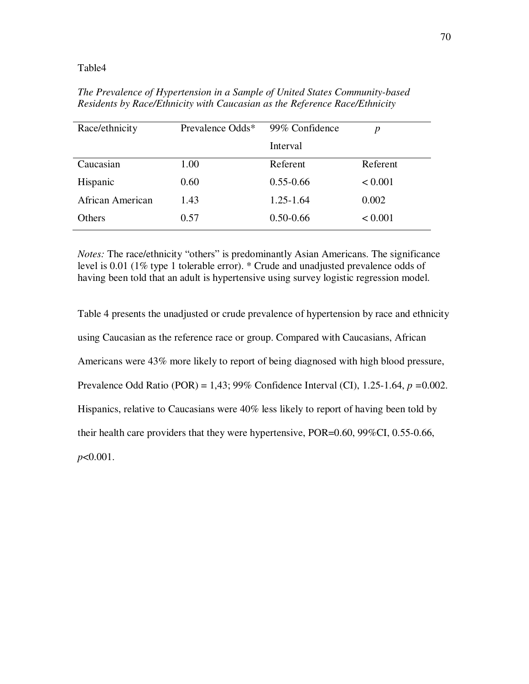| Race/ethnicity   | Prevalence Odds* | 99% Confidence | p        |
|------------------|------------------|----------------|----------|
|                  |                  | Interval       |          |
| Caucasian        | 1.00             | Referent       | Referent |
| Hispanic         | 0.60             | $0.55 - 0.66$  | < 0.001  |
| African American | 1.43             | $1.25 - 1.64$  | 0.002    |
| <b>Others</b>    | 0.57             | $0.50 - 0.66$  | < 0.001  |

*The Prevalence of Hypertension in a Sample of United States Community-based Residents by Race/Ethnicity with Caucasian as the Reference Race/Ethnicity* 

*Notes:* The race/ethnicity "others" is predominantly Asian Americans. The significance level is 0.01 (1% type 1 tolerable error). \* Crude and unadjusted prevalence odds of having been told that an adult is hypertensive using survey logistic regression model.

Table 4 presents the unadjusted or crude prevalence of hypertension by race and ethnicity using Caucasian as the reference race or group. Compared with Caucasians, African Americans were 43% more likely to report of being diagnosed with high blood pressure, Prevalence Odd Ratio (POR) = 1,43; 99% Confidence Interval (CI), 1.25-1.64, *p =*0.002. Hispanics, relative to Caucasians were 40% less likely to report of having been told by their health care providers that they were hypertensive, POR=0.60, 99%CI, 0.55-0.66, *p*<0.001.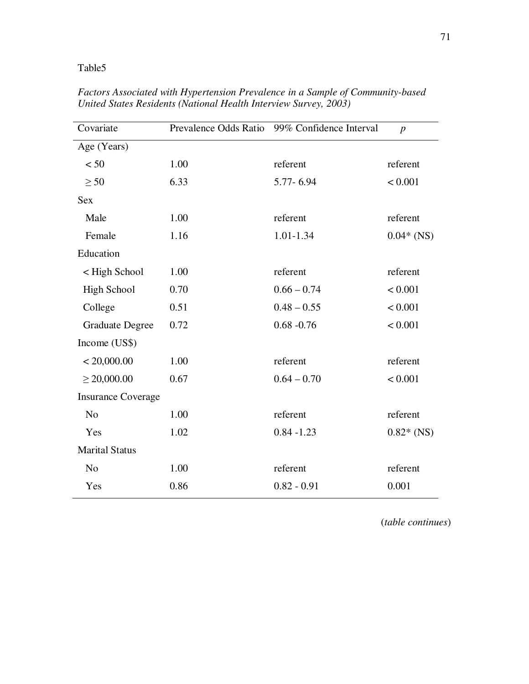| Covariate                 |      | Prevalence Odds Ratio 99% Confidence Interval | $\boldsymbol{p}$ |
|---------------------------|------|-----------------------------------------------|------------------|
| Age (Years)               |      |                                               |                  |
| < 50                      | 1.00 | referent                                      | referent         |
| $\geq$ 50                 | 6.33 | 5.77-6.94                                     | < 0.001          |
| <b>Sex</b>                |      |                                               |                  |
| Male                      | 1.00 | referent                                      | referent         |
| Female                    | 1.16 | 1.01-1.34                                     | $0.04*$ (NS)     |
| Education                 |      |                                               |                  |
| < High School             | 1.00 | referent                                      | referent         |
| <b>High School</b>        | 0.70 | $0.66 - 0.74$                                 | < 0.001          |
| College                   | 0.51 | $0.48 - 0.55$                                 | < 0.001          |
| <b>Graduate Degree</b>    | 0.72 | $0.68 - 0.76$                                 | < 0.001          |
| Income (US\$)             |      |                                               |                  |
| < 20,000.00               | 1.00 | referent                                      | referent         |
| $\geq 20,000.00$          | 0.67 | $0.64 - 0.70$                                 | < 0.001          |
| <b>Insurance Coverage</b> |      |                                               |                  |
| N <sub>o</sub>            | 1.00 | referent                                      | referent         |
| Yes                       | 1.02 | $0.84 - 1.23$                                 | $0.82*$ (NS)     |
| <b>Marital Status</b>     |      |                                               |                  |
| N <sub>o</sub>            | 1.00 | referent                                      | referent         |
| Yes                       | 0.86 | $0.82 - 0.91$                                 | 0.001            |

*Factors Associated with Hypertension Prevalence in a Sample of Community-based United States Residents (National Health Interview Survey, 2003)* 

(*table continues*)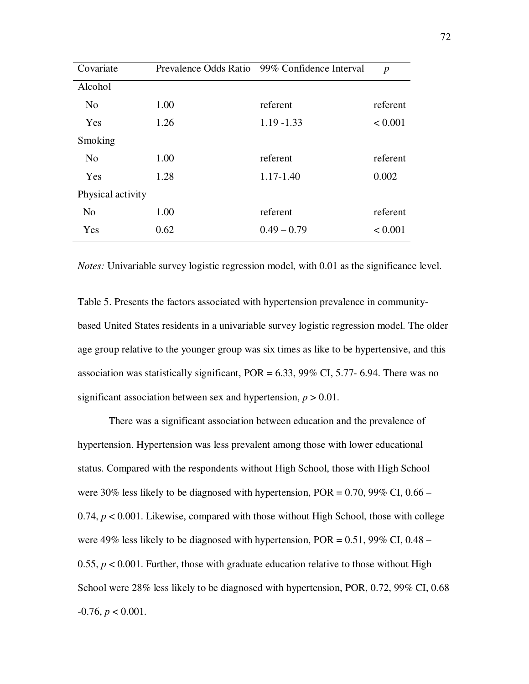| Covariate         |      | Prevalence Odds Ratio 99% Confidence Interval | $\boldsymbol{p}$ |
|-------------------|------|-----------------------------------------------|------------------|
| Alcohol           |      |                                               |                  |
| N <sub>o</sub>    | 1.00 | referent                                      | referent         |
| Yes               | 1.26 | $1.19 - 1.33$                                 | < 0.001          |
| Smoking           |      |                                               |                  |
| N <sub>o</sub>    | 1.00 | referent                                      | referent         |
| Yes               | 1.28 | $1.17 - 1.40$                                 | 0.002            |
| Physical activity |      |                                               |                  |
| N <sub>o</sub>    | 1.00 | referent                                      | referent         |
| Yes               | 0.62 | $0.49 - 0.79$                                 | < 0.001          |

*Notes:* Univariable survey logistic regression model, with 0.01 as the significance level.

Table 5. Presents the factors associated with hypertension prevalence in communitybased United States residents in a univariable survey logistic regression model. The older age group relative to the younger group was six times as like to be hypertensive, and this association was statistically significant,  $POR = 6.33$ , 99% CI, 5.77- 6.94. There was no significant association between sex and hypertension,  $p > 0.01$ .

There was a significant association between education and the prevalence of hypertension. Hypertension was less prevalent among those with lower educational status. Compared with the respondents without High School, those with High School were 30% less likely to be diagnosed with hypertension, POR = 0.70, 99% CI, 0.66 – 0.74,  $p < 0.001$ . Likewise, compared with those without High School, those with college were 49% less likely to be diagnosed with hypertension,  $POR = 0.51$ , 99% CI, 0.48 – 0.55,  $p < 0.001$ . Further, those with graduate education relative to those without High School were 28% less likely to be diagnosed with hypertension, POR, 0.72, 99% CI, 0.68  $-0.76, p < 0.001$ .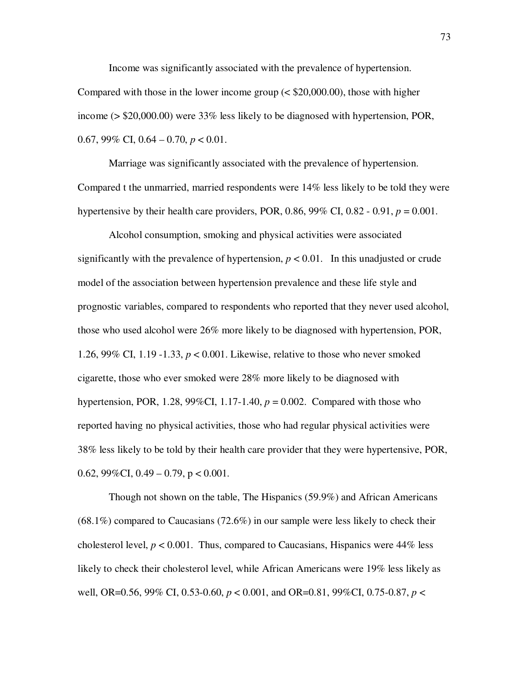Income was significantly associated with the prevalence of hypertension.

Compared with those in the lower income group (< \$20,000.00), those with higher income (> \$20,000.00) were 33% less likely to be diagnosed with hypertension, POR, 0.67, 99% CI, 0.64 – 0.70, *p* < 0.01.

Marriage was significantly associated with the prevalence of hypertension. Compared t the unmarried, married respondents were 14% less likely to be told they were hypertensive by their health care providers, POR,  $0.86$ ,  $99\%$  CI,  $0.82 - 0.91$ ,  $p = 0.001$ .

Alcohol consumption, smoking and physical activities were associated significantly with the prevalence of hypertension,  $p < 0.01$ . In this unadjusted or crude model of the association between hypertension prevalence and these life style and prognostic variables, compared to respondents who reported that they never used alcohol, those who used alcohol were 26% more likely to be diagnosed with hypertension, POR, 1.26, 99% CI, 1.19 -1.33, *p* < 0.001. Likewise, relative to those who never smoked cigarette, those who ever smoked were 28% more likely to be diagnosed with hypertension, POR, 1.28, 99%CI, 1.17-1.40,  $p = 0.002$ . Compared with those who reported having no physical activities, those who had regular physical activities were 38% less likely to be told by their health care provider that they were hypertensive, POR, 0.62,  $99\%$ CI, 0.49 – 0.79, p < 0.001.

Though not shown on the table, The Hispanics (59.9%) and African Americans  $(68.1\%)$  compared to Caucasians  $(72.6\%)$  in our sample were less likely to check their cholesterol level,  $p < 0.001$ . Thus, compared to Caucasians, Hispanics were  $44\%$  less likely to check their cholesterol level, while African Americans were 19% less likely as well, OR=0.56, 99% CI, 0.53-0.60, *p* < 0.001, and OR=0.81, 99%CI, 0.75-0.87, *p* <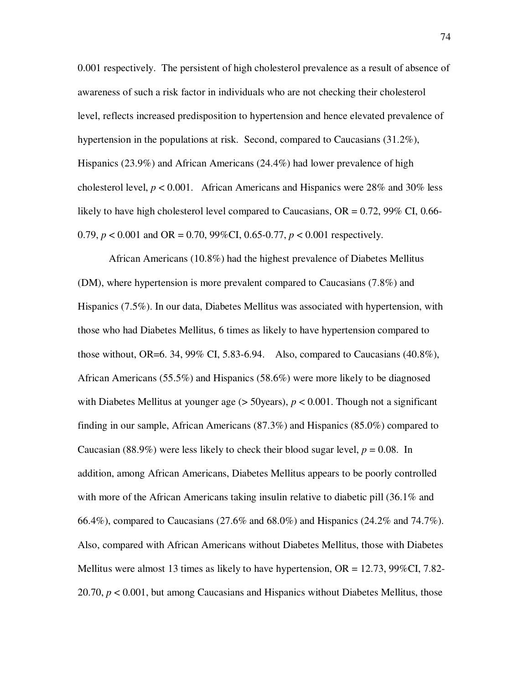0.001 respectively. The persistent of high cholesterol prevalence as a result of absence of awareness of such a risk factor in individuals who are not checking their cholesterol level, reflects increased predisposition to hypertension and hence elevated prevalence of hypertension in the populations at risk. Second, compared to Caucasians (31.2%), Hispanics (23.9%) and African Americans (24.4%) had lower prevalence of high cholesterol level,  $p < 0.001$ . African Americans and Hispanics were 28% and 30% less likely to have high cholesterol level compared to Caucasians,  $OR = 0.72$ , 99% CI, 0.66-0.79, *p* < 0.001 and OR = 0.70, 99%CI, 0.65-0.77, *p* < 0.001 respectively.

African Americans (10.8%) had the highest prevalence of Diabetes Mellitus (DM), where hypertension is more prevalent compared to Caucasians (7.8%) and Hispanics (7.5%). In our data, Diabetes Mellitus was associated with hypertension, with those who had Diabetes Mellitus, 6 times as likely to have hypertension compared to those without, OR=6. 34, 99% CI, 5.83-6.94. Also, compared to Caucasians  $(40.8\%)$ , African Americans (55.5%) and Hispanics (58.6%) were more likely to be diagnosed with Diabetes Mellitus at younger age (> 50years),  $p < 0.001$ . Though not a significant finding in our sample, African Americans (87.3%) and Hispanics (85.0%) compared to Caucasian (88.9%) were less likely to check their blood sugar level,  $p = 0.08$ . In addition, among African Americans, Diabetes Mellitus appears to be poorly controlled with more of the African Americans taking insulin relative to diabetic pill (36.1% and 66.4%), compared to Caucasians (27.6% and 68.0%) and Hispanics (24.2% and 74.7%). Also, compared with African Americans without Diabetes Mellitus, those with Diabetes Mellitus were almost 13 times as likely to have hypertension,  $OR = 12.73$ ,  $99\%CI$ ,  $7.82$ -20.70, *p* < 0.001, but among Caucasians and Hispanics without Diabetes Mellitus, those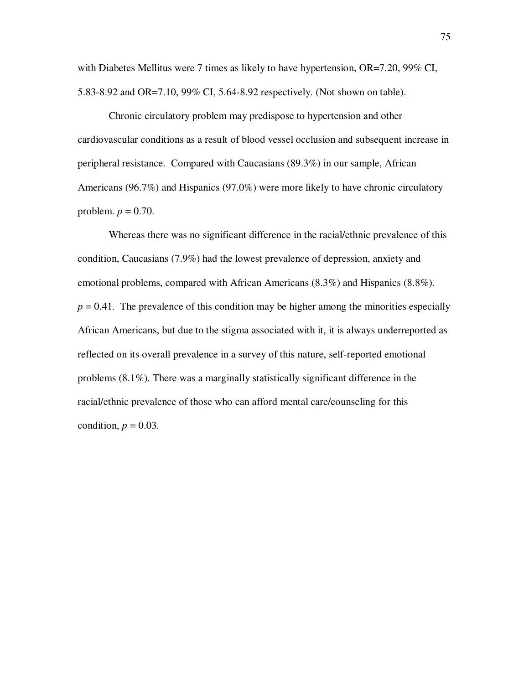with Diabetes Mellitus were 7 times as likely to have hypertension, OR=7.20, 99% CI, 5.83-8.92 and OR=7.10, 99% CI, 5.64-8.92 respectively. (Not shown on table).

Chronic circulatory problem may predispose to hypertension and other cardiovascular conditions as a result of blood vessel occlusion and subsequent increase in peripheral resistance. Compared with Caucasians (89.3%) in our sample, African Americans (96.7%) and Hispanics (97.0%) were more likely to have chronic circulatory problem.  $p = 0.70$ .

Whereas there was no significant difference in the racial/ethnic prevalence of this condition, Caucasians (7.9%) had the lowest prevalence of depression, anxiety and emotional problems, compared with African Americans (8.3%) and Hispanics (8.8%).  $p = 0.41$ . The prevalence of this condition may be higher among the minorities especially African Americans, but due to the stigma associated with it, it is always underreported as reflected on its overall prevalence in a survey of this nature, self-reported emotional problems (8.1%). There was a marginally statistically significant difference in the racial/ethnic prevalence of those who can afford mental care/counseling for this condition,  $p = 0.03$ .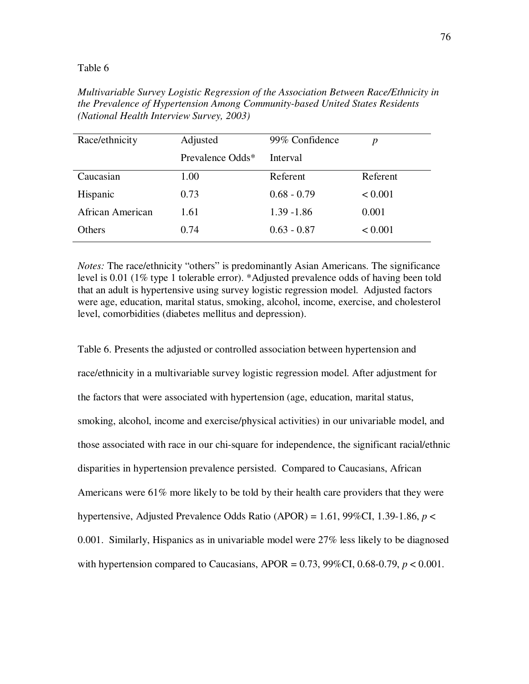| Race/ethnicity   | Adjusted         | 99% Confidence | p        |
|------------------|------------------|----------------|----------|
|                  | Prevalence Odds* | Interval       |          |
| Caucasian        | 1.00             | Referent       | Referent |
| Hispanic         | 0.73             | $0.68 - 0.79$  | < 0.001  |
| African American | 1.61             | $1.39 - 1.86$  | 0.001    |
| Others           | 0.74             | $0.63 - 0.87$  | < 0.001  |

*Multivariable Survey Logistic Regression of the Association Between Race/Ethnicity in the Prevalence of Hypertension Among Community-based United States Residents (National Health Interview Survey, 2003)* 

*Notes:* The race/ethnicity "others" is predominantly Asian Americans. The significance level is 0.01 (1% type 1 tolerable error). \*Adjusted prevalence odds of having been told that an adult is hypertensive using survey logistic regression model. Adjusted factors were age, education, marital status, smoking, alcohol, income, exercise, and cholesterol level, comorbidities (diabetes mellitus and depression).

Table 6. Presents the adjusted or controlled association between hypertension and race/ethnicity in a multivariable survey logistic regression model. After adjustment for the factors that were associated with hypertension (age, education, marital status, smoking, alcohol, income and exercise/physical activities) in our univariable model, and those associated with race in our chi-square for independence, the significant racial/ethnic disparities in hypertension prevalence persisted. Compared to Caucasians, African Americans were 61% more likely to be told by their health care providers that they were hypertensive, Adjusted Prevalence Odds Ratio (APOR) = 1.61, 99%CI, 1.39-1.86, *p* < 0.001. Similarly, Hispanics as in univariable model were 27% less likely to be diagnosed with hypertension compared to Caucasians, APOR =  $0.73$ , 99%CI, 0.68-0.79,  $p < 0.001$ .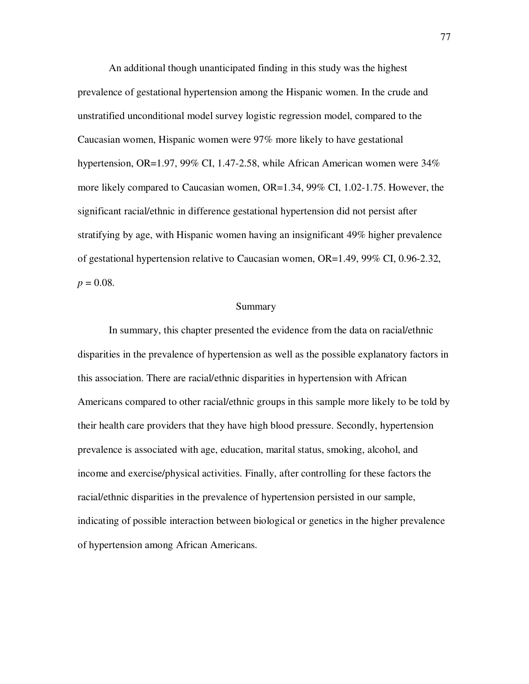An additional though unanticipated finding in this study was the highest prevalence of gestational hypertension among the Hispanic women. In the crude and unstratified unconditional model survey logistic regression model, compared to the Caucasian women, Hispanic women were 97% more likely to have gestational hypertension, OR=1.97, 99% CI, 1.47-2.58, while African American women were 34% more likely compared to Caucasian women, OR=1.34, 99% CI, 1.02-1.75. However, the significant racial/ethnic in difference gestational hypertension did not persist after stratifying by age, with Hispanic women having an insignificant 49% higher prevalence of gestational hypertension relative to Caucasian women, OR=1.49, 99% CI, 0.96-2.32,  $p = 0.08$ .

# Summary

In summary, this chapter presented the evidence from the data on racial/ethnic disparities in the prevalence of hypertension as well as the possible explanatory factors in this association. There are racial/ethnic disparities in hypertension with African Americans compared to other racial/ethnic groups in this sample more likely to be told by their health care providers that they have high blood pressure. Secondly, hypertension prevalence is associated with age, education, marital status, smoking, alcohol, and income and exercise/physical activities. Finally, after controlling for these factors the racial/ethnic disparities in the prevalence of hypertension persisted in our sample, indicating of possible interaction between biological or genetics in the higher prevalence of hypertension among African Americans.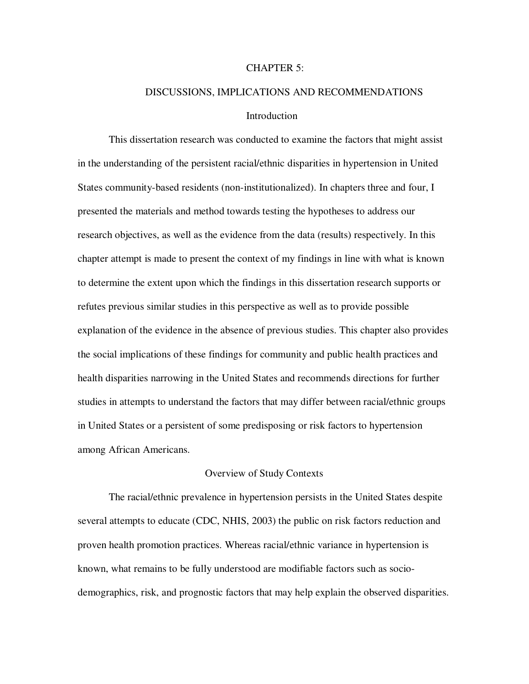#### CHAPTER 5:

# DISCUSSIONS, IMPLICATIONS AND RECOMMENDATIONS **Introduction**

This dissertation research was conducted to examine the factors that might assist in the understanding of the persistent racial/ethnic disparities in hypertension in United States community-based residents (non-institutionalized). In chapters three and four, I presented the materials and method towards testing the hypotheses to address our research objectives, as well as the evidence from the data (results) respectively. In this chapter attempt is made to present the context of my findings in line with what is known to determine the extent upon which the findings in this dissertation research supports or refutes previous similar studies in this perspective as well as to provide possible explanation of the evidence in the absence of previous studies. This chapter also provides the social implications of these findings for community and public health practices and health disparities narrowing in the United States and recommends directions for further studies in attempts to understand the factors that may differ between racial/ethnic groups in United States or a persistent of some predisposing or risk factors to hypertension among African Americans.

# Overview of Study Contexts

The racial/ethnic prevalence in hypertension persists in the United States despite several attempts to educate (CDC, NHIS, 2003) the public on risk factors reduction and proven health promotion practices. Whereas racial/ethnic variance in hypertension is known, what remains to be fully understood are modifiable factors such as sociodemographics, risk, and prognostic factors that may help explain the observed disparities.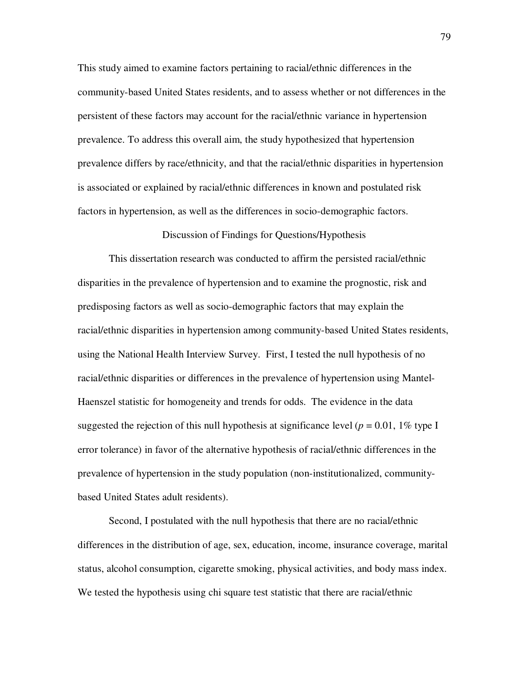This study aimed to examine factors pertaining to racial/ethnic differences in the community-based United States residents, and to assess whether or not differences in the persistent of these factors may account for the racial/ethnic variance in hypertension prevalence. To address this overall aim, the study hypothesized that hypertension prevalence differs by race/ethnicity, and that the racial/ethnic disparities in hypertension is associated or explained by racial/ethnic differences in known and postulated risk factors in hypertension, as well as the differences in socio-demographic factors.

### Discussion of Findings for Questions/Hypothesis

This dissertation research was conducted to affirm the persisted racial/ethnic disparities in the prevalence of hypertension and to examine the prognostic, risk and predisposing factors as well as socio-demographic factors that may explain the racial/ethnic disparities in hypertension among community-based United States residents, using the National Health Interview Survey. First, I tested the null hypothesis of no racial/ethnic disparities or differences in the prevalence of hypertension using Mantel-Haenszel statistic for homogeneity and trends for odds. The evidence in the data suggested the rejection of this null hypothesis at significance level ( $p = 0.01$ , 1% type I error tolerance) in favor of the alternative hypothesis of racial/ethnic differences in the prevalence of hypertension in the study population (non-institutionalized, communitybased United States adult residents).

Second, I postulated with the null hypothesis that there are no racial/ethnic differences in the distribution of age, sex, education, income, insurance coverage, marital status, alcohol consumption, cigarette smoking, physical activities, and body mass index. We tested the hypothesis using chi square test statistic that there are racial/ethnic

79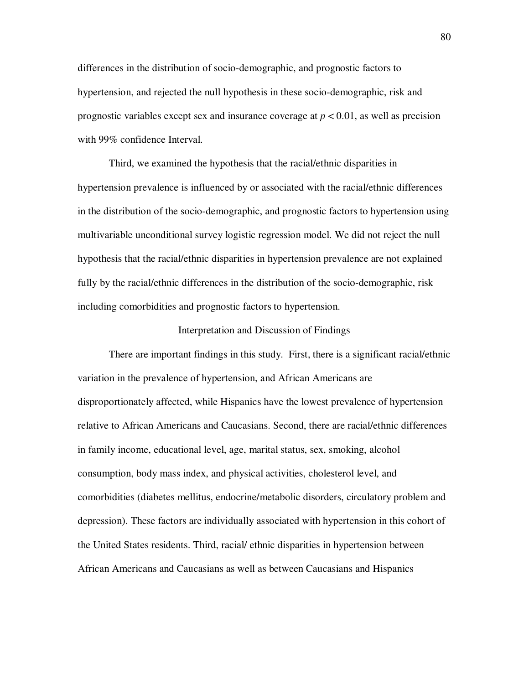differences in the distribution of socio-demographic, and prognostic factors to hypertension, and rejected the null hypothesis in these socio-demographic, risk and prognostic variables except sex and insurance coverage at *p* < 0.01, as well as precision with 99% confidence Interval.

Third, we examined the hypothesis that the racial/ethnic disparities in hypertension prevalence is influenced by or associated with the racial/ethnic differences in the distribution of the socio-demographic, and prognostic factors to hypertension using multivariable unconditional survey logistic regression model. We did not reject the null hypothesis that the racial/ethnic disparities in hypertension prevalence are not explained fully by the racial/ethnic differences in the distribution of the socio-demographic, risk including comorbidities and prognostic factors to hypertension.

#### Interpretation and Discussion of Findings

There are important findings in this study. First, there is a significant racial/ethnic variation in the prevalence of hypertension, and African Americans are disproportionately affected, while Hispanics have the lowest prevalence of hypertension relative to African Americans and Caucasians. Second, there are racial/ethnic differences in family income, educational level, age, marital status, sex, smoking, alcohol consumption, body mass index, and physical activities, cholesterol level, and comorbidities (diabetes mellitus, endocrine/metabolic disorders, circulatory problem and depression). These factors are individually associated with hypertension in this cohort of the United States residents. Third, racial/ ethnic disparities in hypertension between African Americans and Caucasians as well as between Caucasians and Hispanics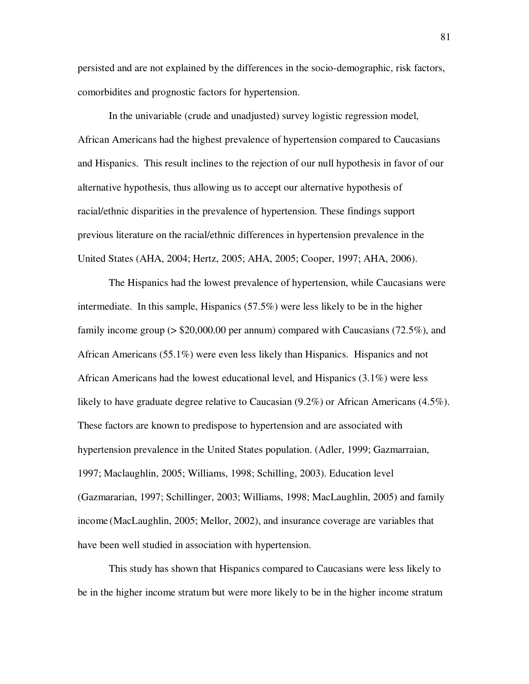persisted and are not explained by the differences in the socio-demographic, risk factors, comorbidites and prognostic factors for hypertension.

In the univariable (crude and unadjusted) survey logistic regression model, African Americans had the highest prevalence of hypertension compared to Caucasians and Hispanics. This result inclines to the rejection of our null hypothesis in favor of our alternative hypothesis, thus allowing us to accept our alternative hypothesis of racial/ethnic disparities in the prevalence of hypertension. These findings support previous literature on the racial/ethnic differences in hypertension prevalence in the United States (AHA, 2004; Hertz, 2005; AHA, 2005; Cooper, 1997; AHA, 2006).

The Hispanics had the lowest prevalence of hypertension, while Caucasians were intermediate. In this sample, Hispanics (57.5%) were less likely to be in the higher family income group (> \$20,000.00 per annum) compared with Caucasians (72.5%), and African Americans (55.1%) were even less likely than Hispanics. Hispanics and not African Americans had the lowest educational level, and Hispanics (3.1%) were less likely to have graduate degree relative to Caucasian (9.2%) or African Americans (4.5%). These factors are known to predispose to hypertension and are associated with hypertension prevalence in the United States population. (Adler, 1999; Gazmarraian, 1997; Maclaughlin, 2005; Williams, 1998; Schilling, 2003). Education level (Gazmararian, 1997; Schillinger, 2003; Williams, 1998; MacLaughlin, 2005) and family income (MacLaughlin, 2005; Mellor, 2002), and insurance coverage are variables that have been well studied in association with hypertension.

This study has shown that Hispanics compared to Caucasians were less likely to be in the higher income stratum but were more likely to be in the higher income stratum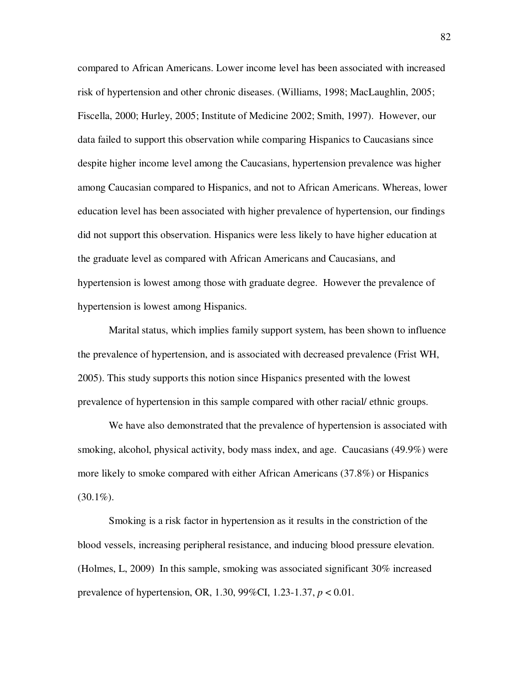compared to African Americans. Lower income level has been associated with increased risk of hypertension and other chronic diseases. (Williams, 1998; MacLaughlin, 2005; Fiscella, 2000; Hurley, 2005; Institute of Medicine 2002; Smith, 1997). However, our data failed to support this observation while comparing Hispanics to Caucasians since despite higher income level among the Caucasians, hypertension prevalence was higher among Caucasian compared to Hispanics, and not to African Americans. Whereas, lower education level has been associated with higher prevalence of hypertension, our findings did not support this observation. Hispanics were less likely to have higher education at the graduate level as compared with African Americans and Caucasians, and hypertension is lowest among those with graduate degree. However the prevalence of hypertension is lowest among Hispanics.

Marital status, which implies family support system, has been shown to influence the prevalence of hypertension, and is associated with decreased prevalence (Frist WH, 2005). This study supports this notion since Hispanics presented with the lowest prevalence of hypertension in this sample compared with other racial/ ethnic groups.

We have also demonstrated that the prevalence of hypertension is associated with smoking, alcohol, physical activity, body mass index, and age. Caucasians (49.9%) were more likely to smoke compared with either African Americans (37.8%) or Hispanics  $(30.1\%)$ .

Smoking is a risk factor in hypertension as it results in the constriction of the blood vessels, increasing peripheral resistance, and inducing blood pressure elevation. (Holmes, L, 2009) In this sample, smoking was associated significant 30% increased prevalence of hypertension, OR, 1.30, 99%CI, 1.23-1.37, *p* < 0.01.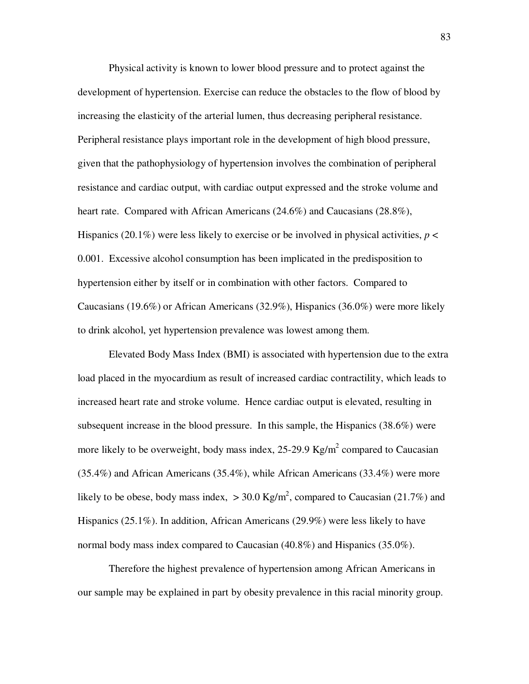Physical activity is known to lower blood pressure and to protect against the development of hypertension. Exercise can reduce the obstacles to the flow of blood by increasing the elasticity of the arterial lumen, thus decreasing peripheral resistance. Peripheral resistance plays important role in the development of high blood pressure, given that the pathophysiology of hypertension involves the combination of peripheral resistance and cardiac output, with cardiac output expressed and the stroke volume and heart rate. Compared with African Americans (24.6%) and Caucasians (28.8%), Hispanics (20.1%) were less likely to exercise or be involved in physical activities, *p* < 0.001. Excessive alcohol consumption has been implicated in the predisposition to hypertension either by itself or in combination with other factors. Compared to Caucasians (19.6%) or African Americans (32.9%), Hispanics (36.0%) were more likely to drink alcohol, yet hypertension prevalence was lowest among them.

Elevated Body Mass Index (BMI) is associated with hypertension due to the extra load placed in the myocardium as result of increased cardiac contractility, which leads to increased heart rate and stroke volume. Hence cardiac output is elevated, resulting in subsequent increase in the blood pressure. In this sample, the Hispanics (38.6%) were more likely to be overweight, body mass index,  $25{\text -}29.9 \text{ Kg/m}^2$  compared to Caucasian (35.4%) and African Americans (35.4%), while African Americans (33.4%) were more likely to be obese, body mass index,  $> 30.0 \text{ Kg/m}^2$ , compared to Caucasian (21.7%) and Hispanics (25.1%). In addition, African Americans (29.9%) were less likely to have normal body mass index compared to Caucasian (40.8%) and Hispanics (35.0%).

Therefore the highest prevalence of hypertension among African Americans in our sample may be explained in part by obesity prevalence in this racial minority group.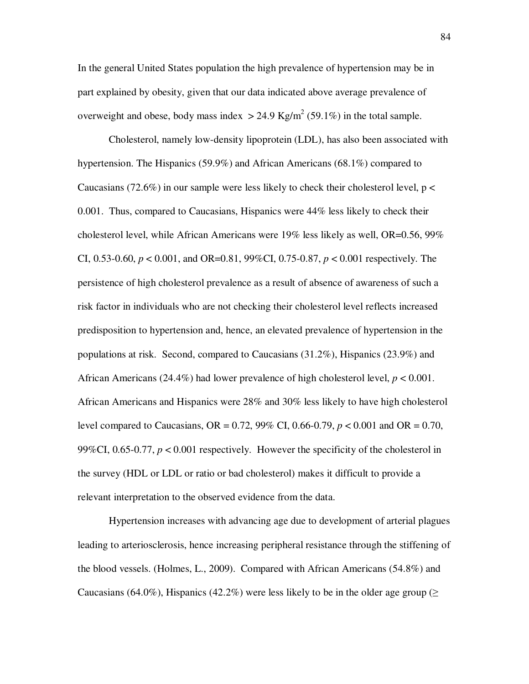In the general United States population the high prevalence of hypertension may be in part explained by obesity, given that our data indicated above average prevalence of overweight and obese, body mass index  $>$  24.9 Kg/m<sup>2</sup> (59.1%) in the total sample.

Cholesterol, namely low-density lipoprotein (LDL), has also been associated with hypertension. The Hispanics (59.9%) and African Americans (68.1%) compared to Caucasians (72.6%) in our sample were less likely to check their cholesterol level,  $p <$ 0.001. Thus, compared to Caucasians, Hispanics were 44% less likely to check their cholesterol level, while African Americans were 19% less likely as well, OR=0.56, 99% CI, 0.53-0.60, *p* < 0.001, and OR=0.81, 99%CI, 0.75-0.87, *p* < 0.001 respectively. The persistence of high cholesterol prevalence as a result of absence of awareness of such a risk factor in individuals who are not checking their cholesterol level reflects increased predisposition to hypertension and, hence, an elevated prevalence of hypertension in the populations at risk. Second, compared to Caucasians (31.2%), Hispanics (23.9%) and African Americans (24.4%) had lower prevalence of high cholesterol level, *p* < 0.001. African Americans and Hispanics were 28% and 30% less likely to have high cholesterol level compared to Caucasians, OR = 0.72, 99% CI, 0.66-0.79, *p* < 0.001 and OR = 0.70, 99%CI, 0.65-0.77,  $p < 0.001$  respectively. However the specificity of the cholesterol in the survey (HDL or LDL or ratio or bad cholesterol) makes it difficult to provide a relevant interpretation to the observed evidence from the data.

Hypertension increases with advancing age due to development of arterial plagues leading to arteriosclerosis, hence increasing peripheral resistance through the stiffening of the blood vessels. (Holmes, L., 2009). Compared with African Americans (54.8%) and Caucasians (64.0%), Hispanics (42.2%) were less likely to be in the older age group ( $\geq$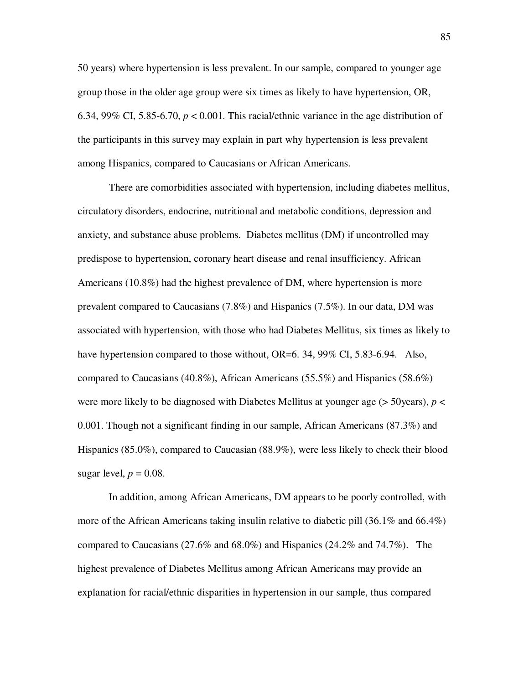50 years) where hypertension is less prevalent. In our sample, compared to younger age group those in the older age group were six times as likely to have hypertension, OR, 6.34, 99% CI, 5.85-6.70,  $p < 0.001$ . This racial/ethnic variance in the age distribution of the participants in this survey may explain in part why hypertension is less prevalent among Hispanics, compared to Caucasians or African Americans.

There are comorbidities associated with hypertension, including diabetes mellitus, circulatory disorders, endocrine, nutritional and metabolic conditions, depression and anxiety, and substance abuse problems. Diabetes mellitus (DM) if uncontrolled may predispose to hypertension, coronary heart disease and renal insufficiency. African Americans (10.8%) had the highest prevalence of DM, where hypertension is more prevalent compared to Caucasians (7.8%) and Hispanics (7.5%). In our data, DM was associated with hypertension, with those who had Diabetes Mellitus, six times as likely to have hypertension compared to those without, OR=6. 34, 99% CI, 5.83-6.94. Also, compared to Caucasians (40.8%), African Americans (55.5%) and Hispanics (58.6%) were more likely to be diagnosed with Diabetes Mellitus at younger age (> 50years), *p* < 0.001. Though not a significant finding in our sample, African Americans (87.3%) and Hispanics (85.0%), compared to Caucasian (88.9%), were less likely to check their blood sugar level,  $p = 0.08$ .

In addition, among African Americans, DM appears to be poorly controlled, with more of the African Americans taking insulin relative to diabetic pill (36.1% and 66.4%) compared to Caucasians (27.6% and 68.0%) and Hispanics (24.2% and 74.7%). The highest prevalence of Diabetes Mellitus among African Americans may provide an explanation for racial/ethnic disparities in hypertension in our sample, thus compared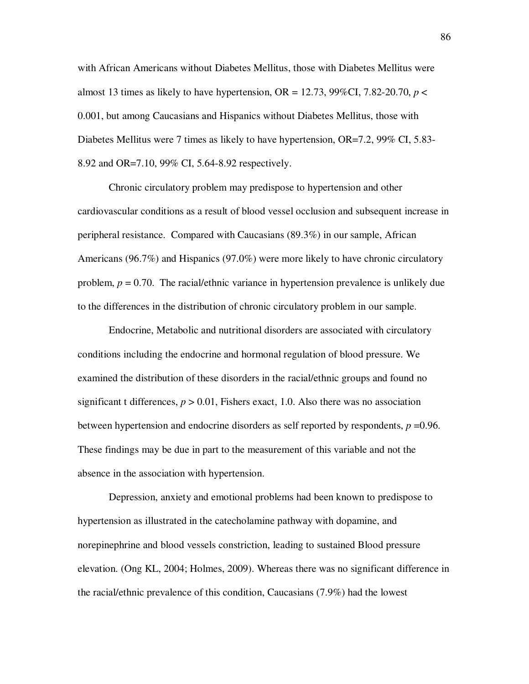with African Americans without Diabetes Mellitus, those with Diabetes Mellitus were almost 13 times as likely to have hypertension,  $OR = 12.73$ ,  $99\%CI$ ,  $7.82-20.70$ ,  $p <$ 0.001, but among Caucasians and Hispanics without Diabetes Mellitus, those with Diabetes Mellitus were 7 times as likely to have hypertension, OR=7.2, 99% CI, 5.83- 8.92 and OR=7.10, 99% CI, 5.64-8.92 respectively.

Chronic circulatory problem may predispose to hypertension and other cardiovascular conditions as a result of blood vessel occlusion and subsequent increase in peripheral resistance. Compared with Caucasians (89.3%) in our sample, African Americans (96.7%) and Hispanics (97.0%) were more likely to have chronic circulatory problem, *p* = 0.70. The racial/ethnic variance in hypertension prevalence is unlikely due to the differences in the distribution of chronic circulatory problem in our sample.

Endocrine, Metabolic and nutritional disorders are associated with circulatory conditions including the endocrine and hormonal regulation of blood pressure. We examined the distribution of these disorders in the racial/ethnic groups and found no significant t differences,  $p > 0.01$ , Fishers exact, 1.0. Also there was no association between hypertension and endocrine disorders as self reported by respondents,  $p = 0.96$ . These findings may be due in part to the measurement of this variable and not the absence in the association with hypertension.

Depression, anxiety and emotional problems had been known to predispose to hypertension as illustrated in the catecholamine pathway with dopamine, and norepinephrine and blood vessels constriction, leading to sustained Blood pressure elevation. (Ong KL, 2004; Holmes, 2009). Whereas there was no significant difference in the racial/ethnic prevalence of this condition, Caucasians (7.9%) had the lowest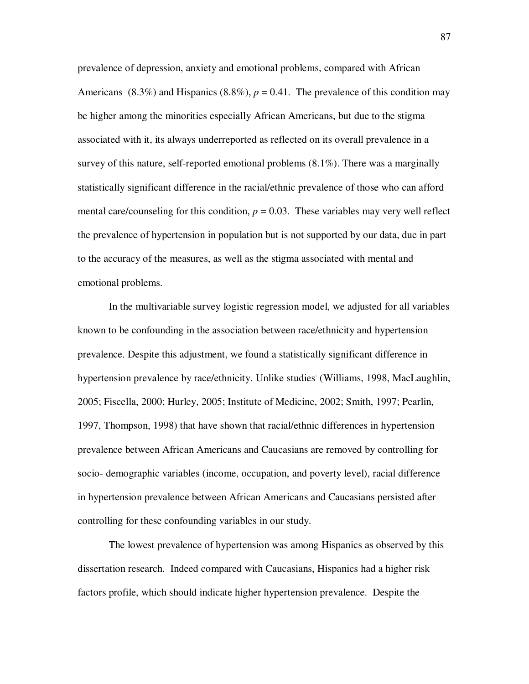prevalence of depression, anxiety and emotional problems, compared with African Americans (8.3%) and Hispanics (8.8%),  $p = 0.41$ . The prevalence of this condition may be higher among the minorities especially African Americans, but due to the stigma associated with it, its always underreported as reflected on its overall prevalence in a survey of this nature, self-reported emotional problems (8.1%). There was a marginally statistically significant difference in the racial/ethnic prevalence of those who can afford mental care/counseling for this condition,  $p = 0.03$ . These variables may very well reflect the prevalence of hypertension in population but is not supported by our data, due in part to the accuracy of the measures, as well as the stigma associated with mental and emotional problems.

In the multivariable survey logistic regression model, we adjusted for all variables known to be confounding in the association between race/ethnicity and hypertension prevalence. Despite this adjustment, we found a statistically significant difference in hypertension prevalence by race/ethnicity. Unlike studies' (Williams, 1998, MacLaughlin, 2005; Fiscella, 2000; Hurley, 2005; Institute of Medicine, 2002; Smith, 1997; Pearlin, 1997, Thompson, 1998) that have shown that racial/ethnic differences in hypertension prevalence between African Americans and Caucasians are removed by controlling for socio- demographic variables (income, occupation, and poverty level), racial difference in hypertension prevalence between African Americans and Caucasians persisted after controlling for these confounding variables in our study.

The lowest prevalence of hypertension was among Hispanics as observed by this dissertation research. Indeed compared with Caucasians, Hispanics had a higher risk factors profile, which should indicate higher hypertension prevalence. Despite the

87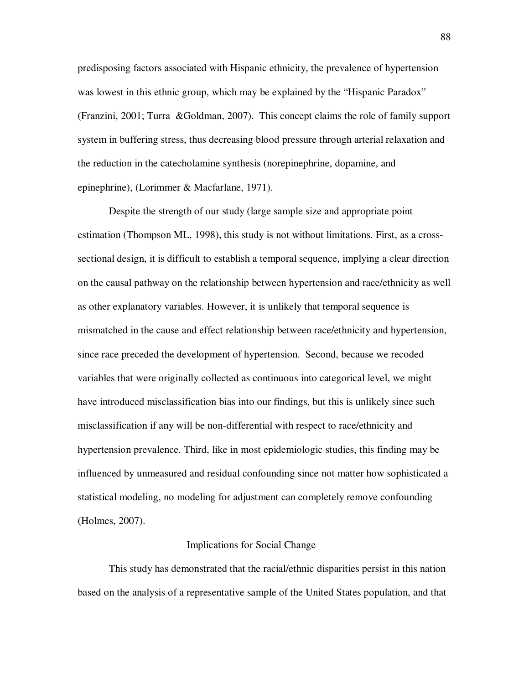predisposing factors associated with Hispanic ethnicity, the prevalence of hypertension was lowest in this ethnic group, which may be explained by the "Hispanic Paradox" (Franzini, 2001; Turra &Goldman, 2007). This concept claims the role of family support system in buffering stress, thus decreasing blood pressure through arterial relaxation and the reduction in the catecholamine synthesis (norepinephrine, dopamine, and epinephrine), (Lorimmer & Macfarlane, 1971).

Despite the strength of our study (large sample size and appropriate point estimation (Thompson ML, 1998), this study is not without limitations. First, as a crosssectional design, it is difficult to establish a temporal sequence, implying a clear direction on the causal pathway on the relationship between hypertension and race/ethnicity as well as other explanatory variables. However, it is unlikely that temporal sequence is mismatched in the cause and effect relationship between race/ethnicity and hypertension, since race preceded the development of hypertension. Second, because we recoded variables that were originally collected as continuous into categorical level, we might have introduced misclassification bias into our findings, but this is unlikely since such misclassification if any will be non-differential with respect to race/ethnicity and hypertension prevalence. Third, like in most epidemiologic studies, this finding may be influenced by unmeasured and residual confounding since not matter how sophisticated a statistical modeling, no modeling for adjustment can completely remove confounding (Holmes, 2007).

#### Implications for Social Change

This study has demonstrated that the racial/ethnic disparities persist in this nation based on the analysis of a representative sample of the United States population, and that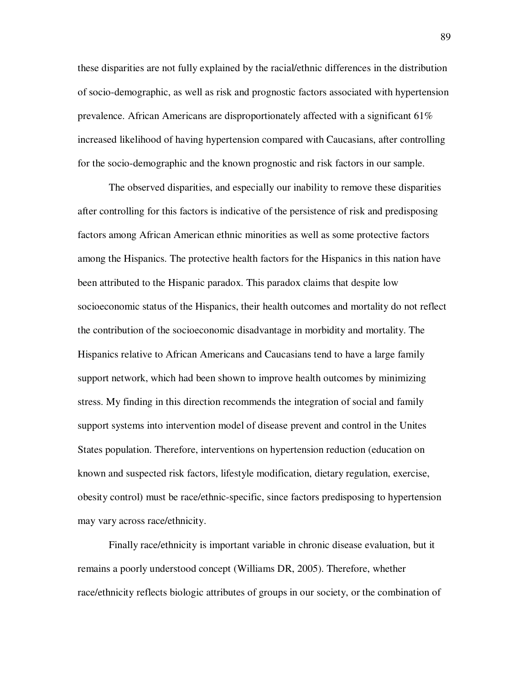these disparities are not fully explained by the racial/ethnic differences in the distribution of socio-demographic, as well as risk and prognostic factors associated with hypertension prevalence. African Americans are disproportionately affected with a significant 61% increased likelihood of having hypertension compared with Caucasians, after controlling for the socio-demographic and the known prognostic and risk factors in our sample.

The observed disparities, and especially our inability to remove these disparities after controlling for this factors is indicative of the persistence of risk and predisposing factors among African American ethnic minorities as well as some protective factors among the Hispanics. The protective health factors for the Hispanics in this nation have been attributed to the Hispanic paradox. This paradox claims that despite low socioeconomic status of the Hispanics, their health outcomes and mortality do not reflect the contribution of the socioeconomic disadvantage in morbidity and mortality. The Hispanics relative to African Americans and Caucasians tend to have a large family support network, which had been shown to improve health outcomes by minimizing stress. My finding in this direction recommends the integration of social and family support systems into intervention model of disease prevent and control in the Unites States population. Therefore, interventions on hypertension reduction (education on known and suspected risk factors, lifestyle modification, dietary regulation, exercise, obesity control) must be race/ethnic-specific, since factors predisposing to hypertension may vary across race/ethnicity.

Finally race/ethnicity is important variable in chronic disease evaluation, but it remains a poorly understood concept (Williams DR, 2005). Therefore, whether race/ethnicity reflects biologic attributes of groups in our society, or the combination of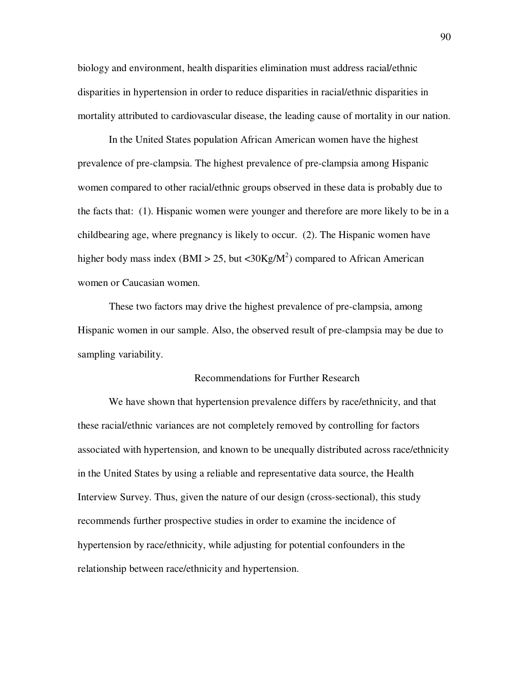biology and environment, health disparities elimination must address racial/ethnic disparities in hypertension in order to reduce disparities in racial/ethnic disparities in mortality attributed to cardiovascular disease, the leading cause of mortality in our nation.

In the United States population African American women have the highest prevalence of pre-clampsia. The highest prevalence of pre-clampsia among Hispanic women compared to other racial/ethnic groups observed in these data is probably due to the facts that: (1). Hispanic women were younger and therefore are more likely to be in a childbearing age, where pregnancy is likely to occur. (2). The Hispanic women have higher body mass index (BMI > 25, but <30Kg/M<sup>2</sup>) compared to African American women or Caucasian women.

 These two factors may drive the highest prevalence of pre-clampsia, among Hispanic women in our sample. Also, the observed result of pre-clampsia may be due to sampling variability.

### Recommendations for Further Research

We have shown that hypertension prevalence differs by race/ethnicity, and that these racial/ethnic variances are not completely removed by controlling for factors associated with hypertension, and known to be unequally distributed across race/ethnicity in the United States by using a reliable and representative data source, the Health Interview Survey. Thus, given the nature of our design (cross-sectional), this study recommends further prospective studies in order to examine the incidence of hypertension by race/ethnicity, while adjusting for potential confounders in the relationship between race/ethnicity and hypertension.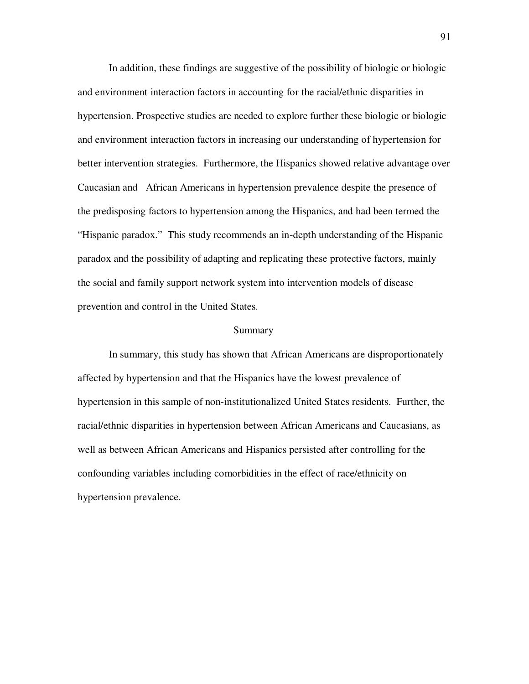In addition, these findings are suggestive of the possibility of biologic or biologic and environment interaction factors in accounting for the racial/ethnic disparities in hypertension. Prospective studies are needed to explore further these biologic or biologic and environment interaction factors in increasing our understanding of hypertension for better intervention strategies. Furthermore, the Hispanics showed relative advantage over Caucasian and African Americans in hypertension prevalence despite the presence of the predisposing factors to hypertension among the Hispanics, and had been termed the "Hispanic paradox." This study recommends an in-depth understanding of the Hispanic paradox and the possibility of adapting and replicating these protective factors, mainly the social and family support network system into intervention models of disease prevention and control in the United States.

#### Summary

In summary, this study has shown that African Americans are disproportionately affected by hypertension and that the Hispanics have the lowest prevalence of hypertension in this sample of non-institutionalized United States residents. Further, the racial/ethnic disparities in hypertension between African Americans and Caucasians, as well as between African Americans and Hispanics persisted after controlling for the confounding variables including comorbidities in the effect of race/ethnicity on hypertension prevalence.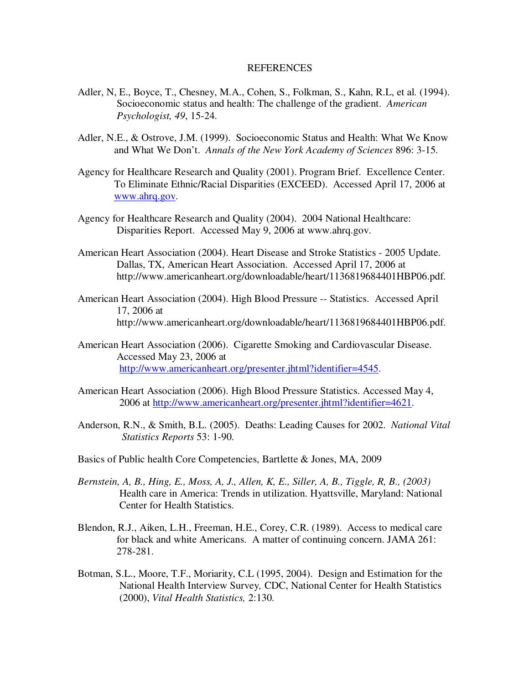# REFERENCES

- Adler, N, E., Boyce, T., Chesney, M.A., Cohen, S., Folkman, S., Kahn, R.L, et al. (1994). Socioeconomic status and health: The challenge of the gradient. *American Psychologist, 49*, 15-24.
- Adler, N.E., & Ostrove, J.M. (1999). Socioeconomic Status and Health: What We Know and What We Don't. *Annals of the New York Academy of Sciences* 896: 3-15.
- Agency for Healthcare Research and Quality (2001). Program Brief. Excellence Center. To Eliminate Ethnic/Racial Disparities (EXCEED). Accessed April 17, 2006 at www.ahrq.gov.
- Agency for Healthcare Research and Quality (2004). 2004 National Healthcare: Disparities Report. Accessed May 9, 2006 at www.ahrq.gov.
- American Heart Association (2004). Heart Disease and Stroke Statistics 2005 Update. Dallas, TX, American Heart Association. Accessed April 17, 2006 at http://www.americanheart.org/downloadable/heart/1136819684401HBP06.pdf.
- American Heart Association (2004). High Blood Pressure -- Statistics. Accessed April 17, 2006 at http://www.americanheart.org/downloadable/heart/1136819684401HBP06.pdf.
- American Heart Association (2006). Cigarette Smoking and Cardiovascular Disease. Accessed May 23, 2006 at http://www.americanheart.org/presenter.jhtml?identifier=4545.
- American Heart Association (2006). High Blood Pressure Statistics. Accessed May 4, 2006 at http://www.americanheart.org/presenter.jhtml?identifier=4621.
- Anderson, R.N., & Smith, B.L. (2005). Deaths: Leading Causes for 2002. *National Vital Statistics Reports* 53: 1-90.
- Basics of Public health Core Competencies, Bartlette & Jones, MA, 2009
- *Bernstein, A, B., Hing, E., Moss, A, J., Allen, K, E., Siller, A, B., Tiggle, R, B., (2003)*  Health care in America: Trends in utilization. Hyattsville, Maryland: National Center for Health Statistics.
- Blendon, R.J., Aiken, L.H., Freeman, H.E., Corey, C.R. (1989). Access to medical care for black and white Americans. A matter of continuing concern. JAMA 261: 278-281.
- Botman, S.L., Moore, T.F., Moriarity, C.L (1995, 2004). Design and Estimation for the National Health Interview Survey*,* CDC, National Center for Health Statistics (2000), *Vital Health Statistics,* 2:130.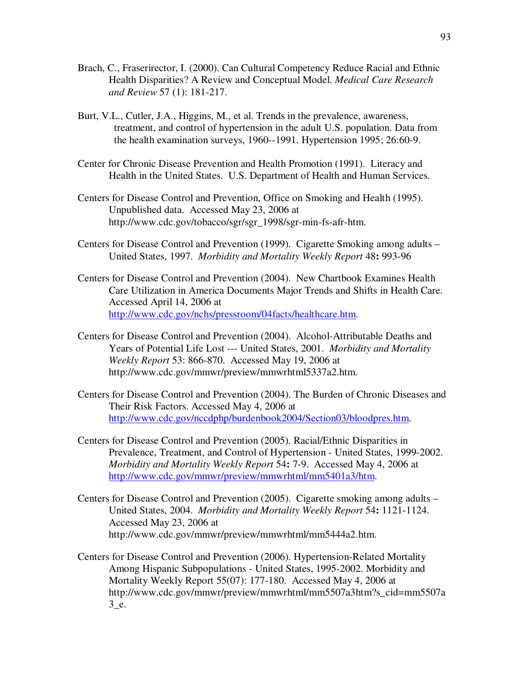- Brach, C., Fraserirector, I. (2000). Can Cultural Competency Reduce Racial and Ethnic Health Disparities? A Review and Conceptual Model. *Medical Care Research and Review* 57 (1): 181-217.
- Burt, V.L., Cutler, J.A., Higgins, M., et al. Trends in the prevalence, awareness, treatment, and control of hypertension in the adult U.S. population. Data from the health examination surveys, 1960--1991. Hypertension 1995; 26:60-9.
- Center for Chronic Disease Prevention and Health Promotion (1991). Literacy and Health in the United States. U.S. Department of Health and Human Services.
- Centers for Disease Control and Prevention, Office on Smoking and Health (1995). Unpublished data. Accessed May 23, 2006 at http://www.cdc.gov/tobacco/sgr/sgr\_1998/sgr-min-fs-afr-htm.
- Centers for Disease Control and Prevention (1999). Cigarette Smoking among adults United States, 1997. *Morbidity and Mortality Weekly Report* 48**:** 993-96
- Centers for Disease Control and Prevention (2004). New Chartbook Examines Health Care Utilization in America Documents Major Trends and Shifts in Health Care. Accessed April 14, 2006 at http://www.cdc.gov/nchs/pressroom/04facts/healthcare.htm.
- Centers for Disease Control and Prevention (2004). Alcohol-Attributable Deaths and Years of Potential Life Lost --- United States, 2001. *Morbidity and Mortality Weekly Report* 53: 866-870. Accessed May 19, 2006 at http://www.cdc.gov/mmwr/preview/mmwrhtml5337a2.htm.
- Centers for Disease Control and Prevention (2004). The Burden of Chronic Diseases and Their Risk Factors. Accessed May 4, 2006 at http://www.cdc.gov/nccdphp/burdenbook2004/Section03/bloodpres.htm.
- Centers for Disease Control and Prevention (2005). Racial/Ethnic Disparities in Prevalence, Treatment, and Control of Hypertension - United States, 1999-2002. *Morbidity and Mortality Weekly Report* 54**:** 7-9. Accessed May 4, 2006 at http://www.cdc.gov/mmwr/preview/mmwrhtml/mm5401a3/htm.
- Centers for Disease Control and Prevention (2005). Cigarette smoking among adults United States, 2004. *Morbidity and Mortality Weekly Report* 54**:** 1121-1124. Accessed May 23, 2006 at http://www.cdc.gov/mmwr/preview/mmwrhtml/mm5444a2.htm.
- Centers for Disease Control and Prevention (2006). Hypertension-Related Mortality Among Hispanic Subpopulations - United States, 1995-2002. Morbidity and Mortality Weekly Report 55(07): 177-180. Accessed May 4, 2006 at http://www.cdc.gov/mmwr/preview/mmwrhtml/mm5507a3htm?s\_cid=mm5507a 3\_e.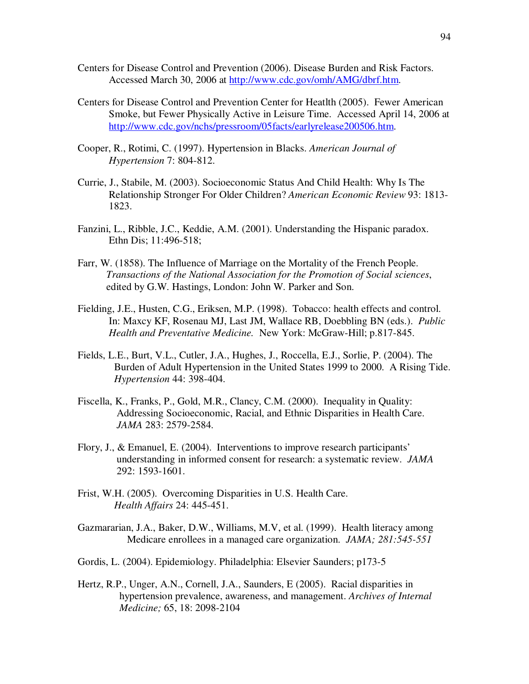- Centers for Disease Control and Prevention (2006). Disease Burden and Risk Factors. Accessed March 30, 2006 at http://www.cdc.gov/omh/AMG/dbrf.htm.
- Centers for Disease Control and Prevention Center for Heatlth (2005). Fewer American Smoke, but Fewer Physically Active in Leisure Time. Accessed April 14, 2006 at http://www.cdc.gov/nchs/pressroom/05facts/earlyrelease200506.htm.
- Cooper, R., Rotimi, C. (1997). Hypertension in Blacks. *American Journal of Hypertension* 7: 804-812.
- Currie, J., Stabile, M. (2003). Socioeconomic Status And Child Health: Why Is The Relationship Stronger For Older Children? *American Economic Review* 93: 1813- 1823.
- Fanzini, L., Ribble, J.C., Keddie, A.M. (2001). Understanding the Hispanic paradox. Ethn Dis; 11:496-518;
- Farr, W. (1858). The Influence of Marriage on the Mortality of the French People. *Transactions of the National Association for the Promotion of Social sciences*, edited by G.W. Hastings, London: John W. Parker and Son.
- Fielding, J.E., Husten, C.G., Eriksen, M.P. (1998). Tobacco: health effects and control. In: Maxcy KF, Rosenau MJ, Last JM, Wallace RB, Doebbling BN (eds.). *Public Health and Preventative Medicine.* New York: McGraw-Hill; p.817-845.
- Fields, L.E., Burt, V.L., Cutler, J.A., Hughes, J., Roccella, E.J., Sorlie, P. (2004). The Burden of Adult Hypertension in the United States 1999 to 2000. A Rising Tide. *Hypertension* 44: 398-404.
- Fiscella, K., Franks, P., Gold, M.R., Clancy, C.M. (2000). Inequality in Quality: Addressing Socioeconomic, Racial, and Ethnic Disparities in Health Care. *JAMA* 283: 2579-2584.
- Flory, J., & Emanuel, E. (2004). Interventions to improve research participants' understanding in informed consent for research: a systematic review. *JAMA* 292: 1593-1601.
- Frist, W.H. (2005). Overcoming Disparities in U.S. Health Care.  *Health Affairs* 24: 445-451.
- Gazmararian, J.A., Baker, D.W., Williams, M.V, et al. (1999). Health literacy among Medicare enrollees in a managed care organization. *JAMA; 281:545-551*
- Gordis, L. (2004). Epidemiology. Philadelphia: Elsevier Saunders; p173-5
- Hertz, R.P., Unger, A.N., Cornell, J.A., Saunders, E (2005). Racial disparities in hypertension prevalence, awareness, and management. *Archives of Internal Medicine;* 65, 18: 2098-2104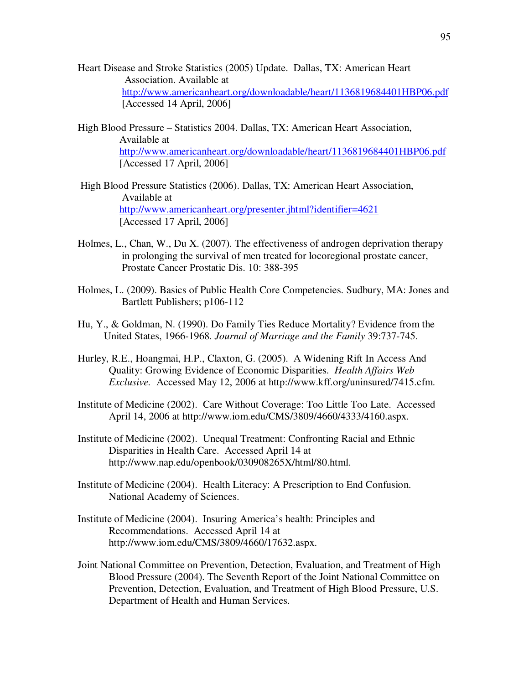- Heart Disease and Stroke Statistics (2005) Update. Dallas, TX: American Heart Association. Available at http://www.americanheart.org/downloadable/heart/1136819684401HBP06.pdf [Accessed 14 April, 2006]
- High Blood Pressure Statistics 2004. Dallas, TX: American Heart Association, Available at http://www.americanheart.org/downloadable/heart/1136819684401HBP06.pdf [Accessed 17 April, 2006]
- High Blood Pressure Statistics (2006). Dallas, TX: American Heart Association, Available at http://www.americanheart.org/presenter.jhtml?identifier=4621 [Accessed 17 April, 2006]
- Holmes, L., Chan, W., Du X. (2007). The effectiveness of androgen deprivation therapy in prolonging the survival of men treated for locoregional prostate cancer, Prostate Cancer Prostatic Dis. 10: 388-395
- Holmes, L. (2009). Basics of Public Health Core Competencies. Sudbury, MA: Jones and Bartlett Publishers; p106-112
- Hu, Y., & Goldman, N. (1990). Do Family Ties Reduce Mortality? Evidence from the United States, 1966-1968. *Journal of Marriage and the Family* 39:737-745.
- Hurley, R.E., Hoangmai, H.P., Claxton, G. (2005). A Widening Rift In Access And Quality: Growing Evidence of Economic Disparities. *Health Affairs Web Exclusive.* Accessed May 12, 2006 at http://www.kff.org/uninsured/7415.cfm.
- Institute of Medicine (2002). Care Without Coverage: Too Little Too Late. Accessed April 14, 2006 at http://www.iom.edu/CMS/3809/4660/4333/4160.aspx.
- Institute of Medicine (2002). Unequal Treatment: Confronting Racial and Ethnic Disparities in Health Care. Accessed April 14 at http://www.nap.edu/openbook/030908265X/html/80.html.
- Institute of Medicine (2004). Health Literacy: A Prescription to End Confusion. National Academy of Sciences.
- Institute of Medicine (2004). Insuring America's health: Principles and Recommendations. Accessed April 14 at http://www.iom.edu/CMS/3809/4660/17632.aspx.
- Joint National Committee on Prevention, Detection, Evaluation, and Treatment of High Blood Pressure (2004). The Seventh Report of the Joint National Committee on Prevention, Detection, Evaluation, and Treatment of High Blood Pressure, U.S. Department of Health and Human Services.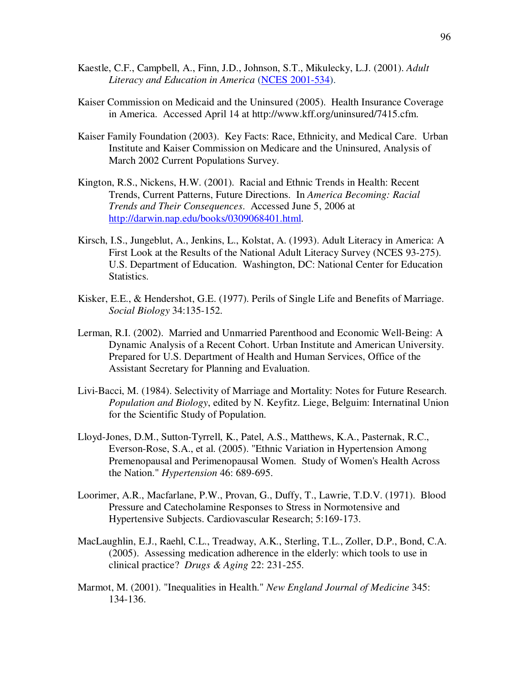- Kaestle, C.F., Campbell, A., Finn, J.D., Johnson, S.T., Mikulecky, L.J. (2001). *Adult Literacy and Education in America* (NCES 2001-534).
- Kaiser Commission on Medicaid and the Uninsured (2005). Health Insurance Coverage in America. Accessed April 14 at http://www.kff.org/uninsured/7415.cfm.
- Kaiser Family Foundation (2003). Key Facts: Race, Ethnicity, and Medical Care. Urban Institute and Kaiser Commission on Medicare and the Uninsured, Analysis of March 2002 Current Populations Survey.
- Kington, R.S., Nickens, H.W. (2001). Racial and Ethnic Trends in Health: Recent Trends, Current Patterns, Future Directions. In *America Becoming: Racial Trends and Their Consequences*. Accessed June 5, 2006 at http://darwin.nap.edu/books/0309068401.html.
- Kirsch, I.S., Jungeblut, A., Jenkins, L., Kolstat, A. (1993). Adult Literacy in America: A First Look at the Results of the National Adult Literacy Survey (NCES 93-275). U.S. Department of Education. Washington, DC: National Center for Education Statistics.
- Kisker, E.E., & Hendershot, G.E. (1977). Perils of Single Life and Benefits of Marriage. *Social Biology* 34:135-152.
- Lerman, R.I. (2002). Married and Unmarried Parenthood and Economic Well-Being: A Dynamic Analysis of a Recent Cohort. Urban Institute and American University. Prepared for U.S. Department of Health and Human Services, Office of the Assistant Secretary for Planning and Evaluation.
- Livi-Bacci, M. (1984). Selectivity of Marriage and Mortality: Notes for Future Research. *Population and Biology*, edited by N. Keyfitz. Liege, Belguim: Internatinal Union for the Scientific Study of Population.
- Lloyd-Jones, D.M., Sutton-Tyrrell, K., Patel, A.S., Matthews, K.A., Pasternak, R.C., Everson-Rose, S.A., et al. (2005). "Ethnic Variation in Hypertension Among Premenopausal and Perimenopausal Women. Study of Women's Health Across the Nation." *Hypertension* 46: 689-695.
- Loorimer, A.R., Macfarlane, P.W., Provan, G., Duffy, T., Lawrie, T.D.V. (1971). Blood Pressure and Catecholamine Responses to Stress in Normotensive and Hypertensive Subjects. Cardiovascular Research; 5:169-173.
- MacLaughlin, E.J., Raehl, C.L., Treadway, A.K., Sterling, T.L., Zoller, D.P., Bond, C.A. (2005). Assessing medication adherence in the elderly: which tools to use in clinical practice? *Drugs & Aging* 22: 231-255.
- Marmot, M. (2001). "Inequalities in Health." *New England Journal of Medicine* 345: 134-136.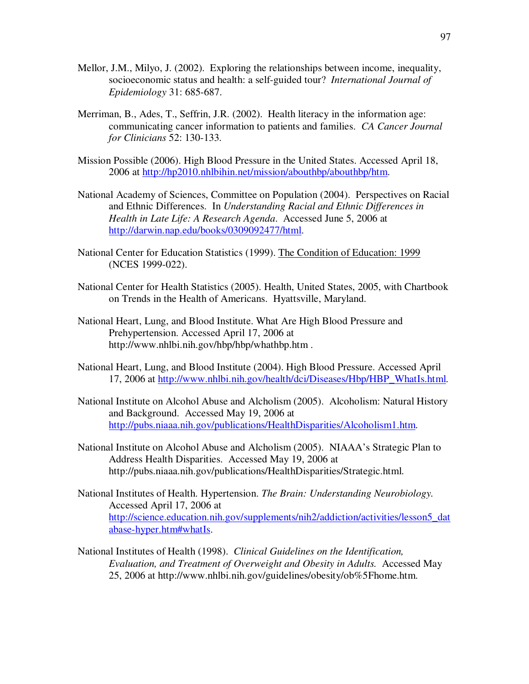- Mellor, J.M., Milyo, J. (2002). Exploring the relationships between income, inequality, socioeconomic status and health: a self-guided tour? *International Journal of Epidemiology* 31: 685-687.
- Merriman, B., Ades, T., Seffrin, J.R. (2002). Health literacy in the information age: communicating cancer information to patients and families. *CA Cancer Journal for Clinicians* 52: 130-133.
- Mission Possible (2006). High Blood Pressure in the United States. Accessed April 18, 2006 at http://hp2010.nhlbihin.net/mission/abouthbp/abouthbp/htm.
- National Academy of Sciences, Committee on Population (2004). Perspectives on Racial and Ethnic Differences. In *Understanding Racial and Ethnic Differences in Health in Late Life: A Research Agenda*. Accessed June 5, 2006 at http://darwin.nap.edu/books/0309092477/html.
- National Center for Education Statistics (1999). The Condition of Education: 1999 (NCES 1999-022).
- National Center for Health Statistics (2005). Health, United States, 2005, with Chartbook on Trends in the Health of Americans. Hyattsville, Maryland.
- National Heart, Lung, and Blood Institute. What Are High Blood Pressure and Prehypertension. Accessed April 17, 2006 at http://www.nhlbi.nih.gov/hbp/hbp/whathbp.htm .
- National Heart, Lung, and Blood Institute (2004). High Blood Pressure. Accessed April 17, 2006 at http://www.nhlbi.nih.gov/health/dci/Diseases/Hbp/HBP\_WhatIs.html.
- National Institute on Alcohol Abuse and Alcholism (2005). Alcoholism: Natural History and Background. Accessed May 19, 2006 at http://pubs.niaaa.nih.gov/publications/HealthDisparities/Alcoholism1.htm.
- National Institute on Alcohol Abuse and Alcholism (2005). NIAAA's Strategic Plan to Address Health Disparities. Accessed May 19, 2006 at http://pubs.niaaa.nih.gov/publications/HealthDisparities/Strategic.html.
- National Institutes of Health. Hypertension. *The Brain: Understanding Neurobiology.* Accessed April 17, 2006 at http://science.education.nih.gov/supplements/nih2/addiction/activities/lesson5\_dat abase-hyper.htm#whatIs.
- National Institutes of Health (1998). *Clinical Guidelines on the Identification, Evaluation, and Treatment of Overweight and Obesity in Adults.* Accessed May 25, 2006 at http://www.nhlbi.nih.gov/guidelines/obesity/ob%5Fhome.htm.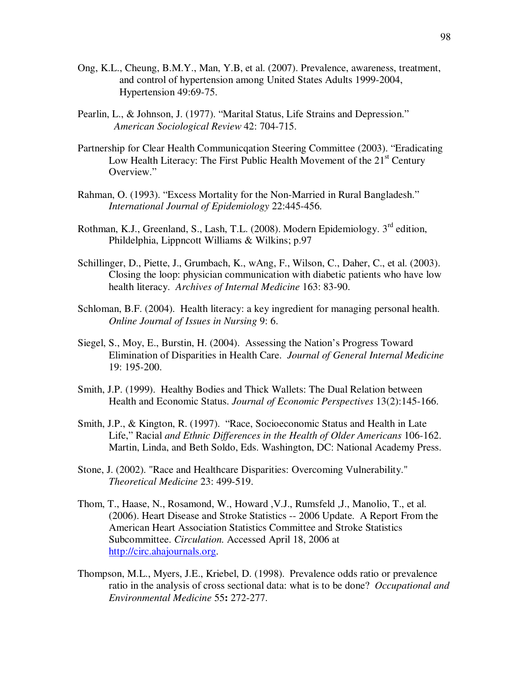- Ong, K.L., Cheung, B.M.Y., Man, Y.B, et al. (2007). Prevalence, awareness, treatment, and control of hypertension among United States Adults 1999-2004, Hypertension 49:69-75.
- Pearlin, L., & Johnson, J. (1977). "Marital Status, Life Strains and Depression." *American Sociological Review* 42: 704-715.
- Partnership for Clear Health Communicqation Steering Committee (2003). "Eradicating Low Health Literacy: The First Public Health Movement of the  $21<sup>st</sup>$  Century Overview."
- Rahman, O. (1993). "Excess Mortality for the Non-Married in Rural Bangladesh." *International Journal of Epidemiology* 22:445-456.
- Rothman, K.J., Greenland, S., Lash, T.L. (2008). Modern Epidemiology.  $3<sup>rd</sup>$  edition, Phildelphia, Lippncott Williams & Wilkins; p.97
- Schillinger, D., Piette, J., Grumbach, K., wAng, F., Wilson, C., Daher, C., et al. (2003). Closing the loop: physician communication with diabetic patients who have low health literacy. *Archives of Internal Medicine* 163: 83-90.
- Schloman, B.F. (2004). Health literacy: a key ingredient for managing personal health. *Online Journal of Issues in Nursing* 9: 6.
- Siegel, S., Moy, E., Burstin, H. (2004). Assessing the Nation's Progress Toward Elimination of Disparities in Health Care. *Journal of General Internal Medicine*  19: 195-200.
- Smith, J.P. (1999). Healthy Bodies and Thick Wallets: The Dual Relation between Health and Economic Status. *Journal of Economic Perspectives* 13(2):145-166.
- Smith, J.P., & Kington, R. (1997). "Race, Socioeconomic Status and Health in Late Life," Racial *and Ethnic Differences in the Health of Older Americans* 106-162. Martin, Linda, and Beth Soldo, Eds. Washington, DC: National Academy Press.
- Stone, J. (2002). "Race and Healthcare Disparities: Overcoming Vulnerability." *Theoretical Medicine* 23: 499-519.
- Thom, T., Haase, N., Rosamond, W., Howard ,V.J., Rumsfeld ,J., Manolio, T., et al. (2006). Heart Disease and Stroke Statistics -- 2006 Update. A Report From the American Heart Association Statistics Committee and Stroke Statistics Subcommittee. *Circulation.* Accessed April 18, 2006 at http://circ.ahajournals.org.
- Thompson, M.L., Myers, J.E., Kriebel, D. (1998). Prevalence odds ratio or prevalence ratio in the analysis of cross sectional data: what is to be done? *Occupational and Environmental Medicine* 55**:** 272-277.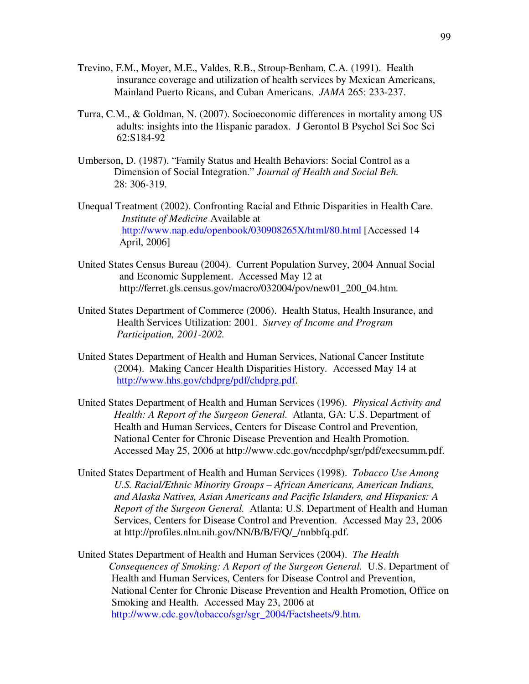- Trevino, F.M., Moyer, M.E., Valdes, R.B., Stroup-Benham, C.A. (1991). Health insurance coverage and utilization of health services by Mexican Americans, Mainland Puerto Ricans, and Cuban Americans. *JAMA* 265: 233-237.
- Turra, C.M., & Goldman, N. (2007). Socioeconomic differences in mortality among US adults: insights into the Hispanic paradox. J Gerontol B Psychol Sci Soc Sci 62:S184-92
- Umberson, D. (1987). "Family Status and Health Behaviors: Social Control as a Dimension of Social Integration." *Journal of Health and Social Beh.* 28: 306-319.
- Unequal Treatment (2002). Confronting Racial and Ethnic Disparities in Health Care. *Institute of Medicine* Available at http://www.nap.edu/openbook/030908265X/html/80.html [Accessed 14 April, 2006]
- United States Census Bureau (2004). Current Population Survey, 2004 Annual Social and Economic Supplement. Accessed May 12 at http://ferret.gls.census.gov/macro/032004/pov/new01\_200\_04.htm.
- United States Department of Commerce (2006). Health Status, Health Insurance, and Health Services Utilization: 2001. *Survey of Income and Program Participation, 2001-2002.*
- United States Department of Health and Human Services, National Cancer Institute (2004). Making Cancer Health Disparities History. Accessed May 14 at http://www.hhs.gov/chdprg/pdf/chdprg.pdf.
- United States Department of Health and Human Services (1996). *Physical Activity and Health: A Report of the Surgeon General.* Atlanta, GA: U.S. Department of Health and Human Services, Centers for Disease Control and Prevention, National Center for Chronic Disease Prevention and Health Promotion. Accessed May 25, 2006 at http://www.cdc.gov/nccdphp/sgr/pdf/execsumm.pdf.
- United States Department of Health and Human Services (1998). *Tobacco Use Among U.S. Racial/Ethnic Minority Groups – African Americans, American Indians, and Alaska Natives, Asian Americans and Pacific Islanders, and Hispanics: A Report of the Surgeon General.* Atlanta: U.S. Department of Health and Human Services, Centers for Disease Control and Prevention. Accessed May 23, 2006 at http://profiles.nlm.nih.gov/NN/B/B/F/Q/\_/nnbbfq.pdf.
- United States Department of Health and Human Services (2004). *The Health Consequences of Smoking: A Report of the Surgeon General.* U.S. Department of Health and Human Services, Centers for Disease Control and Prevention, National Center for Chronic Disease Prevention and Health Promotion, Office on Smoking and Health. Accessed May 23, 2006 at http://www.cdc.gov/tobacco/sgr/sgr\_2004/Factsheets/9.htm.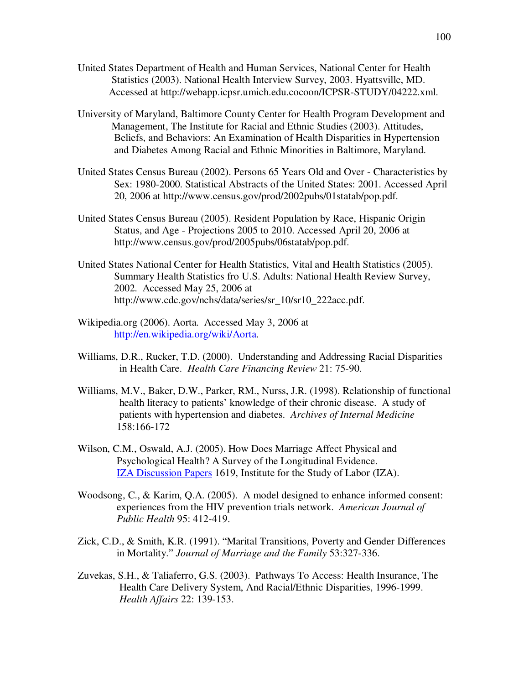- United States Department of Health and Human Services, National Center for Health Statistics (2003). National Health Interview Survey, 2003. Hyattsville, MD. Accessed at http://webapp.icpsr.umich.edu.cocoon/ICPSR-STUDY/04222.xml.
- University of Maryland, Baltimore County Center for Health Program Development and Management, The Institute for Racial and Ethnic Studies (2003). Attitudes, Beliefs, and Behaviors: An Examination of Health Disparities in Hypertension and Diabetes Among Racial and Ethnic Minorities in Baltimore, Maryland.
- United States Census Bureau (2002). Persons 65 Years Old and Over Characteristics by Sex: 1980-2000. Statistical Abstracts of the United States: 2001. Accessed April 20, 2006 at http://www.census.gov/prod/2002pubs/01statab/pop.pdf.
- United States Census Bureau (2005). Resident Population by Race, Hispanic Origin Status, and Age - Projections 2005 to 2010. Accessed April 20, 2006 at http://www.census.gov/prod/2005pubs/06statab/pop.pdf.
- United States National Center for Health Statistics, Vital and Health Statistics (2005). Summary Health Statistics fro U.S. Adults: National Health Review Survey, 2002. Accessed May 25, 2006 at http://www.cdc.gov/nchs/data/series/sr\_10/sr10\_222acc.pdf.
- Wikipedia.org (2006). Aorta. Accessed May 3, 2006 at http://en.wikipedia.org/wiki/Aorta.
- Williams, D.R., Rucker, T.D. (2000). Understanding and Addressing Racial Disparities in Health Care. *Health Care Financing Review* 21: 75-90.
- Williams, M.V., Baker, D.W., Parker, RM., Nurss, J.R. (1998). Relationship of functional health literacy to patients' knowledge of their chronic disease. A study of patients with hypertension and diabetes. *Archives of Internal Medicine* 158:166-172
- Wilson, C.M., Oswald, A.J. (2005). How Does Marriage Affect Physical and Psychological Health? A Survey of the Longitudinal Evidence. IZA Discussion Papers 1619, Institute for the Study of Labor (IZA).
- Woodsong, C., & Karim, Q.A. (2005). A model designed to enhance informed consent: experiences from the HIV prevention trials network. *American Journal of Public Health* 95: 412-419.
- Zick, C.D., & Smith, K.R. (1991). "Marital Transitions, Poverty and Gender Differences in Mortality." *Journal of Marriage and the Family* 53:327-336.
- Zuvekas, S.H., & Taliaferro, G.S. (2003). Pathways To Access: Health Insurance, The Health Care Delivery System, And Racial/Ethnic Disparities, 1996-1999. *Health Affairs* 22: 139-153.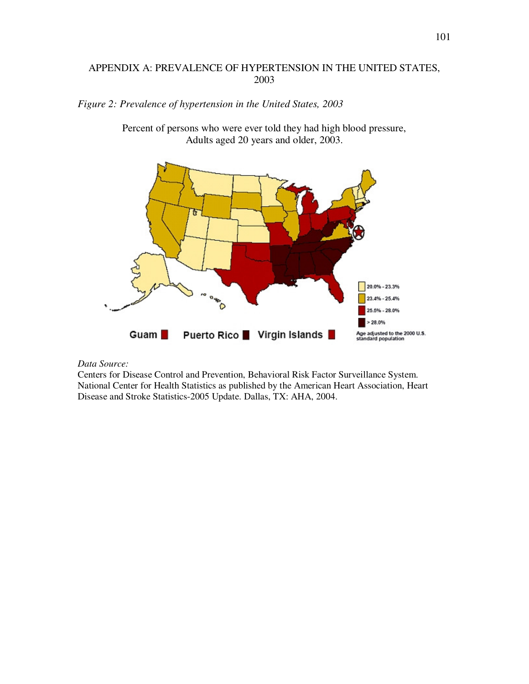# APPENDIX A: PREVALENCE OF HYPERTENSION IN THE UNITED STATES, 2003

### *Figure 2: Prevalence of hypertension in the United States, 2003*



Percent of persons who were ever told they had high blood pressure, Adults aged 20 years and older, 2003.

#### *Data Source:*

Centers for Disease Control and Prevention, Behavioral Risk Factor Surveillance System. National Center for Health Statistics as published by the American Heart Association, Heart Disease and Stroke Statistics-2005 Update. Dallas, TX: AHA, 2004.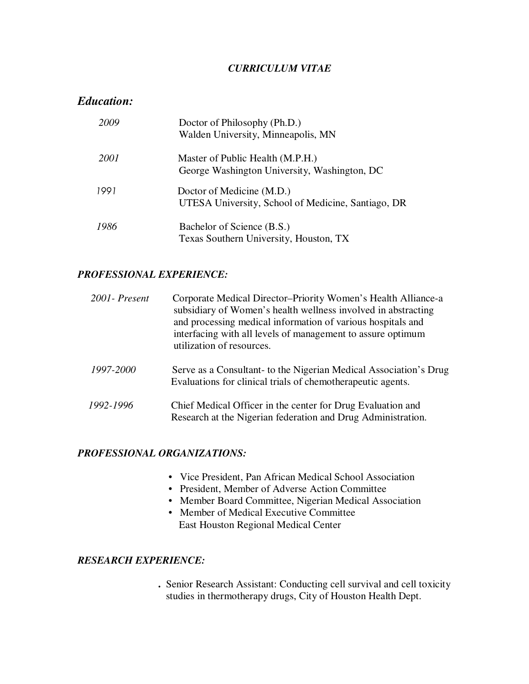### *CURRICULUM VITAE*

# *Education:*

| 2009 | Doctor of Philosophy (Ph.D.)<br>Walden University, Minneapolis, MN               |
|------|----------------------------------------------------------------------------------|
| 2001 | Master of Public Health (M.P.H.)<br>George Washington University, Washington, DC |
| 1991 | Doctor of Medicine (M.D.)<br>UTESA University, School of Medicine, Santiago, DR  |
| 1986 | Bachelor of Science (B.S.)<br>Texas Southern University, Houston, TX             |

### *PROFESSIONAL EXPERIENCE:*

| 2001 - Present | Corporate Medical Director-Priority Women's Health Alliance-a<br>subsidiary of Women's health wellness involved in abstracting<br>and processing medical information of various hospitals and<br>interfacing with all levels of management to assure optimum<br>utilization of resources. |
|----------------|-------------------------------------------------------------------------------------------------------------------------------------------------------------------------------------------------------------------------------------------------------------------------------------------|
| 1997-2000      | Serve as a Consultant- to the Nigerian Medical Association's Drug<br>Evaluations for clinical trials of chemotherapeutic agents.                                                                                                                                                          |
| 1992-1996      | Chief Medical Officer in the center for Drug Evaluation and<br>Research at the Nigerian federation and Drug Administration.                                                                                                                                                               |

# *PROFESSIONAL ORGANIZATIONS:*

- Vice President, Pan African Medical School Association
- President, Member of Adverse Action Committee
- Member Board Committee, Nigerian Medical Association
- Member of Medical Executive Committee East Houston Regional Medical Center

### *RESEARCH EXPERIENCE:*

 **.** Senior Research Assistant: Conducting cell survival and cell toxicity studies in thermotherapy drugs, City of Houston Health Dept.